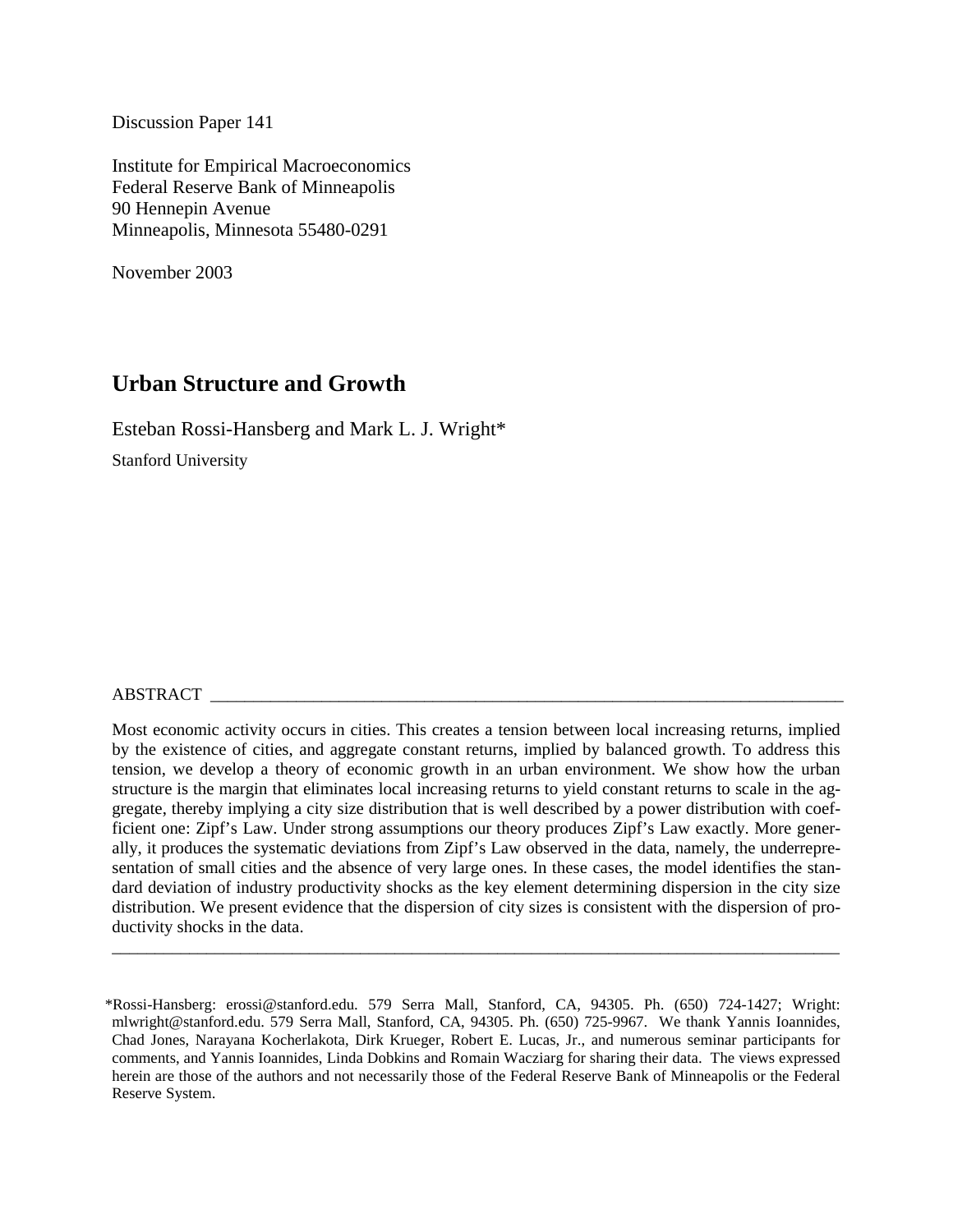Discussion Paper 141

Institute for Empirical Macroeconomics Federal Reserve Bank of Minneapolis 90 Hennepin Avenue Minneapolis, Minnesota 55480-0291

November 2003

# **Urban Structure and Growth**

Esteban Rossi-Hansberg and Mark L. J. Wright\*

Stanford University

### ABSTRACT \_\_\_\_\_\_\_\_\_\_\_\_\_\_\_\_\_\_\_\_\_\_\_\_\_\_\_\_\_\_\_\_\_\_\_\_\_\_\_\_\_\_\_\_\_\_\_\_\_\_\_\_\_\_\_\_\_\_\_\_\_\_\_\_\_\_\_\_\_\_\_\_\_\_

Most economic activity occurs in cities. This creates a tension between local increasing returns, implied by the existence of cities, and aggregate constant returns, implied by balanced growth. To address this tension, we develop a theory of economic growth in an urban environment. We show how the urban structure is the margin that eliminates local increasing returns to yield constant returns to scale in the aggregate, thereby implying a city size distribution that is well described by a power distribution with coefficient one: Zipf's Law. Under strong assumptions our theory produces Zipf's Law exactly. More generally, it produces the systematic deviations from Zipf's Law observed in the data, namely, the underrepresentation of small cities and the absence of very large ones. In these cases, the model identifies the standard deviation of industry productivity shocks as the key element determining dispersion in the city size distribution. We present evidence that the dispersion of city sizes is consistent with the dispersion of productivity shocks in the data.

\_\_\_\_\_\_\_\_\_\_\_\_\_\_\_\_\_\_\_\_\_\_\_\_\_\_\_\_\_\_\_\_\_\_\_\_\_\_\_\_\_\_\_\_\_\_\_\_\_\_\_\_\_\_\_\_\_\_\_\_\_\_\_\_\_\_\_\_\_\_\_\_\_\_\_\_\_\_\_\_\_\_\_\_\_

<sup>\*</sup>Rossi-Hansberg: erossi@stanford.edu. 579 Serra Mall, Stanford, CA, 94305. Ph. (650) 724-1427; Wright: mlwright@stanford.edu. 579 Serra Mall, Stanford, CA, 94305. Ph. (650) 725-9967. We thank Yannis Ioannides, Chad Jones, Narayana Kocherlakota, Dirk Krueger, Robert E. Lucas, Jr., and numerous seminar participants for comments, and Yannis Ioannides, Linda Dobkins and Romain Wacziarg for sharing their data. The views expressed herein are those of the authors and not necessarily those of the Federal Reserve Bank of Minneapolis or the Federal Reserve System.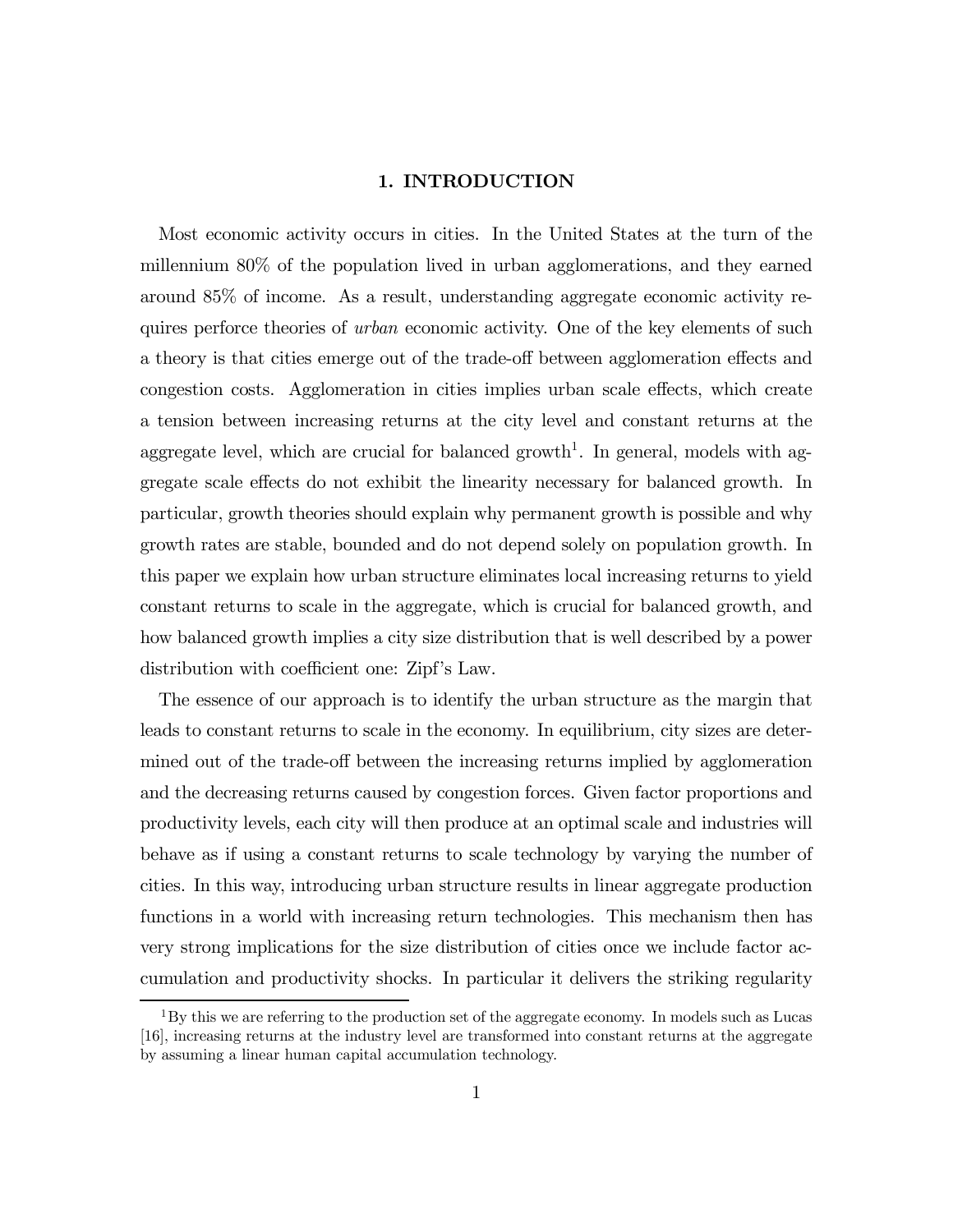#### 1. INTRODUCTION

Most economic activity occurs in cities. In the United States at the turn of the millennium 80% of the population lived in urban agglomerations, and they earned around 85% of income. As a result, understanding aggregate economic activity requires perforce theories of *urban* economic activity. One of the key elements of such a theory is that cities emerge out of the trade-off between agglomeration effects and congestion costs. Agglomeration in cities implies urban scale effects, which create a tension between increasing returns at the city level and constant returns at the aggregate level, which are crucial for balanced growth<sup>1</sup>. In general, models with aggregate scale effects do not exhibit the linearity necessary for balanced growth. In particular, growth theories should explain why permanent growth is possible and why growth rates are stable, bounded and do not depend solely on population growth. In this paper we explain how urban structure eliminates local increasing returns to yield constant returns to scale in the aggregate, which is crucial for balanced growth, and how balanced growth implies a city size distribution that is well described by a power distribution with coefficient one: Zipf's Law.

The essence of our approach is to identify the urban structure as the margin that leads to constant returns to scale in the economy. In equilibrium, city sizes are determined out of the trade-off between the increasing returns implied by agglomeration and the decreasing returns caused by congestion forces. Given factor proportions and productivity levels, each city will then produce at an optimal scale and industries will behave as if using a constant returns to scale technology by varying the number of cities. In this way, introducing urban structure results in linear aggregate production functions in a world with increasing return technologies. This mechanism then has very strong implications for the size distribution of cities once we include factor accumulation and productivity shocks. In particular it delivers the striking regularity

 $1<sup>1</sup>$ By this we are referring to the production set of the aggregate economy. In models such as Lucas [16], increasing returns at the industry level are transformed into constant returns at the aggregate by assuming a linear human capital accumulation technology.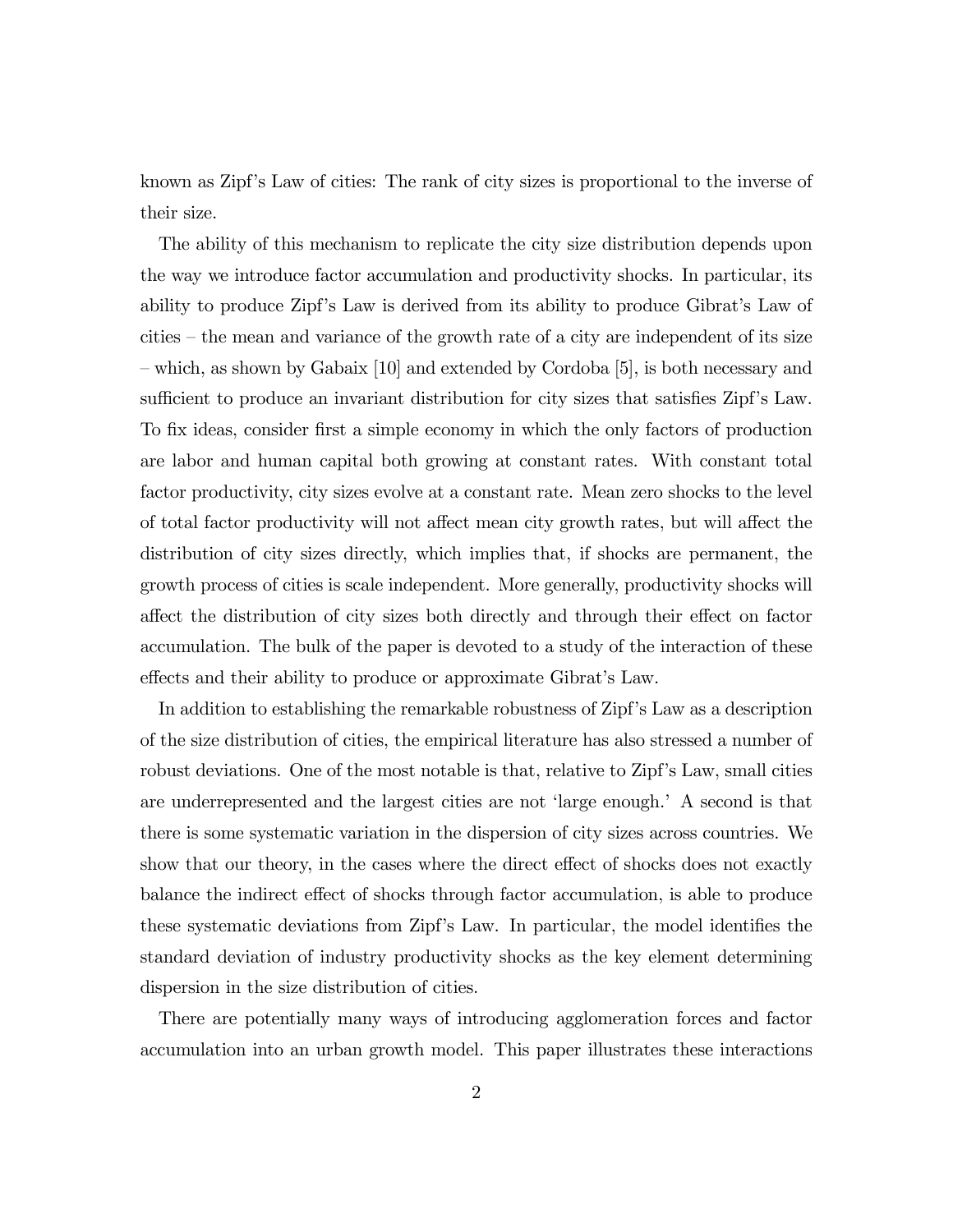known as Zipf's Law of cities: The rank of city sizes is proportional to the inverse of their size.

The ability of this mechanism to replicate the city size distribution depends upon the way we introduce factor accumulation and productivity shocks. In particular, its ability to produce Zipf's Law is derived from its ability to produce Gibrat's Law of cities — the mean and variance of the growth rate of a city are independent of its size — which, as shown by Gabaix [10] and extended by Cordoba [5], is both necessary and sufficient to produce an invariant distribution for city sizes that satisfies Zipf's Law. To fix ideas, consider first a simple economy in which the only factors of production are labor and human capital both growing at constant rates. With constant total factor productivity, city sizes evolve at a constant rate. Mean zero shocks to the level of total factor productivity will not affect mean city growth rates, but will affect the distribution of city sizes directly, which implies that, if shocks are permanent, the growth process of cities is scale independent. More generally, productivity shocks will affect the distribution of city sizes both directly and through their effect on factor accumulation. The bulk of the paper is devoted to a study of the interaction of these effects and their ability to produce or approximate Gibrat's Law.

In addition to establishing the remarkable robustness of Zipf's Law as a description of the size distribution of cities, the empirical literature has also stressed a number of robust deviations. One of the most notable is that, relative to Zipf's Law, small cities are underrepresented and the largest cities are not 'large enough.' A second is that there is some systematic variation in the dispersion of city sizes across countries. We show that our theory, in the cases where the direct effect of shocks does not exactly balance the indirect effect of shocks through factor accumulation, is able to produce these systematic deviations from Zipf's Law. In particular, the model identifies the standard deviation of industry productivity shocks as the key element determining dispersion in the size distribution of cities.

There are potentially many ways of introducing agglomeration forces and factor accumulation into an urban growth model. This paper illustrates these interactions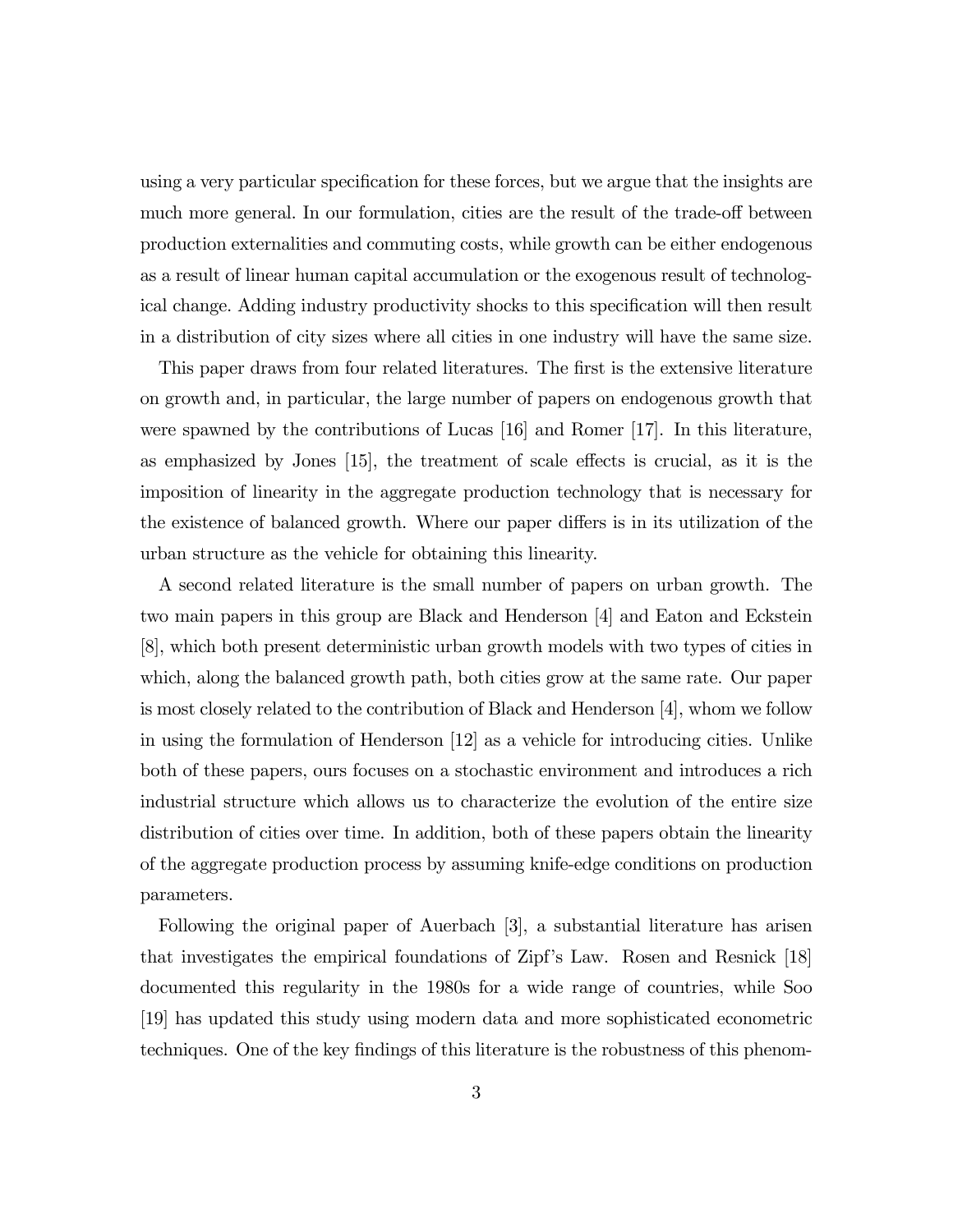using a very particular specification for these forces, but we argue that the insights are much more general. In our formulation, cities are the result of the trade-off between production externalities and commuting costs, while growth can be either endogenous as a result of linear human capital accumulation or the exogenous result of technological change. Adding industry productivity shocks to this specification will then result in a distribution of city sizes where all cities in one industry will have the same size.

This paper draws from four related literatures. The first is the extensive literature on growth and, in particular, the large number of papers on endogenous growth that were spawned by the contributions of Lucas [16] and Romer [17]. In this literature, as emphasized by Jones [15], the treatment of scale effects is crucial, as it is the imposition of linearity in the aggregate production technology that is necessary for the existence of balanced growth. Where our paper differs is in its utilization of the urban structure as the vehicle for obtaining this linearity.

A second related literature is the small number of papers on urban growth. The two main papers in this group are Black and Henderson [4] and Eaton and Eckstein [8], which both present deterministic urban growth models with two types of cities in which, along the balanced growth path, both cities grow at the same rate. Our paper is most closely related to the contribution of Black and Henderson [4], whom we follow in using the formulation of Henderson [12] as a vehicle for introducing cities. Unlike both of these papers, ours focuses on a stochastic environment and introduces a rich industrial structure which allows us to characterize the evolution of the entire size distribution of cities over time. In addition, both of these papers obtain the linearity of the aggregate production process by assuming knife-edge conditions on production parameters.

Following the original paper of Auerbach [3], a substantial literature has arisen that investigates the empirical foundations of Zipf's Law. Rosen and Resnick [18] documented this regularity in the 1980s for a wide range of countries, while Soo [19] has updated this study using modern data and more sophisticated econometric techniques. One of the key findings of this literature is the robustness of this phenom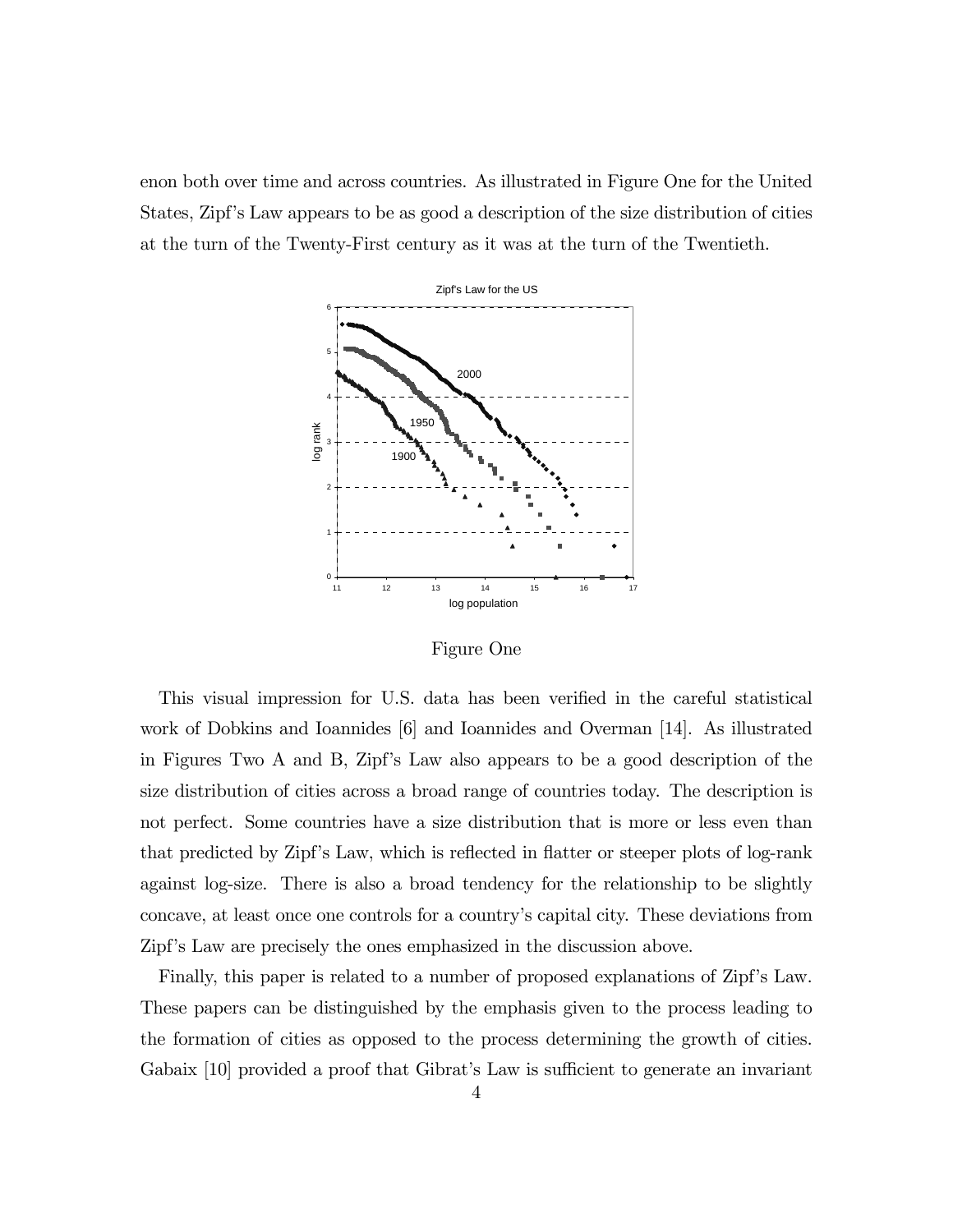enon both over time and across countries. As illustrated in Figure One for the United States, Zipf's Law appears to be as good a description of the size distribution of cities at the turn of the Twenty-First century as it was at the turn of the Twentieth.



Figure One

This visual impression for U.S. data has been verified in the careful statistical work of Dobkins and Ioannides [6] and Ioannides and Overman [14]. As illustrated in Figures Two A and B, Zipf's Law also appears to be a good description of the size distribution of cities across a broad range of countries today. The description is not perfect. Some countries have a size distribution that is more or less even than that predicted by Zipf's Law, which is reflected in flatter or steeper plots of log-rank against log-size. There is also a broad tendency for the relationship to be slightly concave, at least once one controls for a country's capital city. These deviations from Zipf's Law are precisely the ones emphasized in the discussion above.

Finally, this paper is related to a number of proposed explanations of Zipf's Law. These papers can be distinguished by the emphasis given to the process leading to the formation of cities as opposed to the process determining the growth of cities. Gabaix [10] provided a proof that Gibrat's Law is sufficient to generate an invariant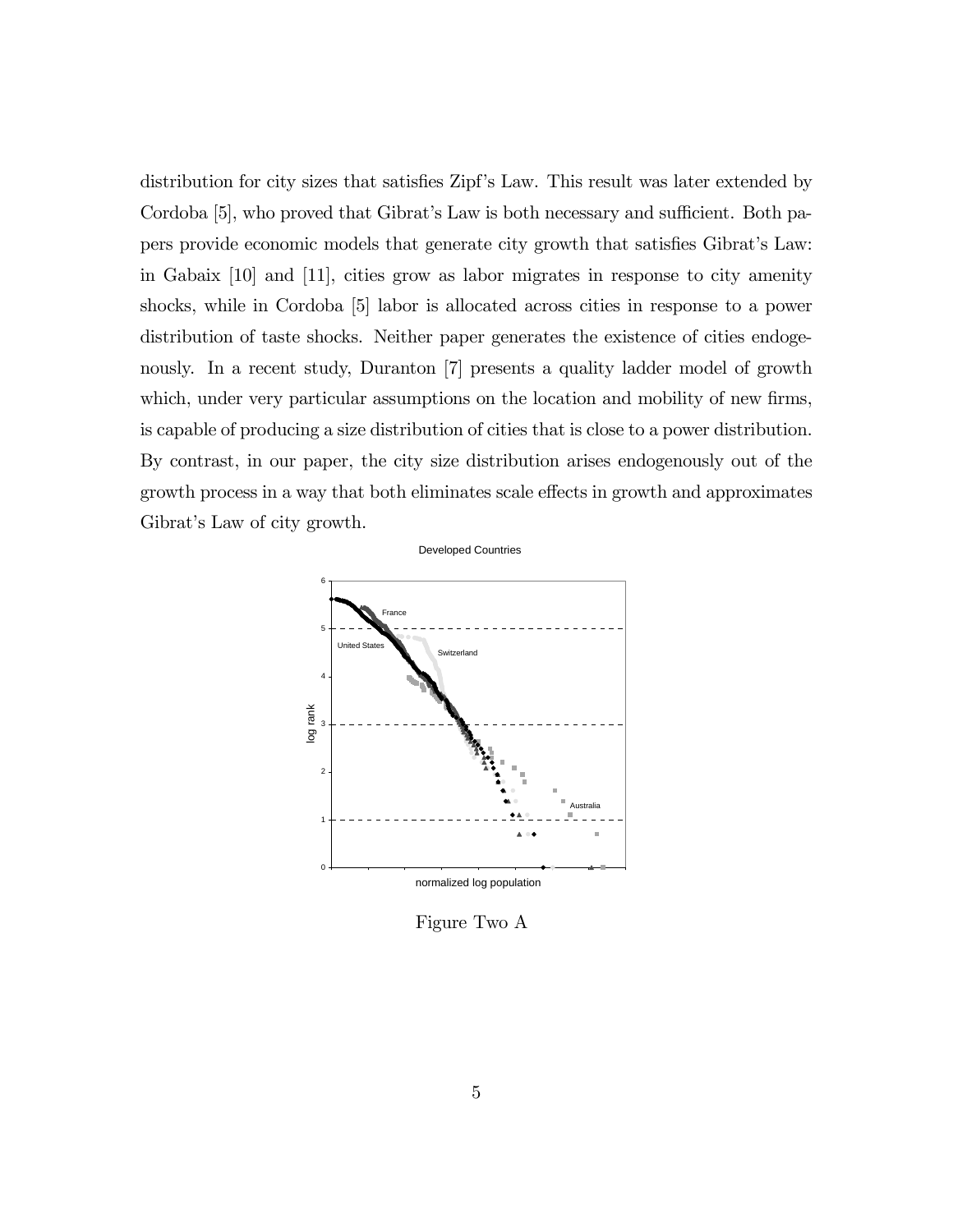distribution for city sizes that satisfies Zipf's Law. This result was later extended by Cordoba [5], who proved that Gibrat's Law is both necessary and sufficient. Both papers provide economic models that generate city growth that satisfies Gibrat's Law: in Gabaix [10] and [11], cities grow as labor migrates in response to city amenity shocks, while in Cordoba [5] labor is allocated across cities in response to a power distribution of taste shocks. Neither paper generates the existence of cities endogenously. In a recent study, Duranton [7] presents a quality ladder model of growth which, under very particular assumptions on the location and mobility of new firms, is capable of producing a size distribution of cities that is close to a power distribution. By contrast, in our paper, the city size distribution arises endogenously out of the growth process in a way that both eliminates scale effects in growth and approximates Gibrat's Law of city growth.



Figure Two A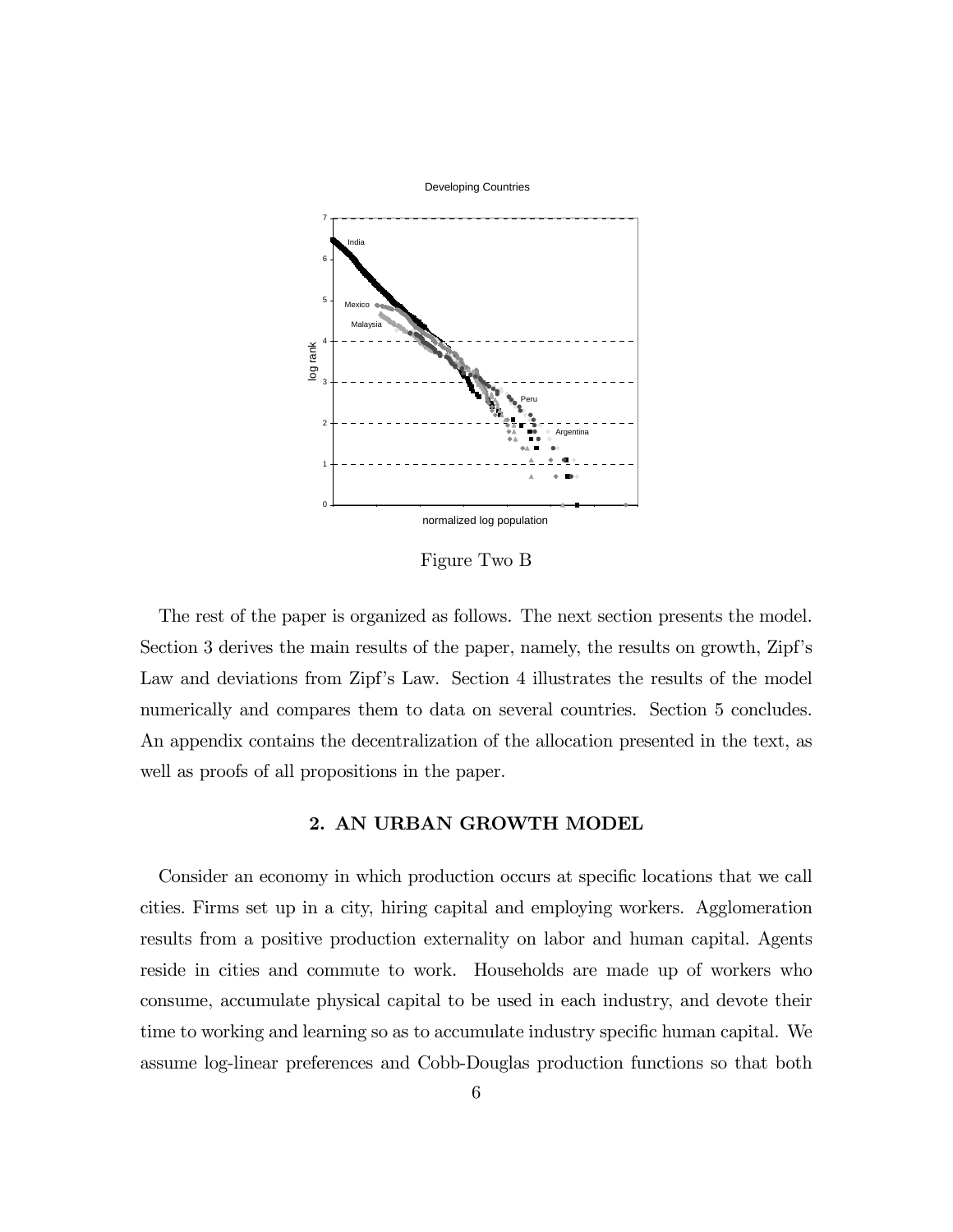

Figure Two B

The rest of the paper is organized as follows. The next section presents the model. Section 3 derives the main results of the paper, namely, the results on growth, Zipf's Law and deviations from Zipf's Law. Section 4 illustrates the results of the model numerically and compares them to data on several countries. Section 5 concludes. An appendix contains the decentralization of the allocation presented in the text, as well as proofs of all propositions in the paper.

## 2. AN URBAN GROWTH MODEL

Consider an economy in which production occurs at specific locations that we call cities. Firms set up in a city, hiring capital and employing workers. Agglomeration results from a positive production externality on labor and human capital. Agents reside in cities and commute to work. Households are made up of workers who consume, accumulate physical capital to be used in each industry, and devote their time to working and learning so as to accumulate industry specific human capital. We assume log-linear preferences and Cobb-Douglas production functions so that both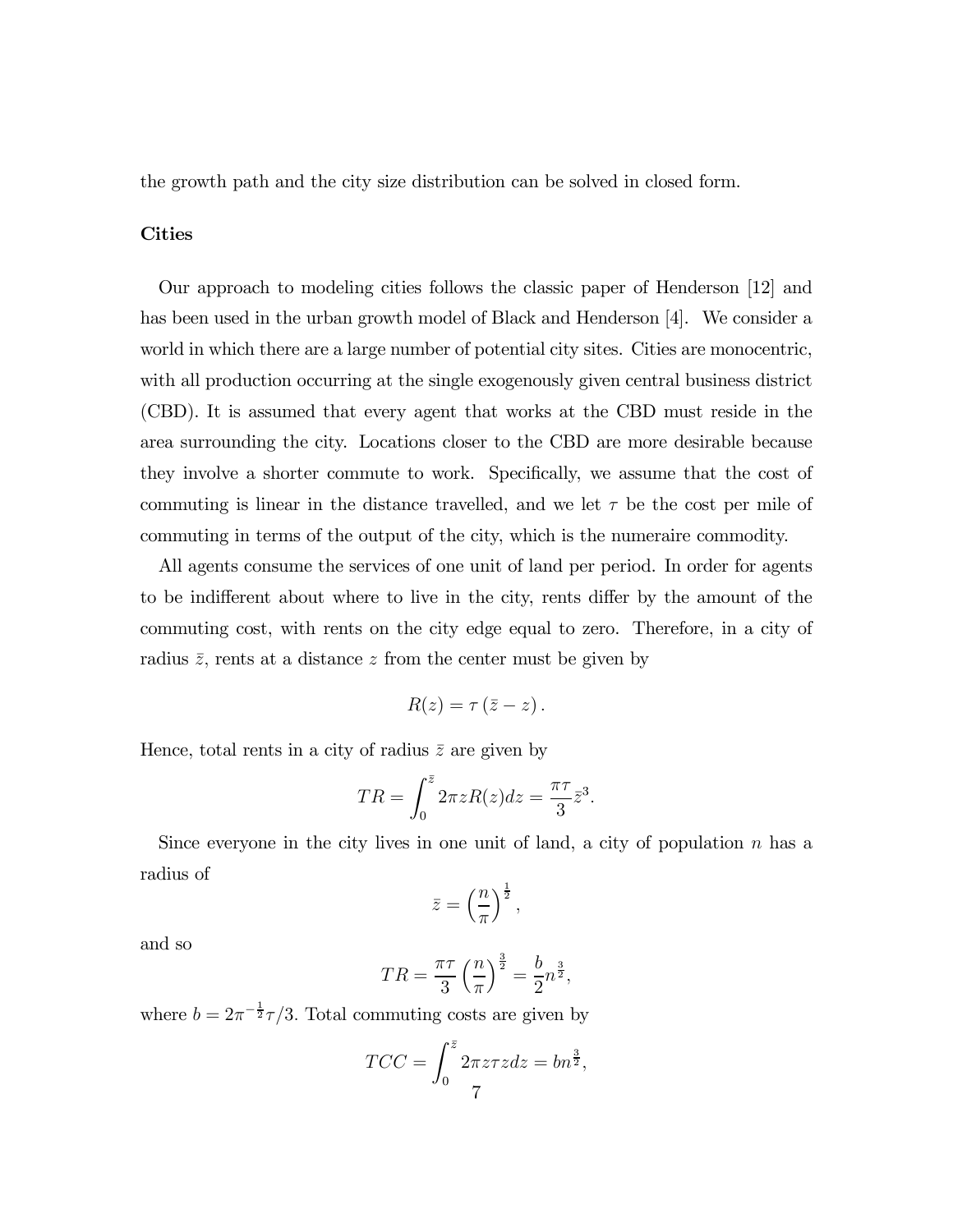the growth path and the city size distribution can be solved in closed form.

#### Cities

Our approach to modeling cities follows the classic paper of Henderson [12] and has been used in the urban growth model of Black and Henderson [4]. We consider a world in which there are a large number of potential city sites. Cities are monocentric, with all production occurring at the single exogenously given central business district (CBD). It is assumed that every agent that works at the CBD must reside in the area surrounding the city. Locations closer to the CBD are more desirable because they involve a shorter commute to work. Specifically, we assume that the cost of commuting is linear in the distance travelled, and we let  $\tau$  be the cost per mile of commuting in terms of the output of the city, which is the numeraire commodity.

All agents consume the services of one unit of land per period. In order for agents to be indifferent about where to live in the city, rents differ by the amount of the commuting cost, with rents on the city edge equal to zero. Therefore, in a city of radius  $\bar{z}$ , rents at a distance z from the center must be given by

$$
R(z)=\tau\left(\bar{z}-z\right).
$$

Hence, total rents in a city of radius  $\bar{z}$  are given by

$$
TR = \int_0^{\bar{z}} 2\pi z R(z) dz = \frac{\pi \tau}{3} \bar{z}^3.
$$

Since everyone in the city lives in one unit of land, a city of population  $n$  has a radius of

$$
\bar{z} = \left(\frac{n}{\pi}\right)^{\frac{1}{2}},
$$

and so

$$
TR = \frac{\pi\tau}{3} \left(\frac{n}{\pi}\right)^{\frac{3}{2}} = \frac{b}{2} n^{\frac{3}{2}},
$$

where  $b = 2\pi^{-\frac{1}{2}}\tau/3$ . Total commuting costs are given by

$$
TCC = \int_0^{\bar{z}} 2\pi z \tau z dz = b n^{\frac{3}{2}},
$$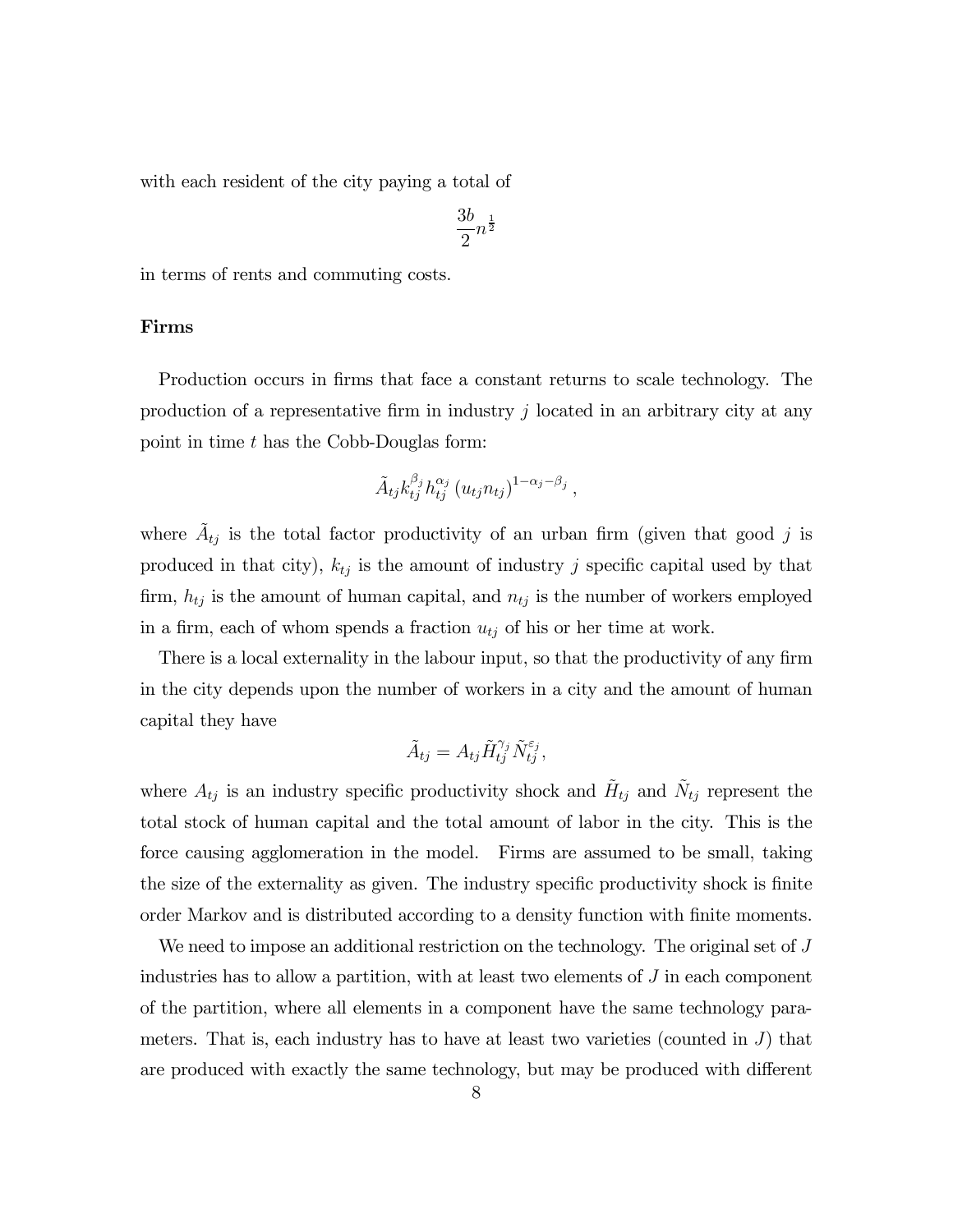with each resident of the city paying a total of

$$
\frac{3b}{2}n^{\frac{1}{2}}
$$

in terms of rents and commuting costs.

#### Firms

Production occurs in firms that face a constant returns to scale technology. The production of a representative firm in industry  $j$  located in an arbitrary city at any point in time t has the Cobb-Douglas form:

$$
\tilde{A}_{tj}k_{tj}^{\beta_j}h_{tj}^{\alpha_j}(u_{tj}n_{tj})^{1-\alpha_j-\beta_j},
$$

where  $A_{tj}$  is the total factor productivity of an urban firm (given that good j is produced in that city),  $k_{tj}$  is the amount of industry j specific capital used by that firm,  $h_{tj}$  is the amount of human capital, and  $n_{tj}$  is the number of workers employed in a firm, each of whom spends a fraction  $u_{tj}$  of his or her time at work.

There is a local externality in the labour input, so that the productivity of any firm in the city depends upon the number of workers in a city and the amount of human capital they have

$$
\tilde{A}_{tj} = A_{tj} \tilde{H}_{tj}^{\gamma_j} \tilde{N}_{tj}^{\varepsilon_j},
$$

where  $A_{tj}$  is an industry specific productivity shock and  $\tilde{H}_{tj}$  and  $\tilde{N}_{tj}$  represent the total stock of human capital and the total amount of labor in the city. This is the force causing agglomeration in the model. Firms are assumed to be small, taking the size of the externality as given. The industry specific productivity shock is finite order Markov and is distributed according to a density function with finite moments.

We need to impose an additional restriction on the technology. The original set of J industries has to allow a partition, with at least two elements of  $J$  in each component of the partition, where all elements in a component have the same technology parameters. That is, each industry has to have at least two varieties (counted in  $J$ ) that are produced with exactly the same technology, but may be produced with different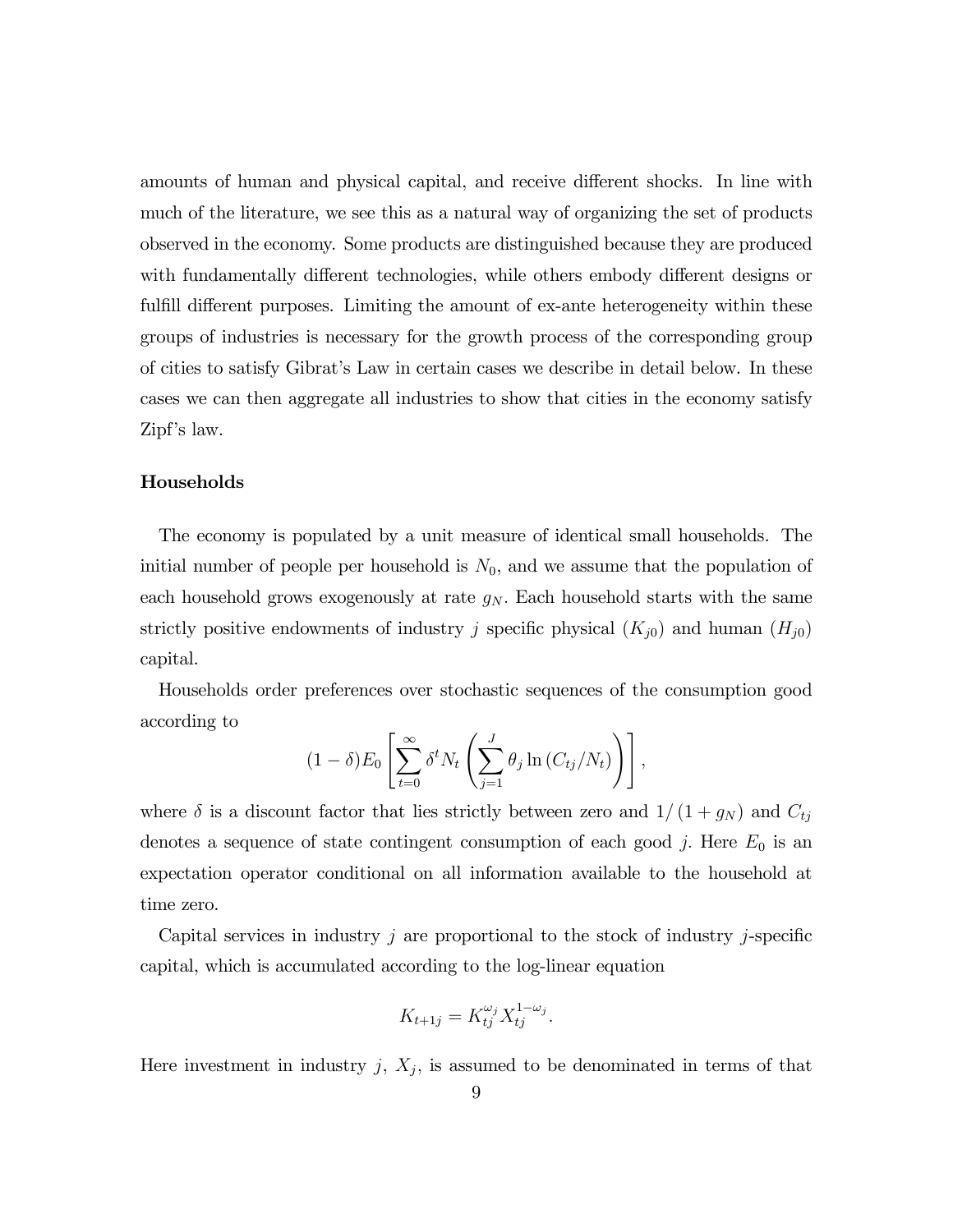amounts of human and physical capital, and receive different shocks. In line with much of the literature, we see this as a natural way of organizing the set of products observed in the economy. Some products are distinguished because they are produced with fundamentally different technologies, while others embody different designs or fulfill different purposes. Limiting the amount of ex-ante heterogeneity within these groups of industries is necessary for the growth process of the corresponding group of cities to satisfy Gibrat's Law in certain cases we describe in detail below. In these cases we can then aggregate all industries to show that cities in the economy satisfy Zipf's law.

#### Households

The economy is populated by a unit measure of identical small households. The initial number of people per household is  $N_0$ , and we assume that the population of each household grows exogenously at rate  $g_N$ . Each household starts with the same strictly positive endowments of industry j specific physical  $(K_{j0})$  and human  $(H_{j0})$ capital.

Households order preferences over stochastic sequences of the consumption good according to

$$
(1 - \delta) E_0 \left[ \sum_{t=0}^{\infty} \delta^t N_t \left( \sum_{j=1}^J \theta_j \ln \left( C_{tj}/N_t \right) \right) \right],
$$

where  $\delta$  is a discount factor that lies strictly between zero and  $1/(1+g_N)$  and  $C_{tj}$ denotes a sequence of state contingent consumption of each good  $j$ . Here  $E_0$  is an expectation operator conditional on all information available to the household at time zero.

Capital services in industry  $j$  are proportional to the stock of industry  $j$ -specific capital, which is accumulated according to the log-linear equation

$$
K_{t+1j} = K_{tj}^{\omega_j} X_{tj}^{1-\omega_j}.
$$

Here investment in industry j,  $X_j$ , is assumed to be denominated in terms of that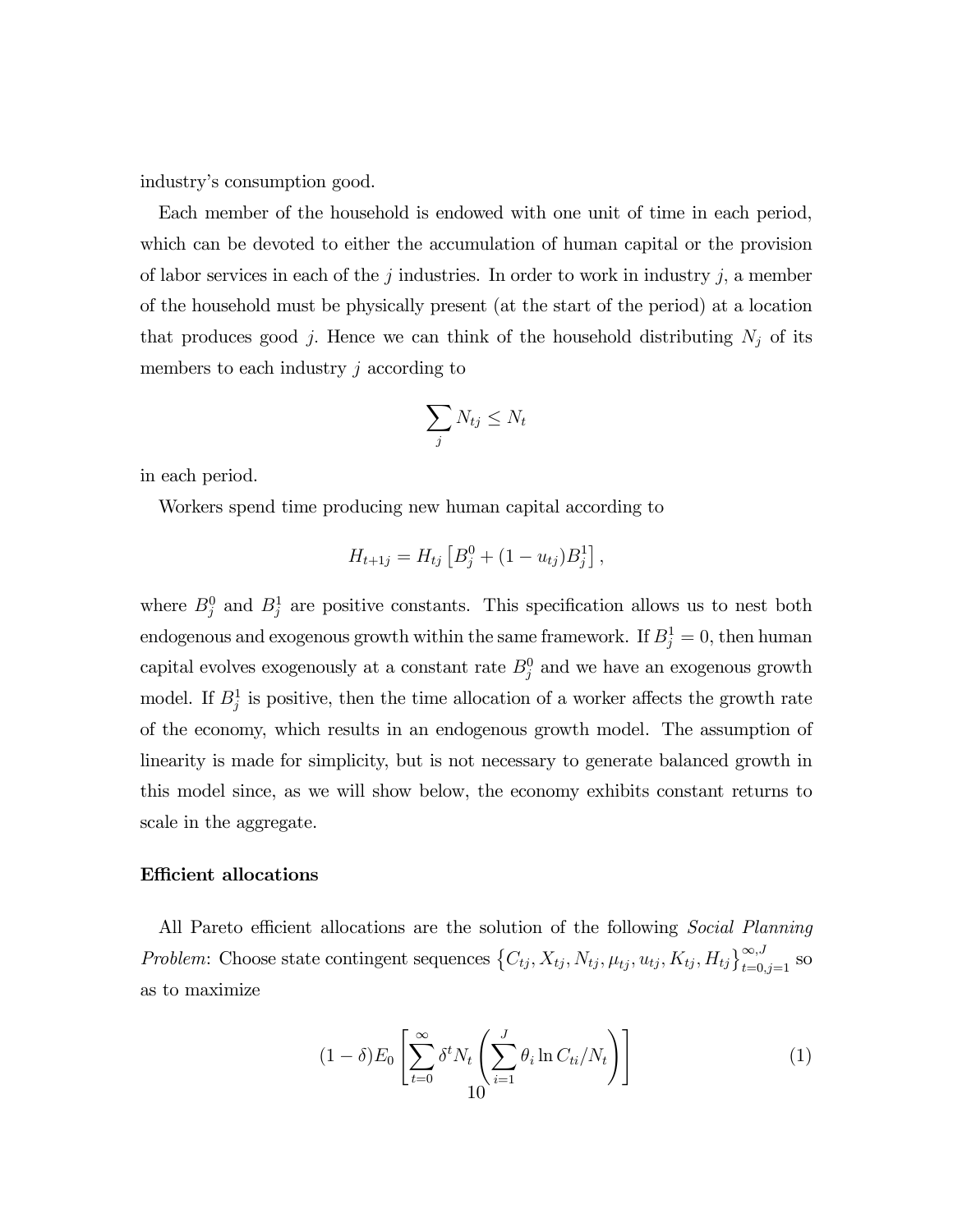industry's consumption good.

Each member of the household is endowed with one unit of time in each period, which can be devoted to either the accumulation of human capital or the provision of labor services in each of the  $j$  industries. In order to work in industry  $j$ , a member of the household must be physically present (at the start of the period) at a location that produces good j. Hence we can think of the household distributing  $N_j$  of its members to each industry  $j$  according to

$$
\sum_j N_{tj} \le N_t
$$

in each period.

Workers spend time producing new human capital according to

$$
H_{t+1j} = H_{tj} \left[ B_j^0 + (1 - u_{tj}) B_j^1 \right],
$$

where  $B_j^0$  and  $B_j^1$  are positive constants. This specification allows us to nest both endogenous and exogenous growth within the same framework. If  $B_j^1 = 0$ , then human capital evolves exogenously at a constant rate  $B_j^0$  and we have an exogenous growth model. If  $B_j^1$  is positive, then the time allocation of a worker affects the growth rate of the economy, which results in an endogenous growth model. The assumption of linearity is made for simplicity, but is not necessary to generate balanced growth in this model since, as we will show below, the economy exhibits constant returns to scale in the aggregate.

#### Efficient allocations

All Pareto efficient allocations are the solution of the following Social Planning Problem: Choose state contingent sequences  $\{C_{tj}, X_{tj}, N_{tj}, \mu_{tj}, u_{tj}, K_{tj}, H_{tj}\}_{t=0, j=1}^{\infty, J}$  so as to maximize

$$
(1 - \delta)E_0 \left[ \sum_{t=0}^{\infty} \delta^t N_t \left( \sum_{i=1}^J \theta_i \ln C_{ti} / N_t \right) \right]
$$
 (1)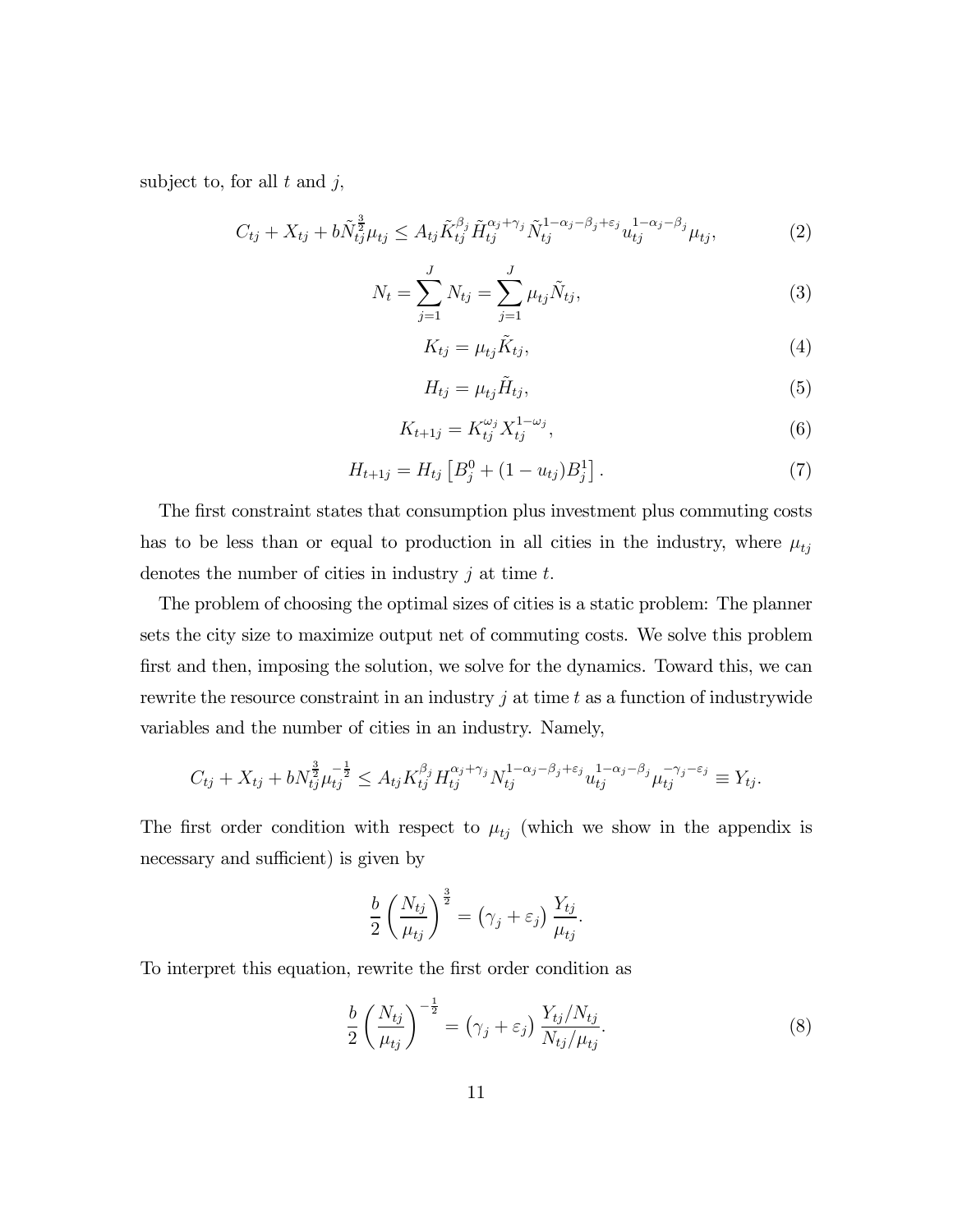subject to, for all  $t$  and  $j$ ,

$$
C_{tj} + X_{tj} + b\tilde{N}_{tj}^{\frac{3}{2}}\mu_{tj} \le A_{tj}\tilde{K}_{tj}^{\beta_j}\tilde{H}_{tj}^{\alpha_j + \gamma_j}\tilde{N}_{tj}^{1-\alpha_j-\beta_j+\varepsilon_j}u_{tj}^{1-\alpha_j-\beta_j}\mu_{tj},\tag{2}
$$

$$
N_t = \sum_{j=1}^{J} N_{tj} = \sum_{j=1}^{J} \mu_{tj} \tilde{N}_{tj},
$$
\n(3)

$$
K_{tj} = \mu_{tj} \tilde{K}_{tj},\tag{4}
$$

$$
H_{tj} = \mu_{tj} \tilde{H}_{tj},\tag{5}
$$

$$
K_{t+1j} = K_{tj}^{\omega_j} X_{tj}^{1-\omega_j},\tag{6}
$$

$$
H_{t+1j} = H_{tj} \left[ B_j^0 + (1 - u_{tj}) B_j^1 \right]. \tag{7}
$$

The first constraint states that consumption plus investment plus commuting costs has to be less than or equal to production in all cities in the industry, where  $\mu_{tj}$ denotes the number of cities in industry  $j$  at time  $t$ .

The problem of choosing the optimal sizes of cities is a static problem: The planner sets the city size to maximize output net of commuting costs. We solve this problem first and then, imposing the solution, we solve for the dynamics. Toward this, we can rewrite the resource constraint in an industry  $j$  at time  $t$  as a function of industrywide variables and the number of cities in an industry. Namely,

$$
C_{tj} + X_{tj} + bN_{tj}^{\frac{3}{2}}\mu_{tj}^{-\frac{1}{2}} \leq A_{tj}K_{tj}^{\beta_j}H_{tj}^{\alpha_j + \gamma_j}N_{tj}^{1-\alpha_j-\beta_j+\varepsilon_j}u_{tj}^{1-\alpha_j-\beta_j}\mu_{tj}^{-\gamma_j-\varepsilon_j} \equiv Y_{tj}.
$$

The first order condition with respect to  $\mu_{tj}$  (which we show in the appendix is necessary and sufficient) is given by

$$
\frac{b}{2}\left(\frac{N_{tj}}{\mu_{tj}}\right)^{\frac{3}{2}} = (\gamma_j + \varepsilon_j) \frac{Y_{tj}}{\mu_{tj}}.
$$

To interpret this equation, rewrite the first order condition as

$$
\frac{b}{2} \left( \frac{N_{tj}}{\mu_{tj}} \right)^{-\frac{1}{2}} = \left( \gamma_j + \varepsilon_j \right) \frac{Y_{tj}/N_{tj}}{N_{tj}/\mu_{tj}}.
$$
\n(8)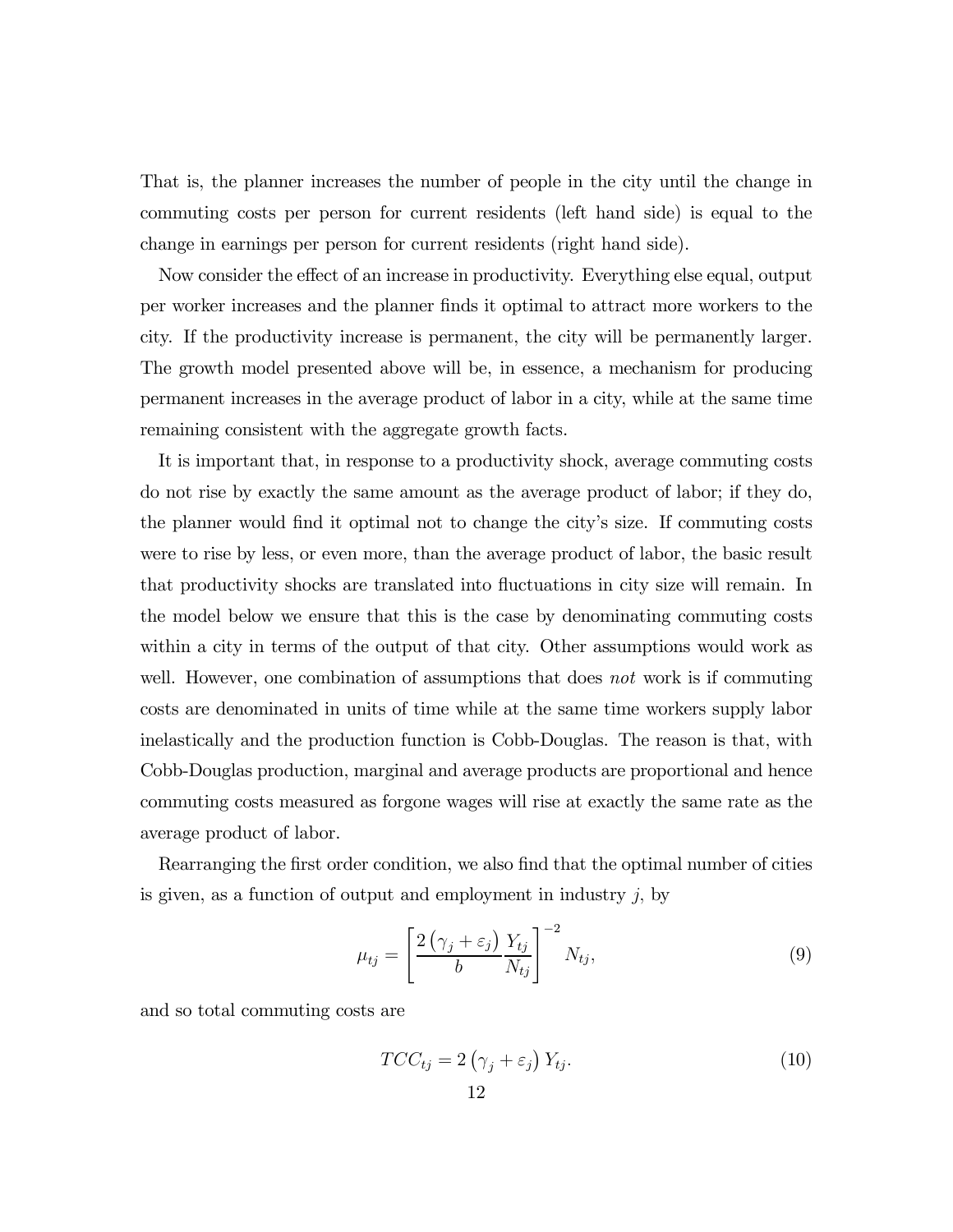That is, the planner increases the number of people in the city until the change in commuting costs per person for current residents (left hand side) is equal to the change in earnings per person for current residents (right hand side).

Now consider the effect of an increase in productivity. Everything else equal, output per worker increases and the planner finds it optimal to attract more workers to the city. If the productivity increase is permanent, the city will be permanently larger. The growth model presented above will be, in essence, a mechanism for producing permanent increases in the average product of labor in a city, while at the same time remaining consistent with the aggregate growth facts.

It is important that, in response to a productivity shock, average commuting costs do not rise by exactly the same amount as the average product of labor; if they do, the planner would find it optimal not to change the city's size. If commuting costs were to rise by less, or even more, than the average product of labor, the basic result that productivity shocks are translated into fluctuations in city size will remain. In the model below we ensure that this is the case by denominating commuting costs within a city in terms of the output of that city. Other assumptions would work as well. However, one combination of assumptions that does not work is if commuting costs are denominated in units of time while at the same time workers supply labor inelastically and the production function is Cobb-Douglas. The reason is that, with Cobb-Douglas production, marginal and average products are proportional and hence commuting costs measured as forgone wages will rise at exactly the same rate as the average product of labor.

Rearranging the first order condition, we also find that the optimal number of cities is given, as a function of output and employment in industry  $j$ , by

$$
\mu_{tj} = \left[\frac{2\left(\gamma_j + \varepsilon_j\right)}{b} \frac{Y_{tj}}{N_{tj}}\right]^{-2} N_{tj},\tag{9}
$$

and so total commuting costs are

$$
TCC_{tj} = 2(\gamma_j + \varepsilon_j) Y_{tj}.
$$
\n(10)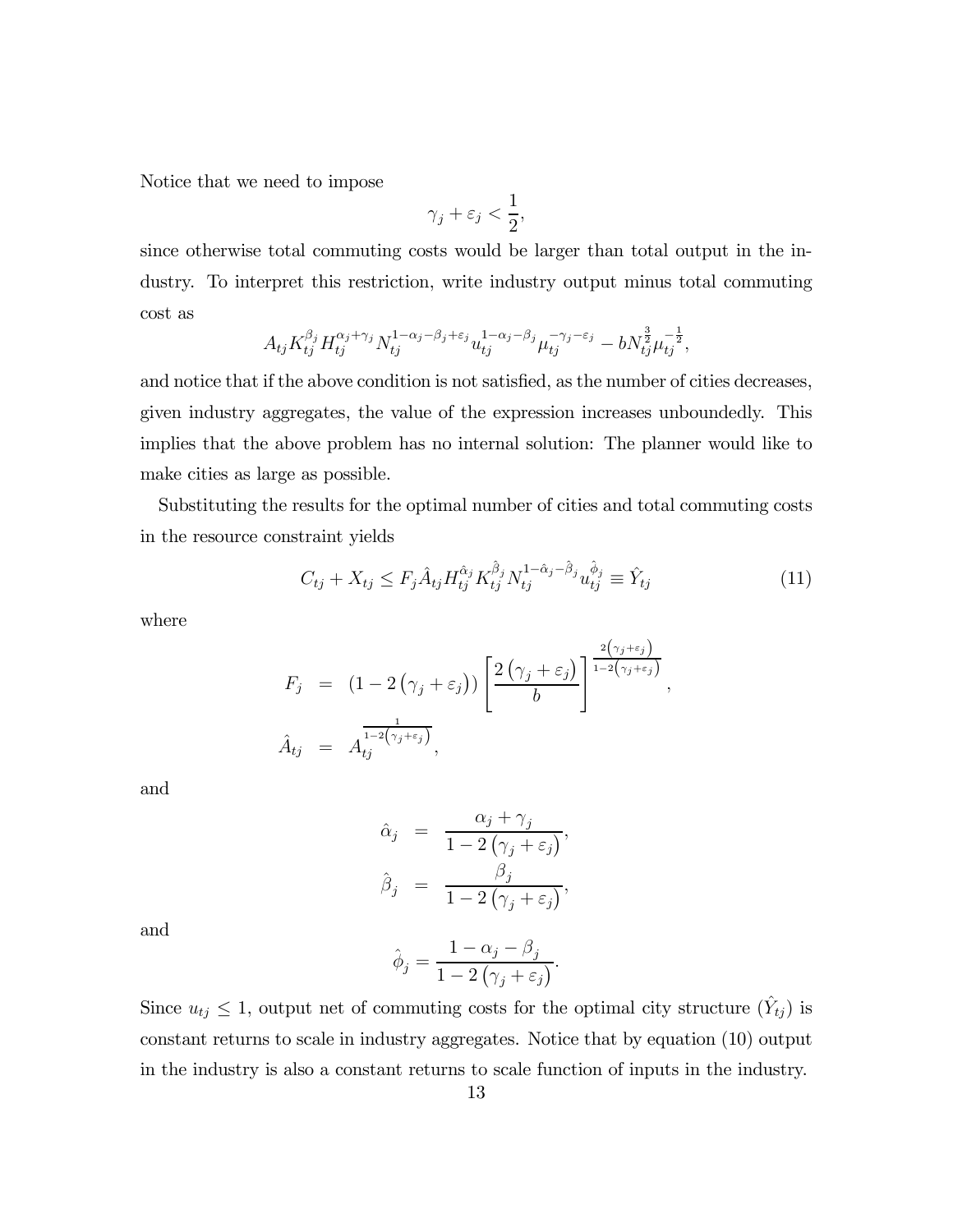Notice that we need to impose

$$
\gamma_j + \varepsilon_j < \frac{1}{2},
$$

since otherwise total commuting costs would be larger than total output in the industry. To interpret this restriction, write industry output minus total commuting cost as

$$
A_{tj} K_{tj}^{\beta_j} H_{tj}^{\alpha_j + \gamma_j} N_{tj}^{1 - \alpha_j - \beta_j + \varepsilon_j} u_{tj}^{1 - \alpha_j - \beta_j} \mu_{tj}^{-\gamma_j - \varepsilon_j} - b N_{tj}^{\frac{3}{2}} \mu_{tj}^{-\frac{1}{2}},
$$

and notice that if the above condition is not satisfied, as the number of cities decreases, given industry aggregates, the value of the expression increases unboundedly. This implies that the above problem has no internal solution: The planner would like to make cities as large as possible.

Substituting the results for the optimal number of cities and total commuting costs in the resource constraint yields

$$
C_{tj} + X_{tj} \le F_j \hat{A}_{tj} H_{tj}^{\hat{\alpha}_j} K_{tj}^{\hat{\beta}_j} N_{tj}^{1 - \hat{\alpha}_j - \hat{\beta}_j} u_{tj}^{\hat{\phi}_j} \equiv \hat{Y}_{tj}
$$
(11)

where

$$
F_j = (1 - 2(\gamma_j + \varepsilon_j)) \left[ \frac{2(\gamma_j + \varepsilon_j)}{b} \right]^{\frac{2(\gamma_j + \varepsilon_j)}{1 - 2(\gamma_j + \varepsilon_j)}},
$$
  

$$
\hat{A}_{tj} = A_{tj}^{\frac{1}{1 - 2(\gamma_j + \varepsilon_j)}},
$$

and

$$
\hat{\alpha}_j = \frac{\alpha_j + \gamma_j}{1 - 2(\gamma_j + \varepsilon_j)},
$$
  

$$
\hat{\beta}_j = \frac{\beta_j}{1 - 2(\gamma_j + \varepsilon_j)},
$$

and

$$
\hat{\phi}_j = \frac{1 - \alpha_j - \beta_j}{1 - 2\left(\gamma_j + \varepsilon_j\right)}.
$$

Since  $u_{tj} \leq 1$ , output net of commuting costs for the optimal city structure  $(\hat{Y}_{tj})$  is constant returns to scale in industry aggregates. Notice that by equation (10) output in the industry is also a constant returns to scale function of inputs in the industry.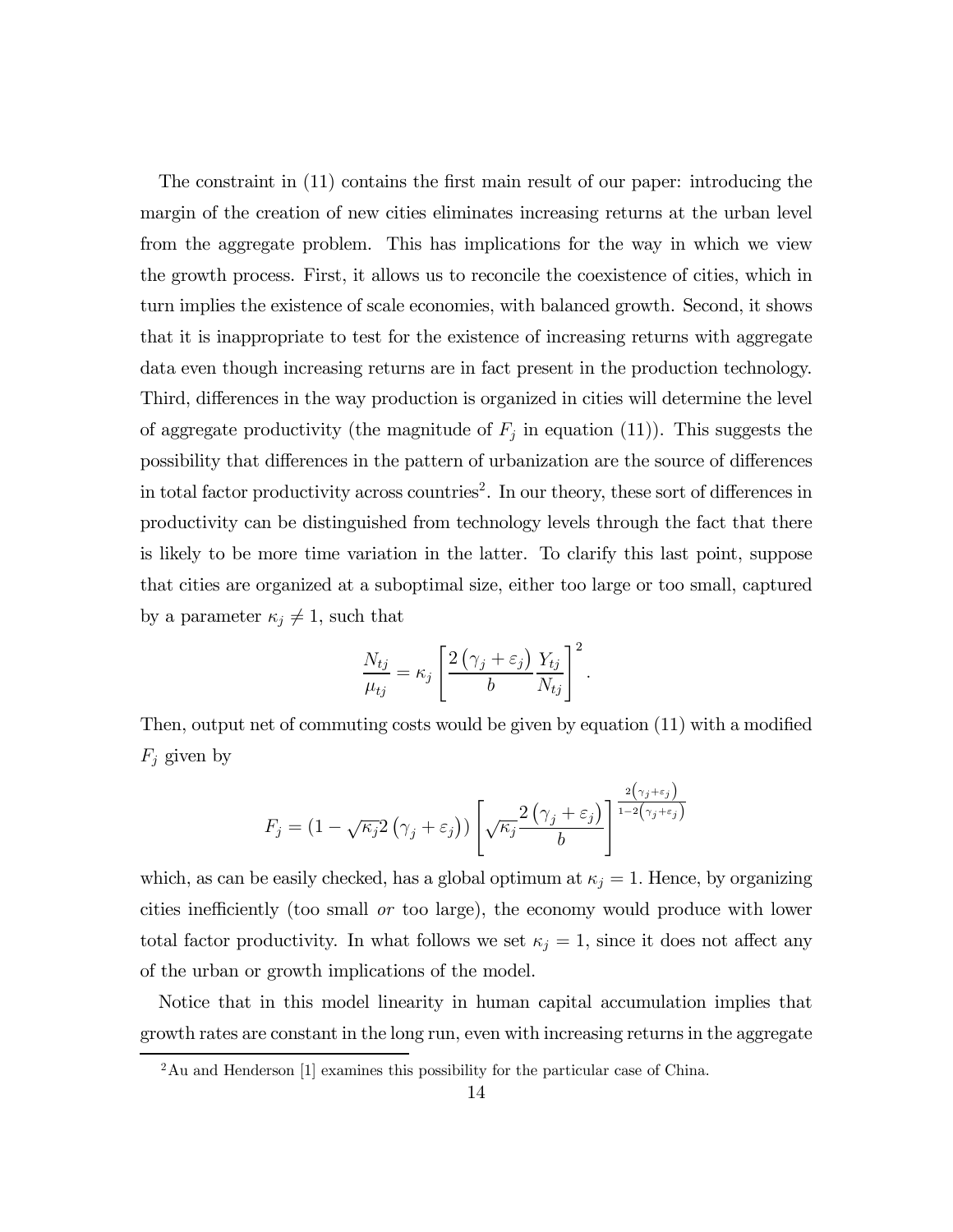The constraint in (11) contains the first main result of our paper: introducing the margin of the creation of new cities eliminates increasing returns at the urban level from the aggregate problem. This has implications for the way in which we view the growth process. First, it allows us to reconcile the coexistence of cities, which in turn implies the existence of scale economies, with balanced growth. Second, it shows that it is inappropriate to test for the existence of increasing returns with aggregate data even though increasing returns are in fact present in the production technology. Third, differences in the way production is organized in cities will determine the level of aggregate productivity (the magnitude of  $F_j$  in equation (11)). This suggests the possibility that differences in the pattern of urbanization are the source of differences in total factor productivity across countries<sup>2</sup>. In our theory, these sort of differences in productivity can be distinguished from technology levels through the fact that there is likely to be more time variation in the latter. To clarify this last point, suppose that cities are organized at a suboptimal size, either too large or too small, captured by a parameter  $\kappa_j \neq 1$ , such that

$$
\frac{N_{tj}}{\mu_{tj}} = \kappa_j \left[ \frac{2(\gamma_j + \varepsilon_j)}{b} \frac{Y_{tj}}{N_{tj}} \right]^2.
$$

Then, output net of commuting costs would be given by equation (11) with a modified  $F_i$  given by

$$
F_j = \left(1 - \sqrt{\kappa_j} 2\left(\gamma_j + \varepsilon_j\right)\right) \left[\sqrt{\kappa_j} \frac{2\left(\gamma_j + \varepsilon_j\right)}{b}\right]^{\frac{2\left(\gamma_j + \varepsilon_j\right)}{1 - 2\left(\gamma_j + \varepsilon_j\right)}}
$$

which, as can be easily checked, has a global optimum at  $\kappa_j = 1$ . Hence, by organizing cities inefficiently (too small or too large), the economy would produce with lower total factor productivity. In what follows we set  $\kappa_j = 1$ , since it does not affect any of the urban or growth implications of the model.

Notice that in this model linearity in human capital accumulation implies that growth rates are constant in the long run, even with increasing returns in the aggregate

<sup>&</sup>lt;sup>2</sup>Au and Henderson [1] examines this possibility for the particular case of China.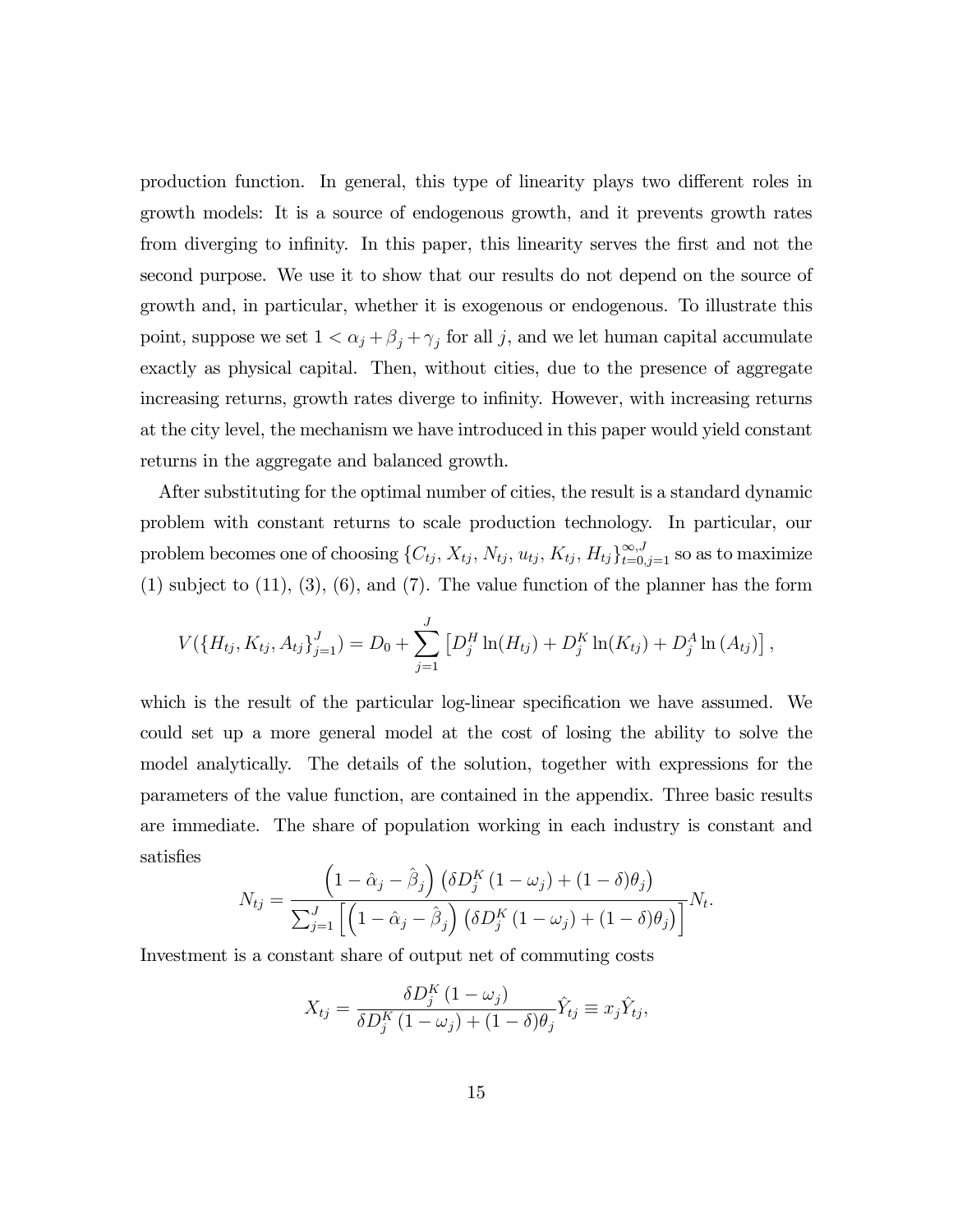production function. In general, this type of linearity plays two different roles in growth models: It is a source of endogenous growth, and it prevents growth rates from diverging to infinity. In this paper, this linearity serves the first and not the second purpose. We use it to show that our results do not depend on the source of growth and, in particular, whether it is exogenous or endogenous. To illustrate this point, suppose we set  $1 < \alpha_j + \beta_j + \gamma_j$  for all j, and we let human capital accumulate exactly as physical capital. Then, without cities, due to the presence of aggregate increasing returns, growth rates diverge to infinity. However, with increasing returns at the city level, the mechanism we have introduced in this paper would yield constant returns in the aggregate and balanced growth.

After substituting for the optimal number of cities, the result is a standard dynamic problem with constant returns to scale production technology. In particular, our problem becomes one of choosing  $\{C_{tj}, X_{tj}, N_{tj}, u_{tj}, K_{tj}, H_{tj}\}_{t=0,j=1}^{\infty,J}$  so as to maximize  $(1)$  subject to  $(11)$ ,  $(3)$ ,  $(6)$ , and  $(7)$ . The value function of the planner has the form

$$
V(\lbrace H_{tj}, K_{tj}, A_{tj} \rbrace_{j=1}^{J}) = D_0 + \sum_{j=1}^{J} \left[ D_j^H \ln(H_{tj}) + D_j^K \ln(K_{tj}) + D_j^A \ln(A_{tj}) \right],
$$

which is the result of the particular log-linear specification we have assumed. We could set up a more general model at the cost of losing the ability to solve the model analytically. The details of the solution, together with expressions for the parameters of the value function, are contained in the appendix. Three basic results are immediate. The share of population working in each industry is constant and satisfies

$$
N_{tj} = \frac{\left(1 - \hat{\alpha}_j - \hat{\beta}_j\right) \left(\delta D_j^K\left(1 - \omega_j\right) + (1 - \delta)\theta_j\right)}{\sum_{j=1}^J \left[\left(1 - \hat{\alpha}_j - \hat{\beta}_j\right) \left(\delta D_j^K\left(1 - \omega_j\right) + (1 - \delta)\theta_j\right)\right]} N_t.
$$

Investment is a constant share of output net of commuting costs

$$
X_{tj} = \frac{\delta D_j^K (1 - \omega_j)}{\delta D_j^K (1 - \omega_j) + (1 - \delta) \theta_j} \hat{Y}_{tj} \equiv x_j \hat{Y}_{tj},
$$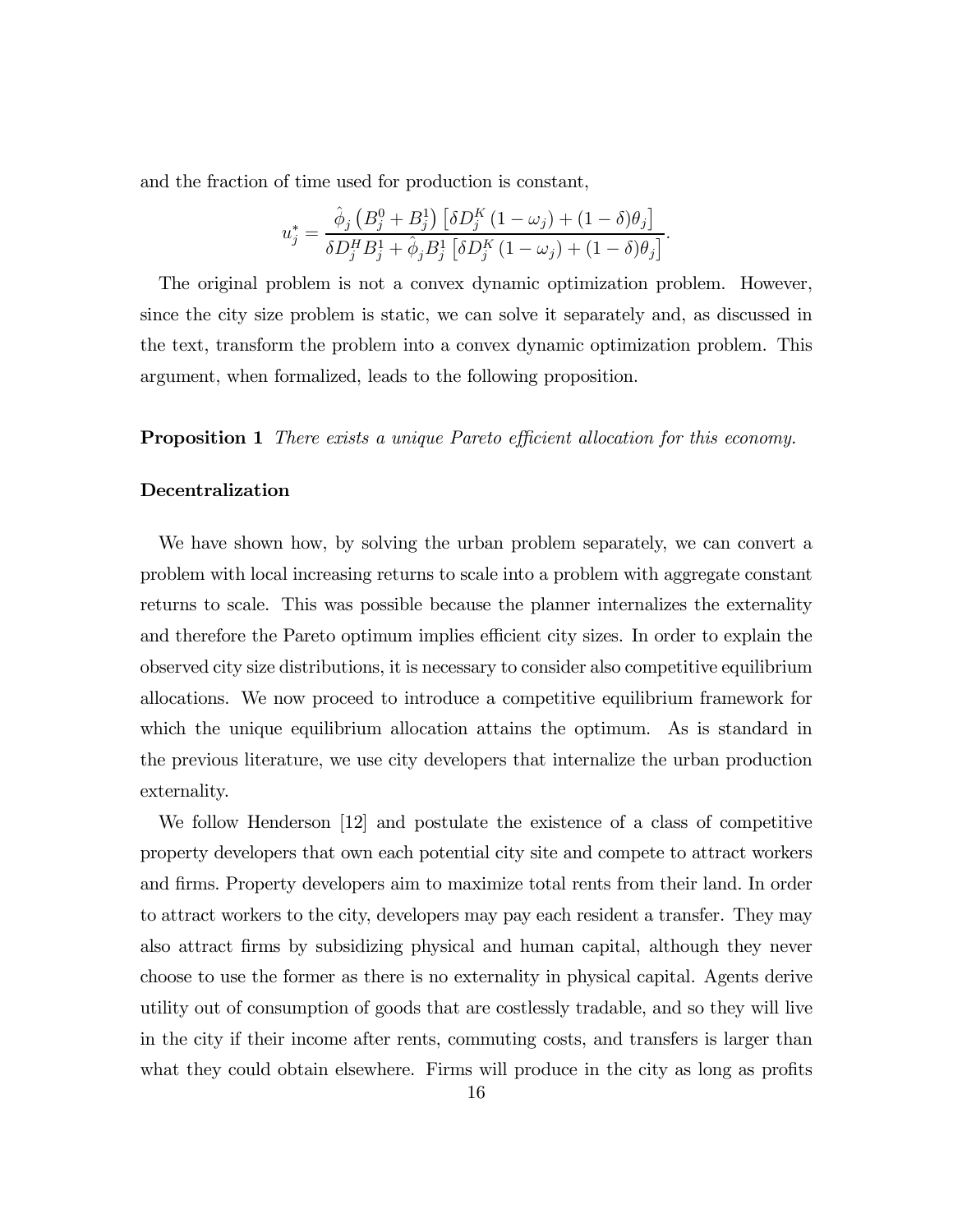and the fraction of time used for production is constant,

$$
u_j^* = \frac{\hat{\phi}_j \left( B_j^0 + B_j^1 \right) \left[ \delta D_j^K (1 - \omega_j) + (1 - \delta) \theta_j \right]}{\delta D_j^H B_j^1 + \hat{\phi}_j B_j^1 \left[ \delta D_j^K (1 - \omega_j) + (1 - \delta) \theta_j \right]}.
$$

The original problem is not a convex dynamic optimization problem. However, since the city size problem is static, we can solve it separately and, as discussed in the text, transform the problem into a convex dynamic optimization problem. This argument, when formalized, leads to the following proposition.

**Proposition 1** There exists a unique Pareto efficient allocation for this economy.

### Decentralization

We have shown how, by solving the urban problem separately, we can convert a problem with local increasing returns to scale into a problem with aggregate constant returns to scale. This was possible because the planner internalizes the externality and therefore the Pareto optimum implies efficient city sizes. In order to explain the observed city size distributions, it is necessary to consider also competitive equilibrium allocations. We now proceed to introduce a competitive equilibrium framework for which the unique equilibrium allocation attains the optimum. As is standard in the previous literature, we use city developers that internalize the urban production externality.

We follow Henderson [12] and postulate the existence of a class of competitive property developers that own each potential city site and compete to attract workers and firms. Property developers aim to maximize total rents from their land. In order to attract workers to the city, developers may pay each resident a transfer. They may also attract firms by subsidizing physical and human capital, although they never choose to use the former as there is no externality in physical capital. Agents derive utility out of consumption of goods that are costlessly tradable, and so they will live in the city if their income after rents, commuting costs, and transfers is larger than what they could obtain elsewhere. Firms will produce in the city as long as profits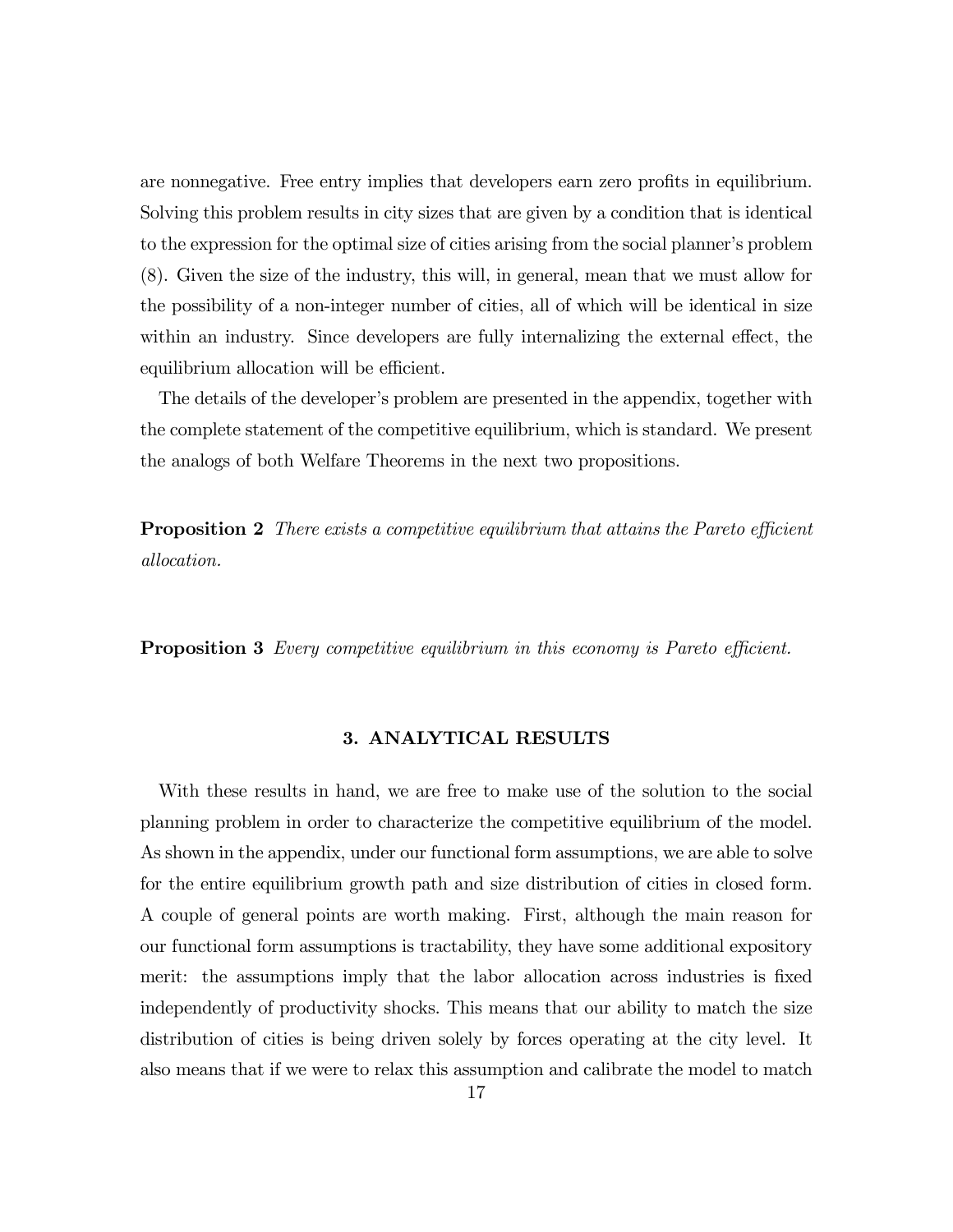are nonnegative. Free entry implies that developers earn zero profits in equilibrium. Solving this problem results in city sizes that are given by a condition that is identical to the expression for the optimal size of cities arising from the social planner's problem (8). Given the size of the industry, this will, in general, mean that we must allow for the possibility of a non-integer number of cities, all of which will be identical in size within an industry. Since developers are fully internalizing the external effect, the equilibrium allocation will be efficient.

The details of the developer's problem are presented in the appendix, together with the complete statement of the competitive equilibrium, which is standard. We present the analogs of both Welfare Theorems in the next two propositions.

**Proposition 2** There exists a competitive equilibrium that attains the Pareto efficient allocation.

**Proposition 3** Every competitive equilibrium in this economy is Pareto efficient.

### 3. ANALYTICAL RESULTS

With these results in hand, we are free to make use of the solution to the social planning problem in order to characterize the competitive equilibrium of the model. As shown in the appendix, under our functional form assumptions, we are able to solve for the entire equilibrium growth path and size distribution of cities in closed form. A couple of general points are worth making. First, although the main reason for our functional form assumptions is tractability, they have some additional expository merit: the assumptions imply that the labor allocation across industries is fixed independently of productivity shocks. This means that our ability to match the size distribution of cities is being driven solely by forces operating at the city level. It also means that if we were to relax this assumption and calibrate the model to match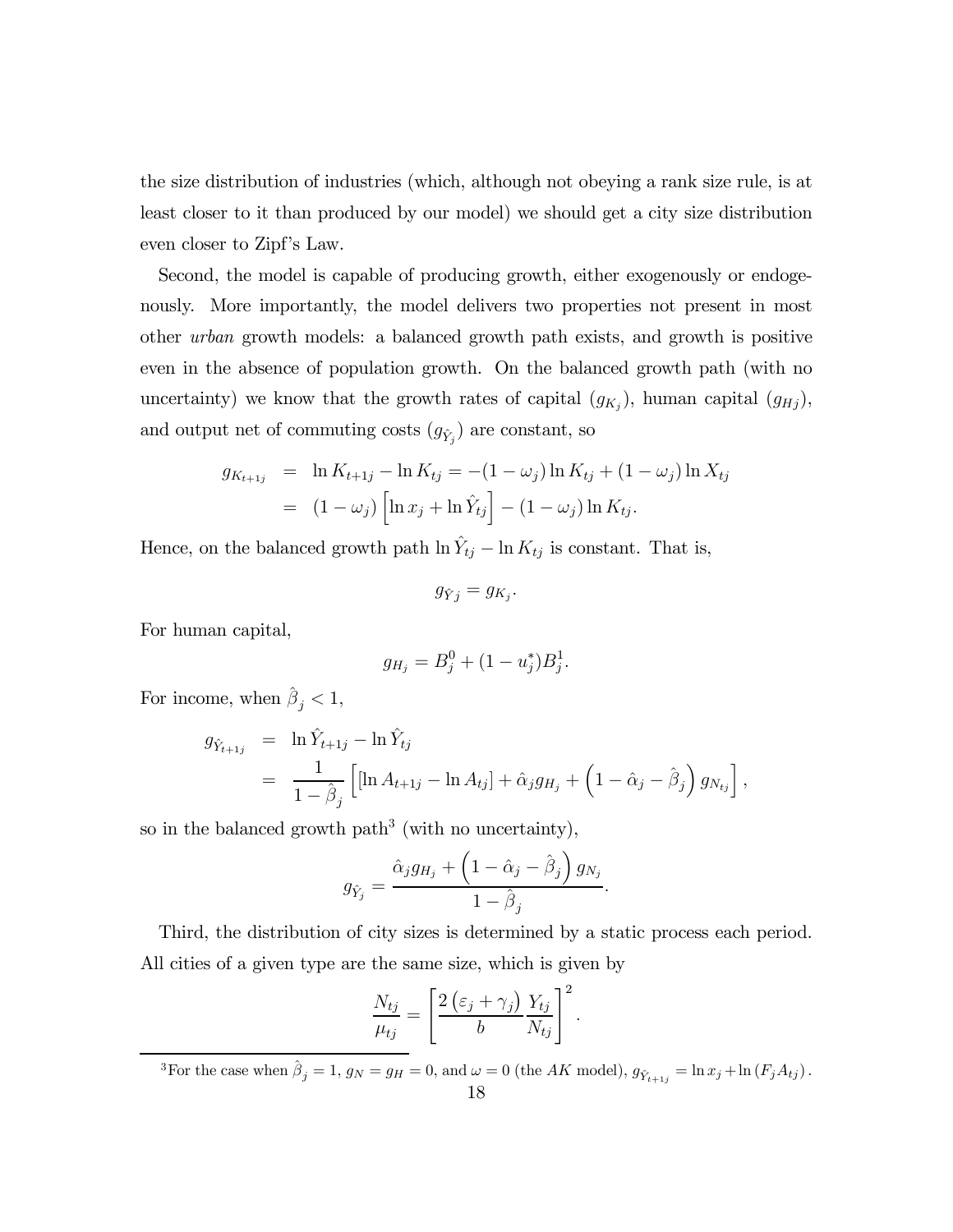the size distribution of industries (which, although not obeying a rank size rule, is at least closer to it than produced by our model) we should get a city size distribution even closer to Zipf's Law.

Second, the model is capable of producing growth, either exogenously or endogenously. More importantly, the model delivers two properties not present in most other urban growth models: a balanced growth path exists, and growth is positive even in the absence of population growth. On the balanced growth path (with no uncertainty) we know that the growth rates of capital  $(g_{K_j})$ , human capital  $(g_{Hj})$ , and output net of commuting costs  $(g_{\hat{Y}_j})$  are constant, so

$$
g_{K_{t+1j}} = \ln K_{t+1j} - \ln K_{tj} = -(1 - \omega_j) \ln K_{tj} + (1 - \omega_j) \ln X_{tj}
$$
  
=  $(1 - \omega_j) \left[ \ln x_j + \ln \hat{Y}_{tj} \right] - (1 - \omega_j) \ln K_{tj}.$ 

Hence, on the balanced growth path  $\ln Y_{tj} - \ln K_{tj}$  is constant. That is,

 $g_{\hat{Y}}_i = g_{K_i}$ .

For human capital,

$$
g_{H_j} = B_j^0 + (1 - u_j^*)B_j^1.
$$

For income, when  $\hat{\beta}_j < 1$ ,

$$
g_{\hat{Y}_{t+1j}} = \ln \hat{Y}_{t+1j} - \ln \hat{Y}_{tj}
$$
  
= 
$$
\frac{1}{1 - \hat{\beta}_j} \left[ [\ln A_{t+1j} - \ln A_{tj}] + \hat{\alpha}_j g_{H_j} + \left( 1 - \hat{\alpha}_j - \hat{\beta}_j \right) g_{N_{tj}} \right],
$$

so in the balanced growth path<sup>3</sup> (with no uncertainty),

$$
g_{\hat{Y}_j} = \frac{\hat{\alpha}_j g_{H_j} + \left(1 - \hat{\alpha}_j - \hat{\beta}_j\right) g_{N_j}}{1 - \hat{\beta}_j}.
$$

Third, the distribution of city sizes is determined by a static process each period. All cities of a given type are the same size, which is given by

$$
\frac{N_{tj}}{\mu_{tj}} = \left[\frac{2\left(\varepsilon_j + \gamma_j\right)}{b} \frac{Y_{tj}}{N_{tj}}\right]^2.
$$

<sup>3</sup>For the case when  $\hat{\beta}_j = 1$ ,  $g_N = g_H = 0$ , and  $\omega = 0$  (the AK model),  $g_{\hat{Y}_{t+1j}} = \ln x_j + \ln (F_j A_{tj})$ .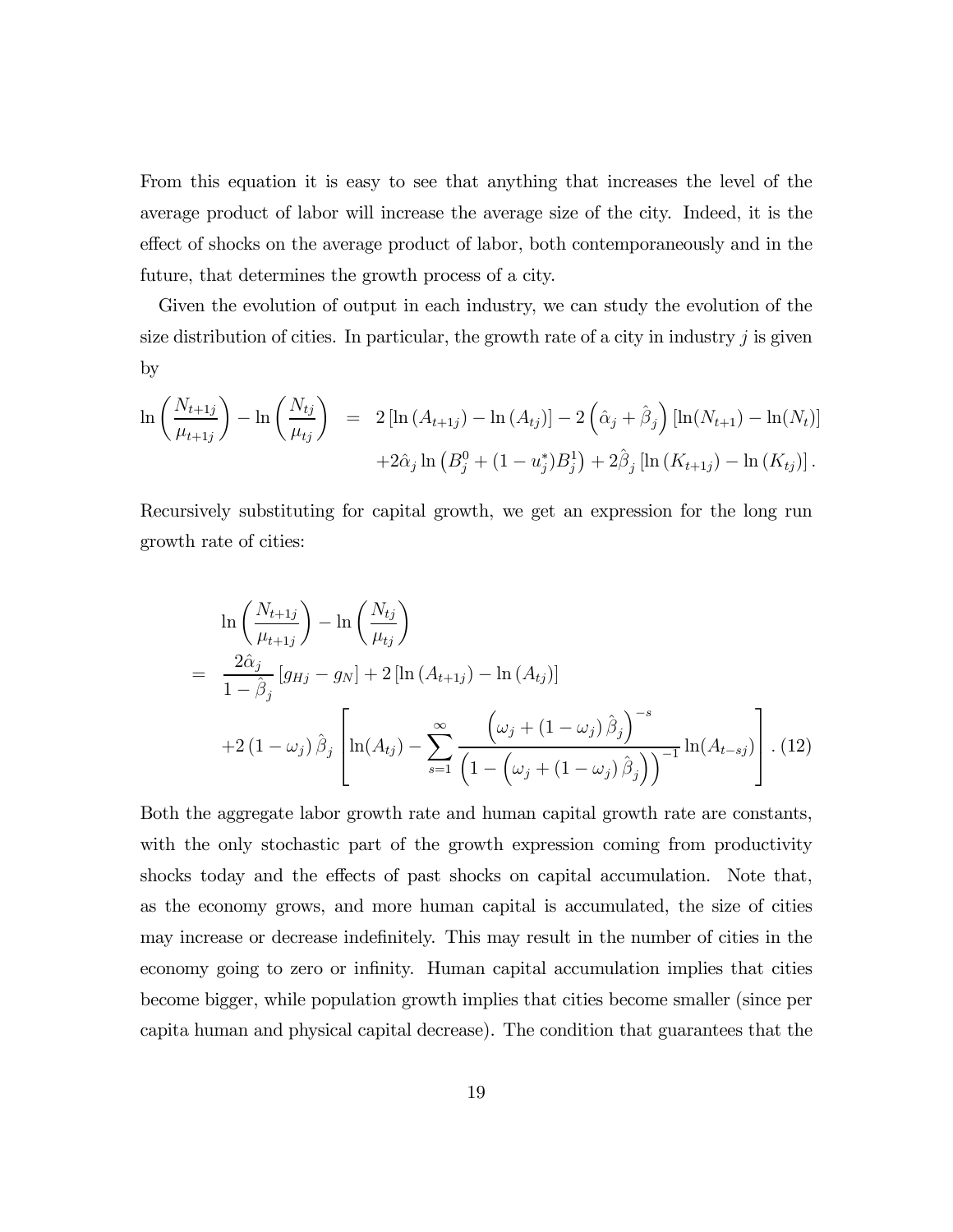From this equation it is easy to see that anything that increases the level of the average product of labor will increase the average size of the city. Indeed, it is the effect of shocks on the average product of labor, both contemporaneously and in the future, that determines the growth process of a city.

Given the evolution of output in each industry, we can study the evolution of the size distribution of cities. In particular, the growth rate of a city in industry  $j$  is given by

$$
\ln\left(\frac{N_{t+1j}}{\mu_{t+1j}}\right) - \ln\left(\frac{N_{tj}}{\mu_{tj}}\right) = 2\left[\ln\left(A_{t+1j}\right) - \ln\left(A_{tj}\right)\right] - 2\left(\hat{\alpha}_{j} + \hat{\beta}_{j}\right)\left[\ln(N_{t+1}) - \ln(N_{t})\right] + 2\hat{\alpha}_{j}\ln\left(B_{j}^{0} + (1 - u_{j}^{*})B_{j}^{1}\right) + 2\hat{\beta}_{j}\left[\ln\left(K_{t+1j}\right) - \ln\left(K_{tj}\right)\right].
$$

Recursively substituting for capital growth, we get an expression for the long run growth rate of cities:

$$
\ln\left(\frac{N_{t+1j}}{\mu_{t+1j}}\right) - \ln\left(\frac{N_{tj}}{\mu_{tj}}\right)
$$
\n
$$
= \frac{2\hat{\alpha}_j}{1-\hat{\beta}_j} \left[g_{Hj} - g_N\right] + 2\left[\ln\left(A_{t+1j}\right) - \ln\left(A_{tj}\right)\right]
$$
\n
$$
+ 2\left(1-\omega_j\right)\hat{\beta}_j \left[\ln\left(A_{tj}\right) - \sum_{s=1}^{\infty} \frac{\left(\omega_j + \left(1-\omega_j\right)\hat{\beta}_j\right)^{-s}}{\left(1-\left(\omega_j + \left(1-\omega_j\right)\hat{\beta}_j\right)\right)^{-1}}\ln\left(A_{t-sj}\right)\right].
$$
\n(12)

Both the aggregate labor growth rate and human capital growth rate are constants, with the only stochastic part of the growth expression coming from productivity shocks today and the effects of past shocks on capital accumulation. Note that, as the economy grows, and more human capital is accumulated, the size of cities may increase or decrease indefinitely. This may result in the number of cities in the economy going to zero or infinity. Human capital accumulation implies that cities become bigger, while population growth implies that cities become smaller (since per capita human and physical capital decrease). The condition that guarantees that the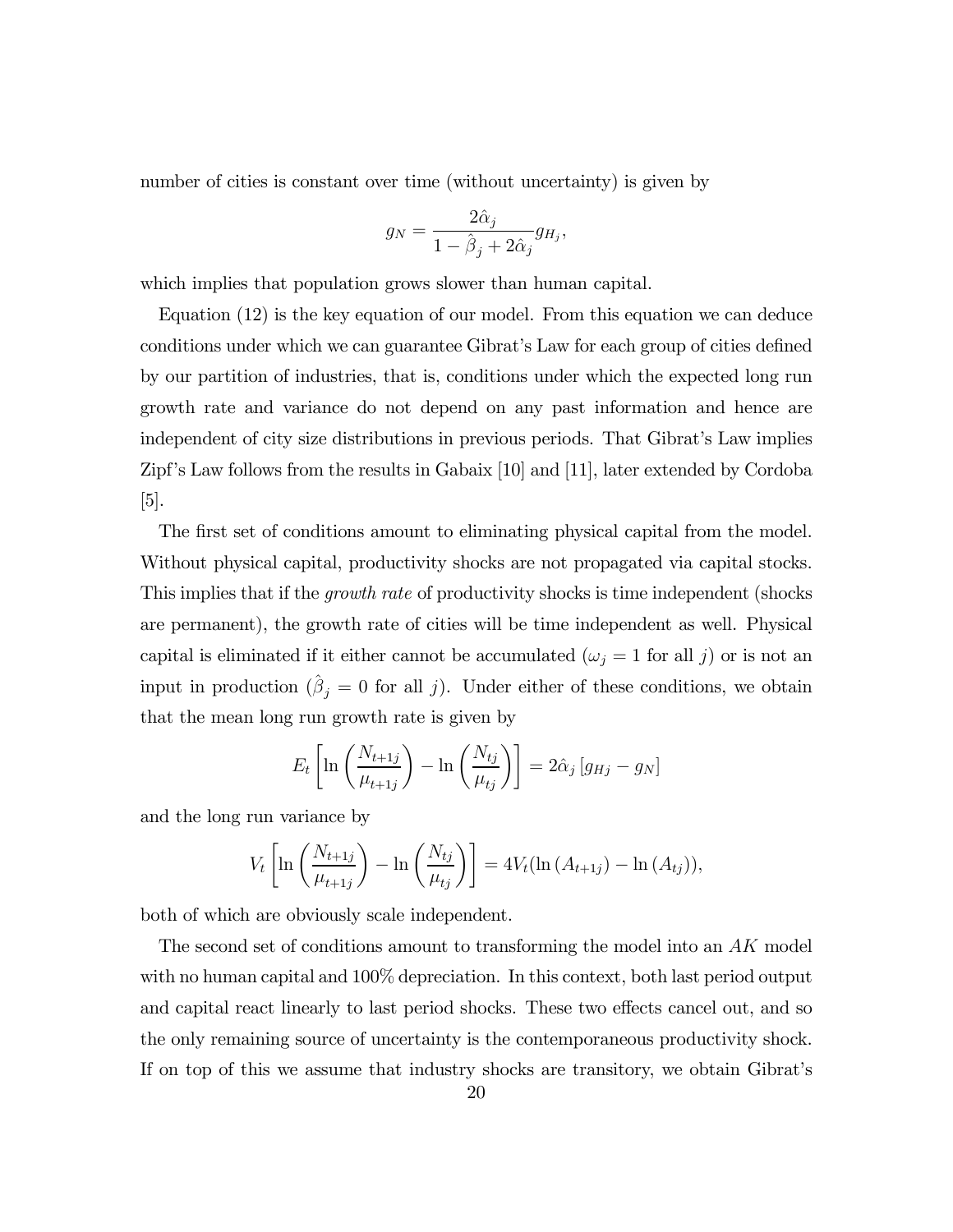number of cities is constant over time (without uncertainty) is given by

$$
g_N = \frac{2\hat{\alpha}_j}{1 - \hat{\beta}_j + 2\hat{\alpha}_j} g_{H_j},
$$

which implies that population grows slower than human capital.

Equation (12) is the key equation of our model. From this equation we can deduce conditions under which we can guarantee Gibrat's Law for each group of cities defined by our partition of industries, that is, conditions under which the expected long run growth rate and variance do not depend on any past information and hence are independent of city size distributions in previous periods. That Gibrat's Law implies Zipf's Law follows from the results in Gabaix [10] and [11], later extended by Cordoba  $|5|$ .

The first set of conditions amount to eliminating physical capital from the model. Without physical capital, productivity shocks are not propagated via capital stocks. This implies that if the *growth rate* of productivity shocks is time independent (shocks) are permanent), the growth rate of cities will be time independent as well. Physical capital is eliminated if it either cannot be accumulated  $(\omega_j = 1$  for all j) or is not an input in production  $(\hat{\beta}_j = 0 \text{ for all } j)$ . Under either of these conditions, we obtain that the mean long run growth rate is given by

$$
E_t\left[\ln\left(\frac{N_{t+1j}}{\mu_{t+1j}}\right) - \ln\left(\frac{N_{tj}}{\mu_{tj}}\right)\right] = 2\hat{\alpha}_j\left[g_{Hj} - g_N\right]
$$

and the long run variance by

$$
V_t\left[\ln\left(\frac{N_{t+1j}}{\mu_{t+1j}}\right)-\ln\left(\frac{N_{tj}}{\mu_{tj}}\right)\right]=4V_t(\ln\left(A_{t+1j}\right)-\ln\left(A_{tj}\right)),
$$

both of which are obviously scale independent.

The second set of conditions amount to transforming the model into an  $AK$  model with no human capital and 100% depreciation. In this context, both last period output and capital react linearly to last period shocks. These two effects cancel out, and so the only remaining source of uncertainty is the contemporaneous productivity shock. If on top of this we assume that industry shocks are transitory, we obtain Gibrat's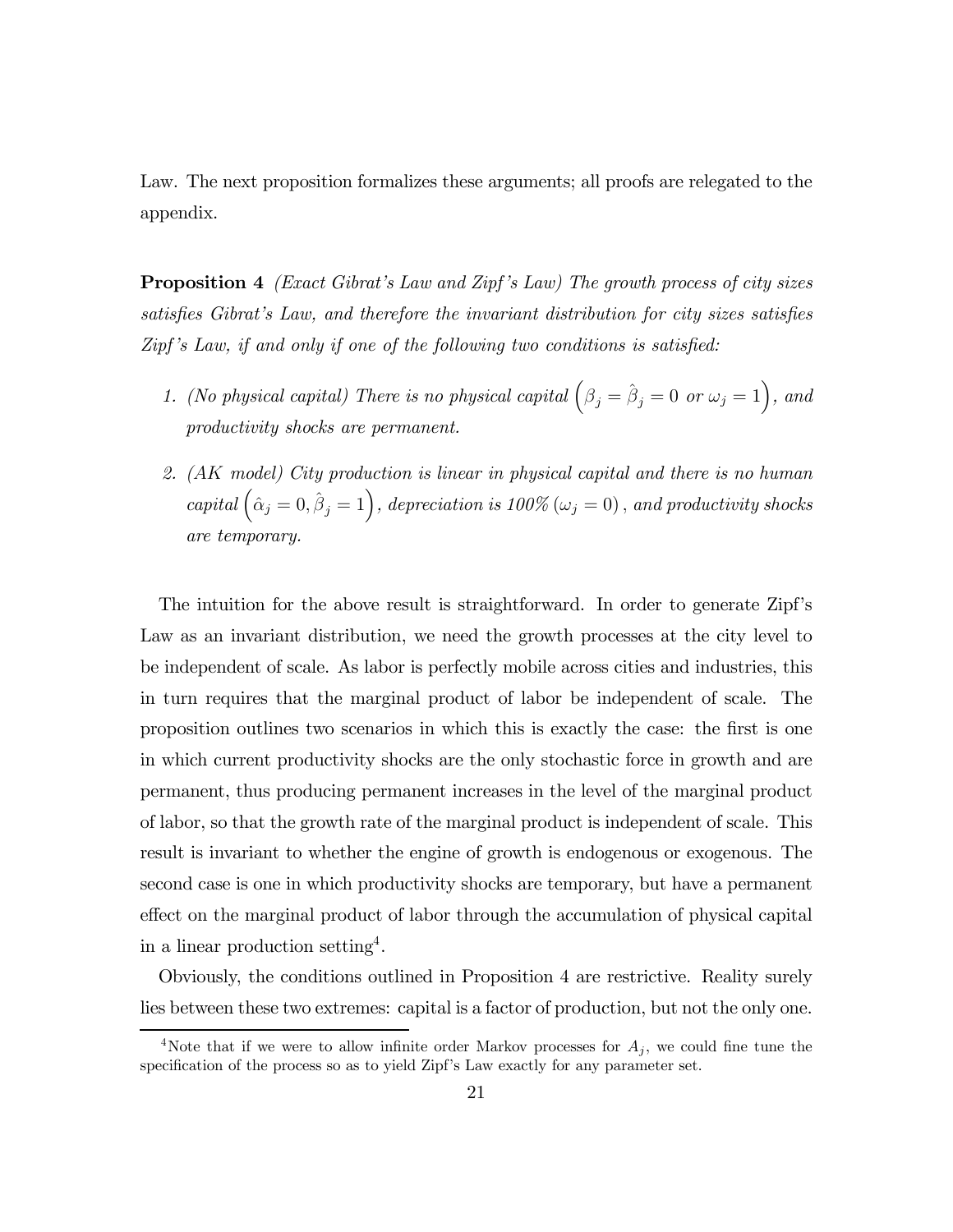Law. The next proposition formalizes these arguments; all proofs are relegated to the appendix.

**Proposition 4** (Exact Gibrat's Law and Zipf's Law) The growth process of city sizes satisfies Gibrat's Law, and therefore the invariant distribution for city sizes satisfies Zipf 's Law, if and only if one of the following two conditions is satisfied:

- 1. (No physical capital) There is no physical capital  $(\beta_j = \hat{\beta}_j = 0 \text{ or } \omega_j = 1)$ , and productivity shocks are permanent.
- 2. (AK model) City production is linear in physical capital and there is no human capital  $(\hat{\alpha}_j = 0, \hat{\beta}_j = 1)$ , depreciation is 100% ( $\omega_j = 0$ ), and productivity shocks are temporary.

The intuition for the above result is straightforward. In order to generate Zipf's Law as an invariant distribution, we need the growth processes at the city level to be independent of scale. As labor is perfectly mobile across cities and industries, this in turn requires that the marginal product of labor be independent of scale. The proposition outlines two scenarios in which this is exactly the case: the first is one in which current productivity shocks are the only stochastic force in growth and are permanent, thus producing permanent increases in the level of the marginal product of labor, so that the growth rate of the marginal product is independent of scale. This result is invariant to whether the engine of growth is endogenous or exogenous. The second case is one in which productivity shocks are temporary, but have a permanent effect on the marginal product of labor through the accumulation of physical capital in a linear production setting<sup>4</sup>.

Obviously, the conditions outlined in Proposition 4 are restrictive. Reality surely lies between these two extremes: capital is a factor of production, but not the only one.

<sup>&</sup>lt;sup>4</sup>Note that if we were to allow infinite order Markov processes for  $A_j$ , we could fine tune the specification of the process so as to yield Zipf's Law exactly for any parameter set.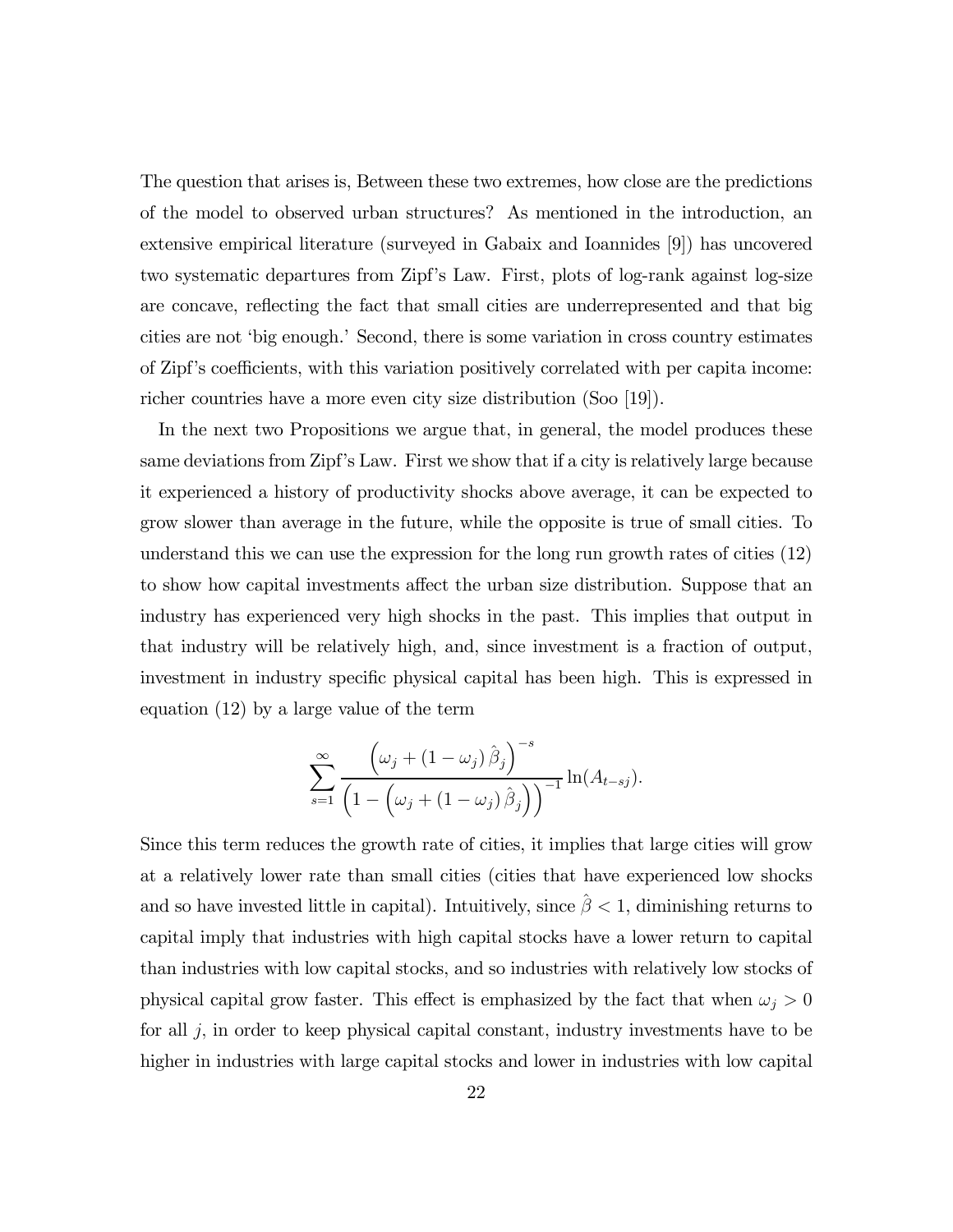The question that arises is, Between these two extremes, how close are the predictions of the model to observed urban structures? As mentioned in the introduction, an extensive empirical literature (surveyed in Gabaix and Ioannides [9]) has uncovered two systematic departures from Zipf's Law. First, plots of log-rank against log-size are concave, reflecting the fact that small cities are underrepresented and that big cities are not 'big enough.' Second, there is some variation in cross country estimates of Zipf's coefficients, with this variation positively correlated with per capita income: richer countries have a more even city size distribution (Soo [19]).

In the next two Propositions we argue that, in general, the model produces these same deviations from Zipf's Law. First we show that if a city is relatively large because it experienced a history of productivity shocks above average, it can be expected to grow slower than average in the future, while the opposite is true of small cities. To understand this we can use the expression for the long run growth rates of cities (12) to show how capital investments affect the urban size distribution. Suppose that an industry has experienced very high shocks in the past. This implies that output in that industry will be relatively high, and, since investment is a fraction of output, investment in industry specific physical capital has been high. This is expressed in equation (12) by a large value of the term

$$
\sum_{s=1}^{\infty} \frac{\left(\omega_j + \left(1 - \omega_j\right)\hat{\beta}_j\right)^{-s}}{\left(1 - \left(\omega_j + \left(1 - \omega_j\right)\hat{\beta}_j\right)\right)^{-1}} \ln(A_{t-sj}).
$$

Since this term reduces the growth rate of cities, it implies that large cities will grow at a relatively lower rate than small cities (cities that have experienced low shocks and so have invested little in capital). Intuitively, since  $\hat{\beta}$  < 1, diminishing returns to capital imply that industries with high capital stocks have a lower return to capital than industries with low capital stocks, and so industries with relatively low stocks of physical capital grow faster. This effect is emphasized by the fact that when  $\omega_j > 0$ for all j, in order to keep physical capital constant, industry investments have to be higher in industries with large capital stocks and lower in industries with low capital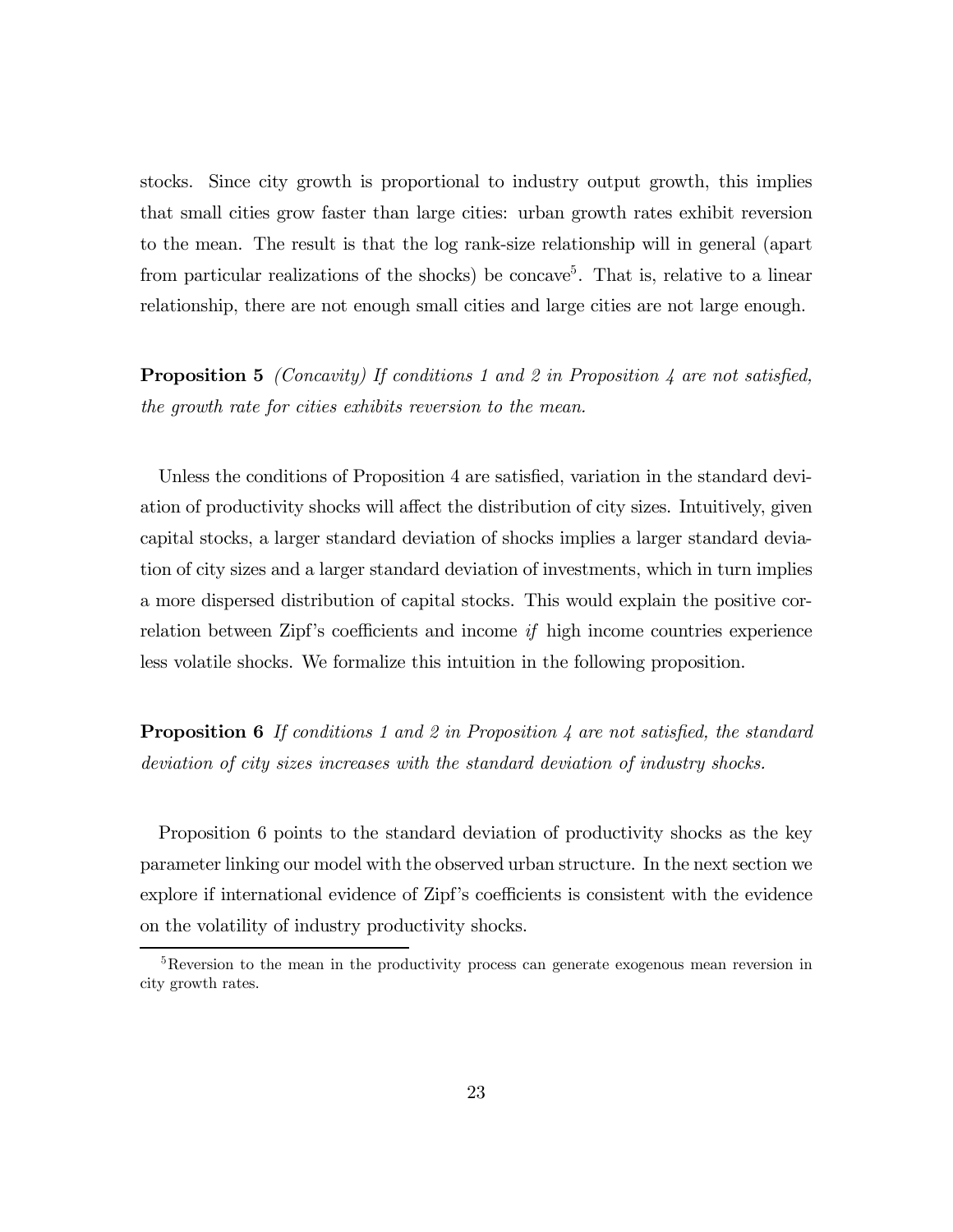stocks. Since city growth is proportional to industry output growth, this implies that small cities grow faster than large cities: urban growth rates exhibit reversion to the mean. The result is that the log rank-size relationship will in general (apart from particular realizations of the shocks) be concave<sup>5</sup>. That is, relative to a linear relationship, there are not enough small cities and large cities are not large enough.

**Proposition 5** (Concavity) If conditions 1 and 2 in Proposition 4 are not satisfied, the growth rate for cities exhibits reversion to the mean.

Unless the conditions of Proposition 4 are satisfied, variation in the standard deviation of productivity shocks will affect the distribution of city sizes. Intuitively, given capital stocks, a larger standard deviation of shocks implies a larger standard deviation of city sizes and a larger standard deviation of investments, which in turn implies a more dispersed distribution of capital stocks. This would explain the positive correlation between Zipf's coefficients and income if high income countries experience less volatile shocks. We formalize this intuition in the following proposition.

**Proposition 6** If conditions 1 and 2 in Proposition 4 are not satisfied, the standard deviation of city sizes increases with the standard deviation of industry shocks.

Proposition 6 points to the standard deviation of productivity shocks as the key parameter linking our model with the observed urban structure. In the next section we explore if international evidence of Zipf's coefficients is consistent with the evidence on the volatility of industry productivity shocks.

<sup>5</sup>Reversion to the mean in the productivity process can generate exogenous mean reversion in city growth rates.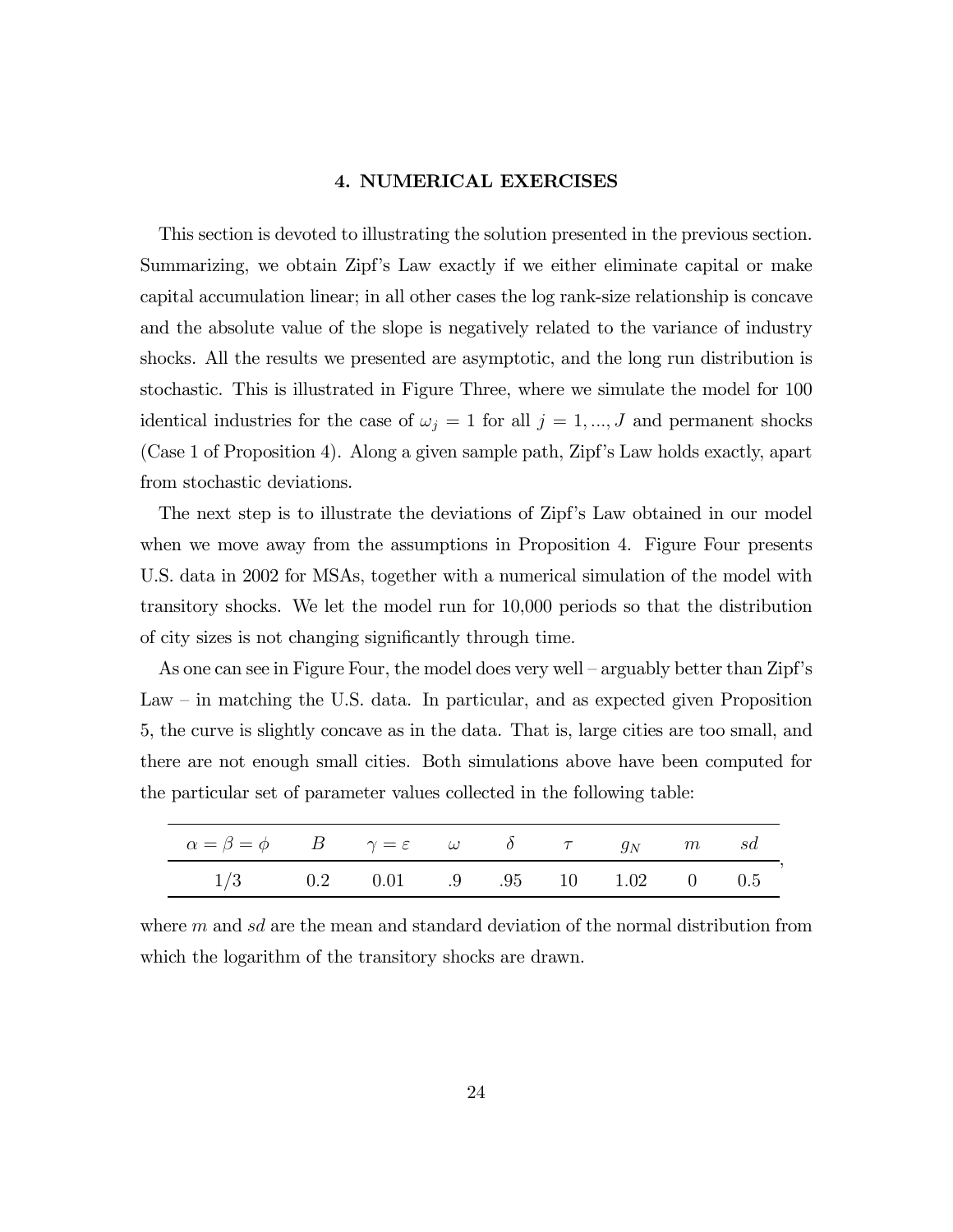#### 4. NUMERICAL EXERCISES

This section is devoted to illustrating the solution presented in the previous section. Summarizing, we obtain Zipf's Law exactly if we either eliminate capital or make capital accumulation linear; in all other cases the log rank-size relationship is concave and the absolute value of the slope is negatively related to the variance of industry shocks. All the results we presented are asymptotic, and the long run distribution is stochastic. This is illustrated in Figure Three, where we simulate the model for 100 identical industries for the case of  $\omega_j = 1$  for all  $j = 1, ..., J$  and permanent shocks (Case 1 of Proposition 4). Along a given sample path, Zipf's Law holds exactly, apart from stochastic deviations.

The next step is to illustrate the deviations of Zipf's Law obtained in our model when we move away from the assumptions in Proposition 4. Figure Four presents U.S. data in 2002 for MSAs, together with a numerical simulation of the model with transitory shocks. We let the model run for 10,000 periods so that the distribution of city sizes is not changing significantly through time.

As one can see in Figure Four, the model does very well — arguably better than Zipf's Law — in matching the U.S. data. In particular, and as expected given Proposition 5, the curve is slightly concave as in the data. That is, large cities are too small, and there are not enough small cities. Both simulations above have been computed for the particular set of parameter values collected in the following table:

| $\alpha = \beta = \phi$ B $\gamma = \varepsilon$ $\omega$ $\delta$ $\tau$ $g_N$ m $sd$ |  |  |  |  |
|----------------------------------------------------------------------------------------|--|--|--|--|
| $1/3$ 0.2 0.01 .9 .95 10 1.02 0 0.5                                                    |  |  |  |  |

,

where  $m$  and  $sd$  are the mean and standard deviation of the normal distribution from which the logarithm of the transitory shocks are drawn.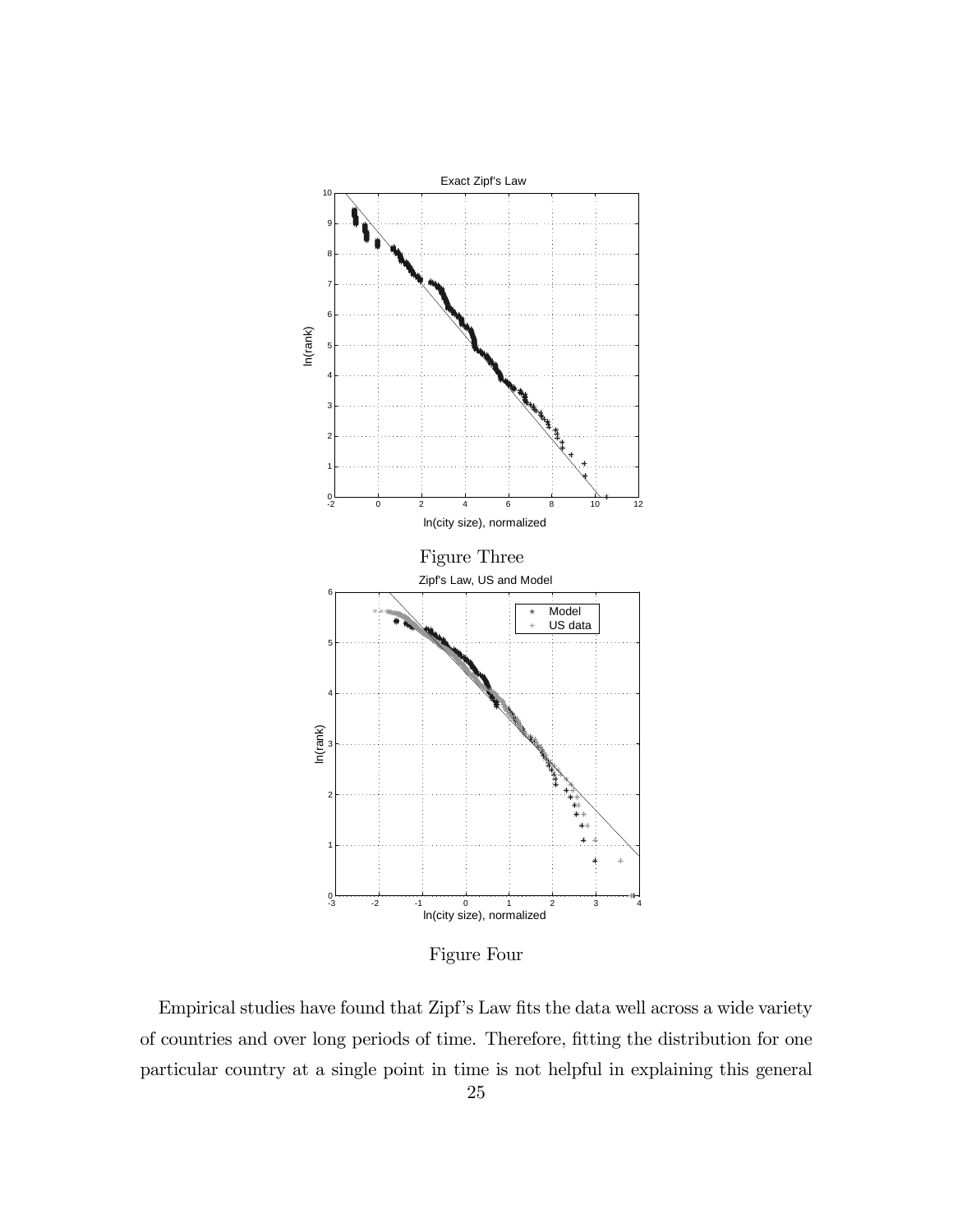

Figure Four

Empirical studies have found that Zipf's Law fits the data well across a wide variety of countries and over long periods of time. Therefore, fitting the distribution for one particular country at a single point in time is not helpful in explaining this general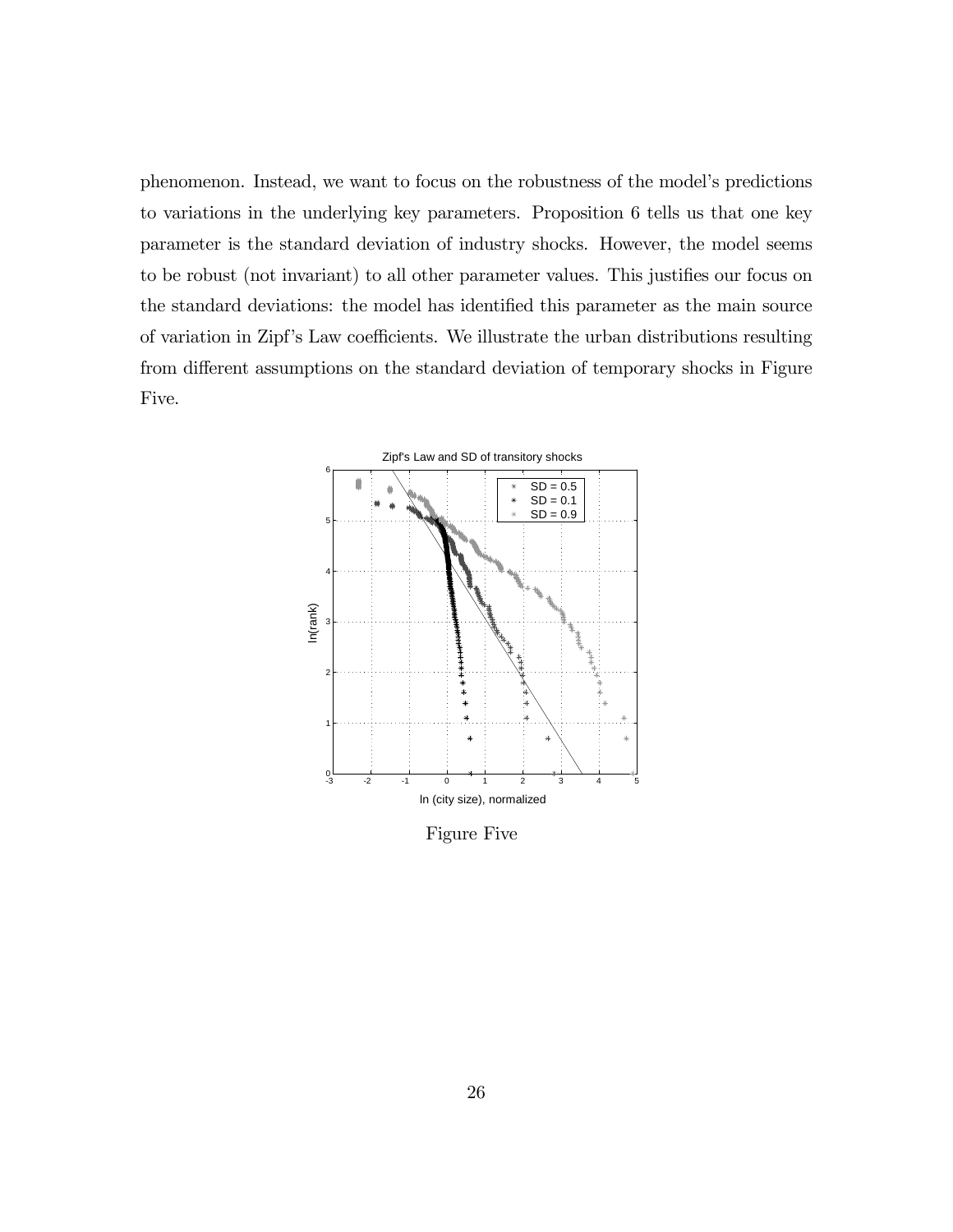phenomenon. Instead, we want to focus on the robustness of the model's predictions to variations in the underlying key parameters. Proposition 6 tells us that one key parameter is the standard deviation of industry shocks. However, the model seems to be robust (not invariant) to all other parameter values. This justifies our focus on the standard deviations: the model has identified this parameter as the main source of variation in Zipf's Law coefficients. We illustrate the urban distributions resulting from different assumptions on the standard deviation of temporary shocks in Figure Five.



Figure Five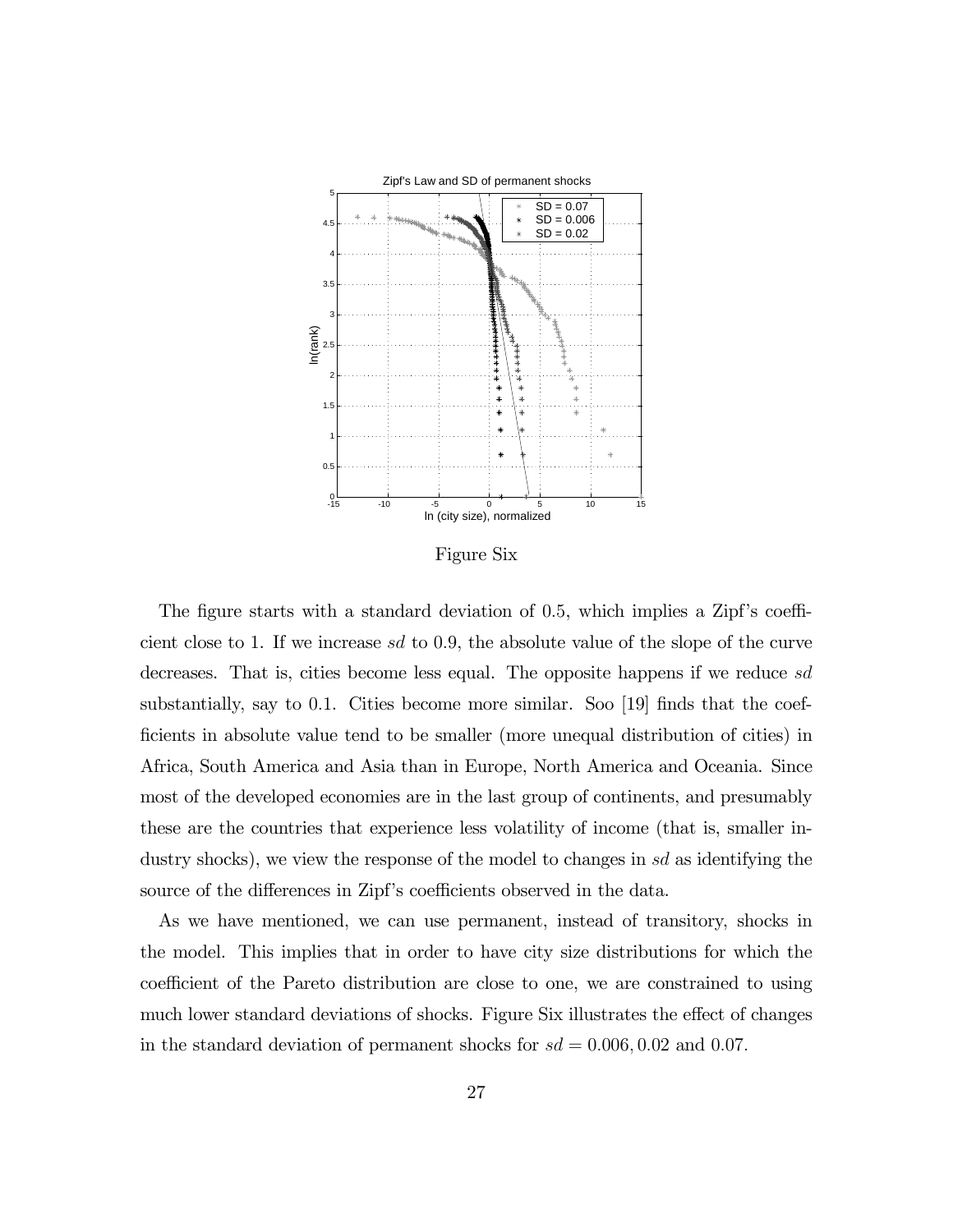

Figure Six

The figure starts with a standard deviation of 0.5, which implies a Zipf's coefficient close to 1. If we increase  $sd$  to 0.9, the absolute value of the slope of the curve decreases. That is, cities become less equal. The opposite happens if we reduce sd substantially, say to 0.1. Cities become more similar. Soo [19] finds that the coefficients in absolute value tend to be smaller (more unequal distribution of cities) in Africa, South America and Asia than in Europe, North America and Oceania. Since most of the developed economies are in the last group of continents, and presumably these are the countries that experience less volatility of income (that is, smaller industry shocks), we view the response of the model to changes in sd as identifying the source of the differences in Zipf's coefficients observed in the data.

As we have mentioned, we can use permanent, instead of transitory, shocks in the model. This implies that in order to have city size distributions for which the coefficient of the Pareto distribution are close to one, we are constrained to using much lower standard deviations of shocks. Figure Six illustrates the effect of changes in the standard deviation of permanent shocks for  $sd = 0.006, 0.02$  and 0.07.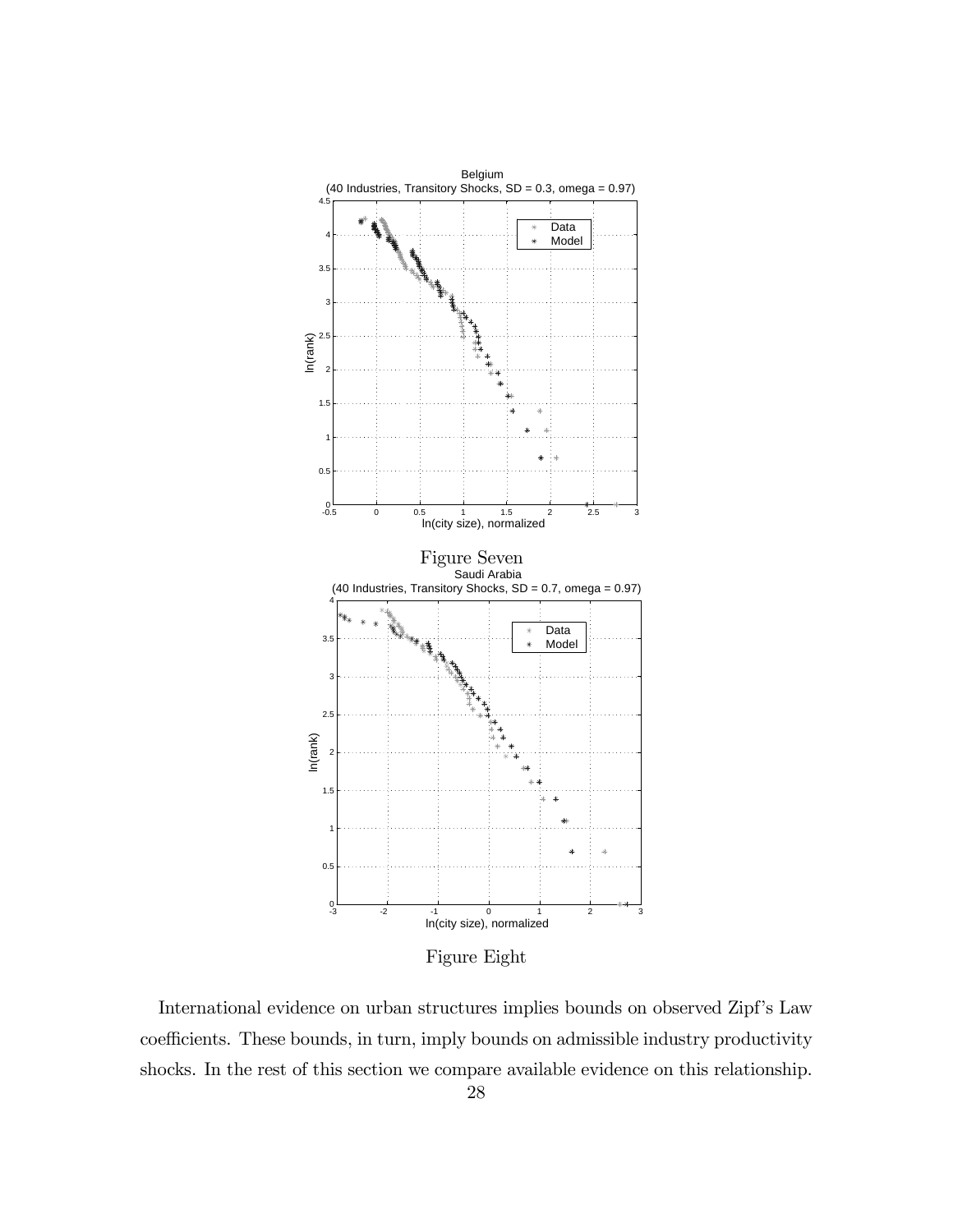

Figure Eight

International evidence on urban structures implies bounds on observed Zipf's Law coefficients. These bounds, in turn, imply bounds on admissible industry productivity shocks. In the rest of this section we compare available evidence on this relationship.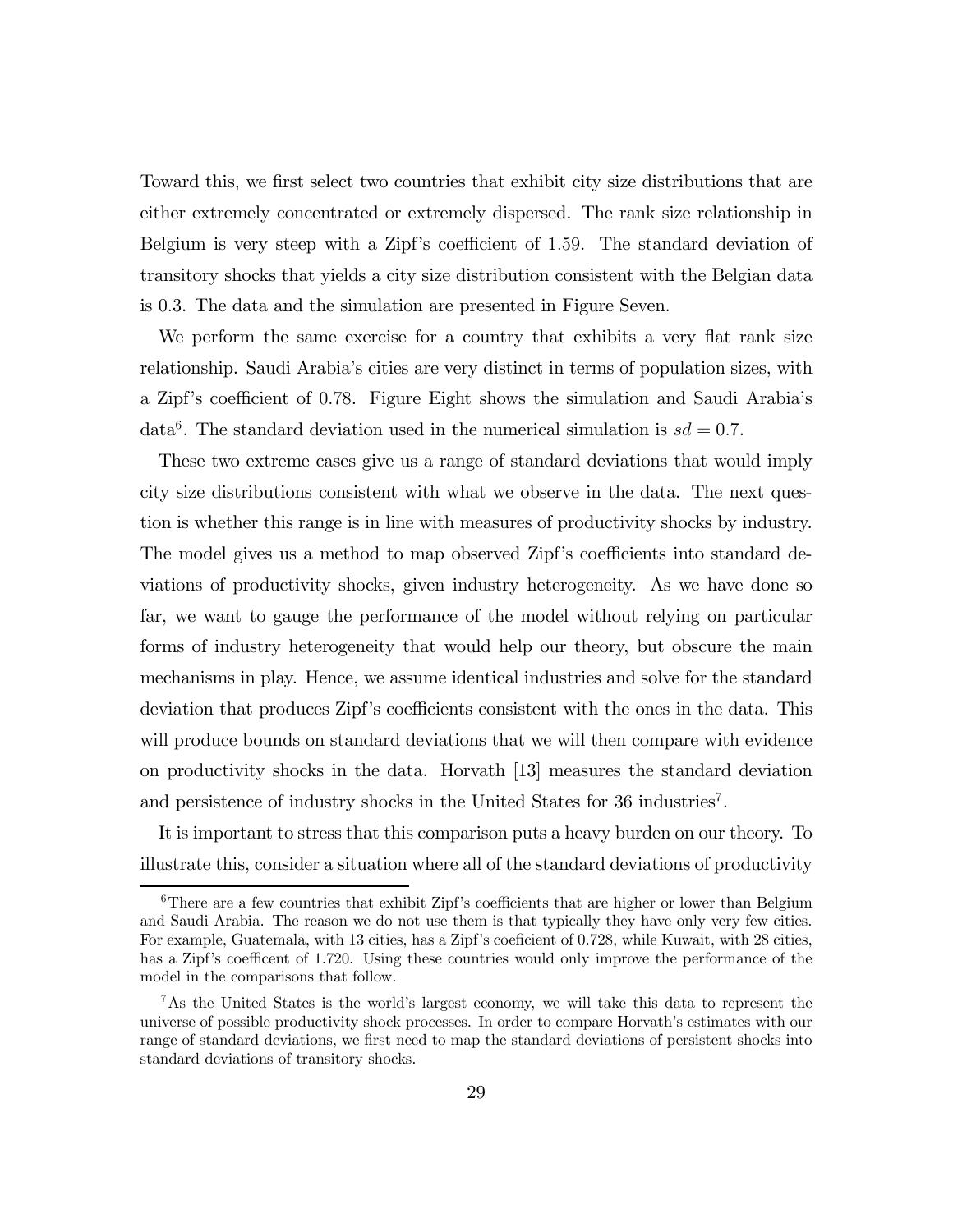Toward this, we first select two countries that exhibit city size distributions that are either extremely concentrated or extremely dispersed. The rank size relationship in Belgium is very steep with a Zipf's coefficient of 1.59. The standard deviation of transitory shocks that yields a city size distribution consistent with the Belgian data is 0.3. The data and the simulation are presented in Figure Seven.

We perform the same exercise for a country that exhibits a very flat rank size relationship. Saudi Arabia's cities are very distinct in terms of population sizes, with a Zipf's coefficient of 0.78. Figure Eight shows the simulation and Saudi Arabia's data<sup>6</sup>. The standard deviation used in the numerical simulation is  $sd = 0.7$ .

These two extreme cases give us a range of standard deviations that would imply city size distributions consistent with what we observe in the data. The next question is whether this range is in line with measures of productivity shocks by industry. The model gives us a method to map observed Zipf's coefficients into standard deviations of productivity shocks, given industry heterogeneity. As we have done so far, we want to gauge the performance of the model without relying on particular forms of industry heterogeneity that would help our theory, but obscure the main mechanisms in play. Hence, we assume identical industries and solve for the standard deviation that produces Zipf's coefficients consistent with the ones in the data. This will produce bounds on standard deviations that we will then compare with evidence on productivity shocks in the data. Horvath [13] measures the standard deviation and persistence of industry shocks in the United States for 36 industries'.

It is important to stress that this comparison puts a heavy burden on our theory. To illustrate this, consider a situation where all of the standard deviations of productivity

<sup>&</sup>lt;sup>6</sup>There are a few countries that exhibit Zipf's coefficients that are higher or lower than Belgium and Saudi Arabia. The reason we do not use them is that typically they have only very few cities. For example, Guatemala, with 13 cities, has a Zipf's coeficient of 0.728, while Kuwait, with 28 cities, has a Zipf's coefficent of 1.720. Using these countries would only improve the performance of the model in the comparisons that follow.

<sup>7</sup>As the United States is the world's largest economy, we will take this data to represent the universe of possible productivity shock processes. In order to compare Horvath's estimates with our range of standard deviations, we first need to map the standard deviations of persistent shocks into standard deviations of transitory shocks.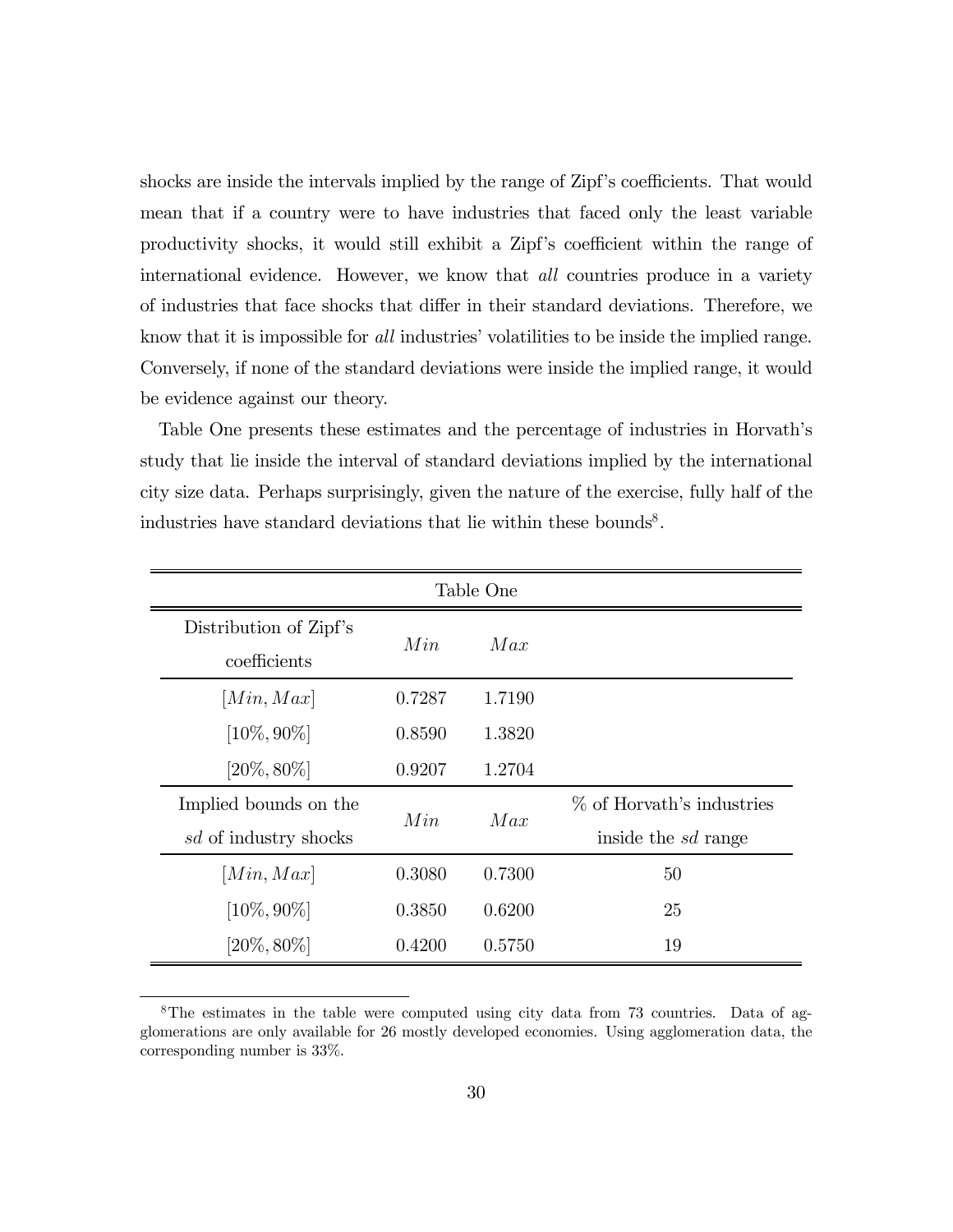shocks are inside the intervals implied by the range of Zipf's coefficients. That would mean that if a country were to have industries that faced only the least variable productivity shocks, it would still exhibit a Zipf's coefficient within the range of international evidence. However, we know that *all* countries produce in a variety of industries that face shocks that differ in their standard deviations. Therefore, we know that it is impossible for *all* industries' volatilities to be inside the implied range. Conversely, if none of the standard deviations were inside the implied range, it would be evidence against our theory.

Table One presents these estimates and the percentage of industries in Horvath's study that lie inside the interval of standard deviations implied by the international city size data. Perhaps surprisingly, given the nature of the exercise, fully half of the industries have standard deviations that lie within these bounds<sup>8</sup>.

| Table One                              |        |        |                            |  |  |  |  |  |
|----------------------------------------|--------|--------|----------------------------|--|--|--|--|--|
| Distribution of Zipf's<br>coefficients | Min    | Max    |                            |  |  |  |  |  |
| [Min, Max]                             | 0.7287 | 1.7190 |                            |  |  |  |  |  |
| $[10\%, 90\%]$                         | 0.8590 | 1.3820 |                            |  |  |  |  |  |
| $[20\%, 80\%]$                         | 0.9207 | 1.2704 |                            |  |  |  |  |  |
| Implied bounds on the                  | Min    | Max    | % of Horvath's industries  |  |  |  |  |  |
| sd of industry shocks                  |        |        | inside the <i>sd</i> range |  |  |  |  |  |
| [Min, Max]                             | 0.3080 | 0.7300 | 50                         |  |  |  |  |  |
| $[10\%, 90\%]$                         | 0.3850 | 0.6200 | 25                         |  |  |  |  |  |
| $[20\%, 80\%]$                         | 0.4200 | 0.5750 | 19                         |  |  |  |  |  |

<sup>&</sup>lt;sup>8</sup>The estimates in the table were computed using city data from 73 countries. Data of agglomerations are only available for 26 mostly developed economies. Using agglomeration data, the corresponding number is 33%.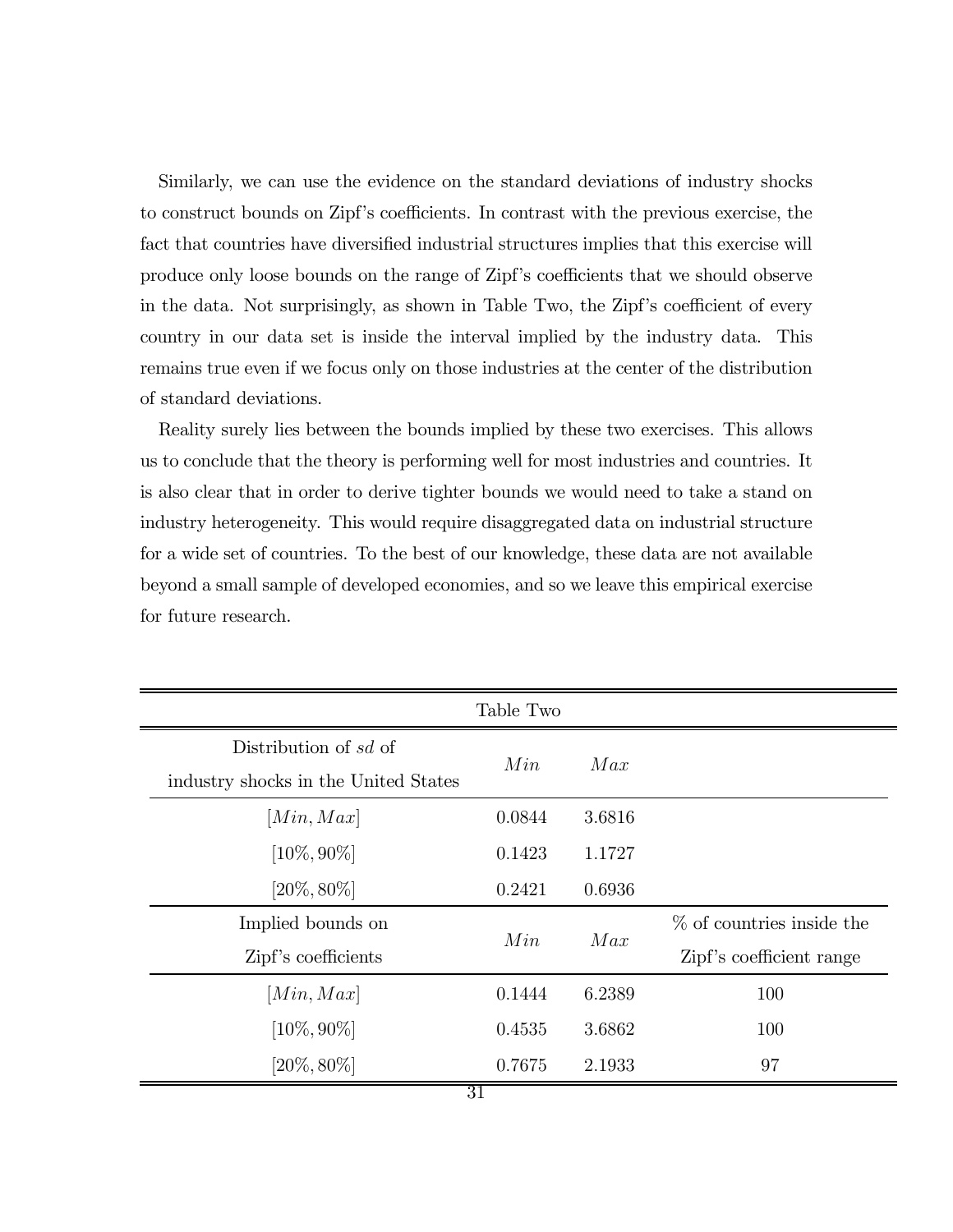Similarly, we can use the evidence on the standard deviations of industry shocks to construct bounds on Zipf's coefficients. In contrast with the previous exercise, the fact that countries have diversified industrial structures implies that this exercise will produce only loose bounds on the range of Zipf's coefficients that we should observe in the data. Not surprisingly, as shown in Table Two, the Zipf's coefficient of every country in our data set is inside the interval implied by the industry data. This remains true even if we focus only on those industries at the center of the distribution of standard deviations.

Reality surely lies between the bounds implied by these two exercises. This allows us to conclude that the theory is performing well for most industries and countries. It is also clear that in order to derive tighter bounds we would need to take a stand on industry heterogeneity. This would require disaggregated data on industrial structure for a wide set of countries. To the best of our knowledge, these data are not available beyond a small sample of developed economies, and so we leave this empirical exercise for future research.

| Table Two                            |        |        |                              |  |  |  |  |
|--------------------------------------|--------|--------|------------------------------|--|--|--|--|
| Distribution of sd of                | Min    | Max    |                              |  |  |  |  |
| industry shocks in the United States |        |        |                              |  |  |  |  |
| [Min, Max]                           | 0.0844 | 3.6816 |                              |  |  |  |  |
| $[10\%, 90\%]$                       | 0.1423 | 1.1727 |                              |  |  |  |  |
| $[20\%, 80\%]$                       | 0.2421 | 0.6936 |                              |  |  |  |  |
| Implied bounds on                    | Min    | Max    | $\%$ of countries inside the |  |  |  |  |
| Zipf's coefficients                  |        |        | Zipf's coefficient range     |  |  |  |  |
| [Min, Max]                           | 0.1444 | 6.2389 | 100                          |  |  |  |  |
| $[10\%, 90\%]$                       | 0.4535 | 3.6862 | 100                          |  |  |  |  |
| $[20\%, 80\%]$                       | 0.7675 | 2.1933 | 97                           |  |  |  |  |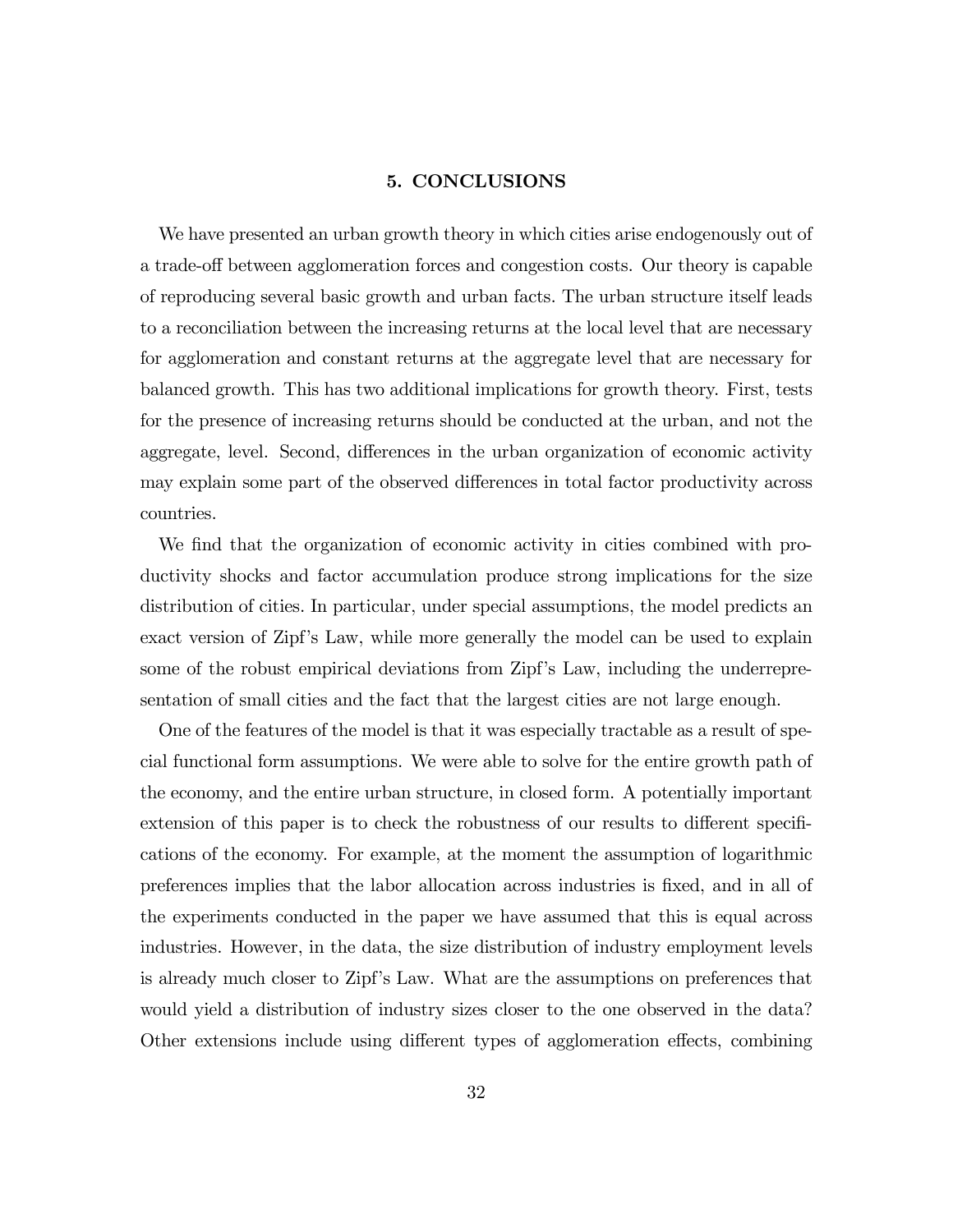#### 5. CONCLUSIONS

We have presented an urban growth theory in which cities arise endogenously out of a trade-off between agglomeration forces and congestion costs. Our theory is capable of reproducing several basic growth and urban facts. The urban structure itself leads to a reconciliation between the increasing returns at the local level that are necessary for agglomeration and constant returns at the aggregate level that are necessary for balanced growth. This has two additional implications for growth theory. First, tests for the presence of increasing returns should be conducted at the urban, and not the aggregate, level. Second, differences in the urban organization of economic activity may explain some part of the observed differences in total factor productivity across countries.

We find that the organization of economic activity in cities combined with productivity shocks and factor accumulation produce strong implications for the size distribution of cities. In particular, under special assumptions, the model predicts an exact version of Zipf's Law, while more generally the model can be used to explain some of the robust empirical deviations from Zipf's Law, including the underrepresentation of small cities and the fact that the largest cities are not large enough.

One of the features of the model is that it was especially tractable as a result of special functional form assumptions. We were able to solve for the entire growth path of the economy, and the entire urban structure, in closed form. A potentially important extension of this paper is to check the robustness of our results to different specifications of the economy. For example, at the moment the assumption of logarithmic preferences implies that the labor allocation across industries is fixed, and in all of the experiments conducted in the paper we have assumed that this is equal across industries. However, in the data, the size distribution of industry employment levels is already much closer to Zipf's Law. What are the assumptions on preferences that would yield a distribution of industry sizes closer to the one observed in the data? Other extensions include using different types of agglomeration effects, combining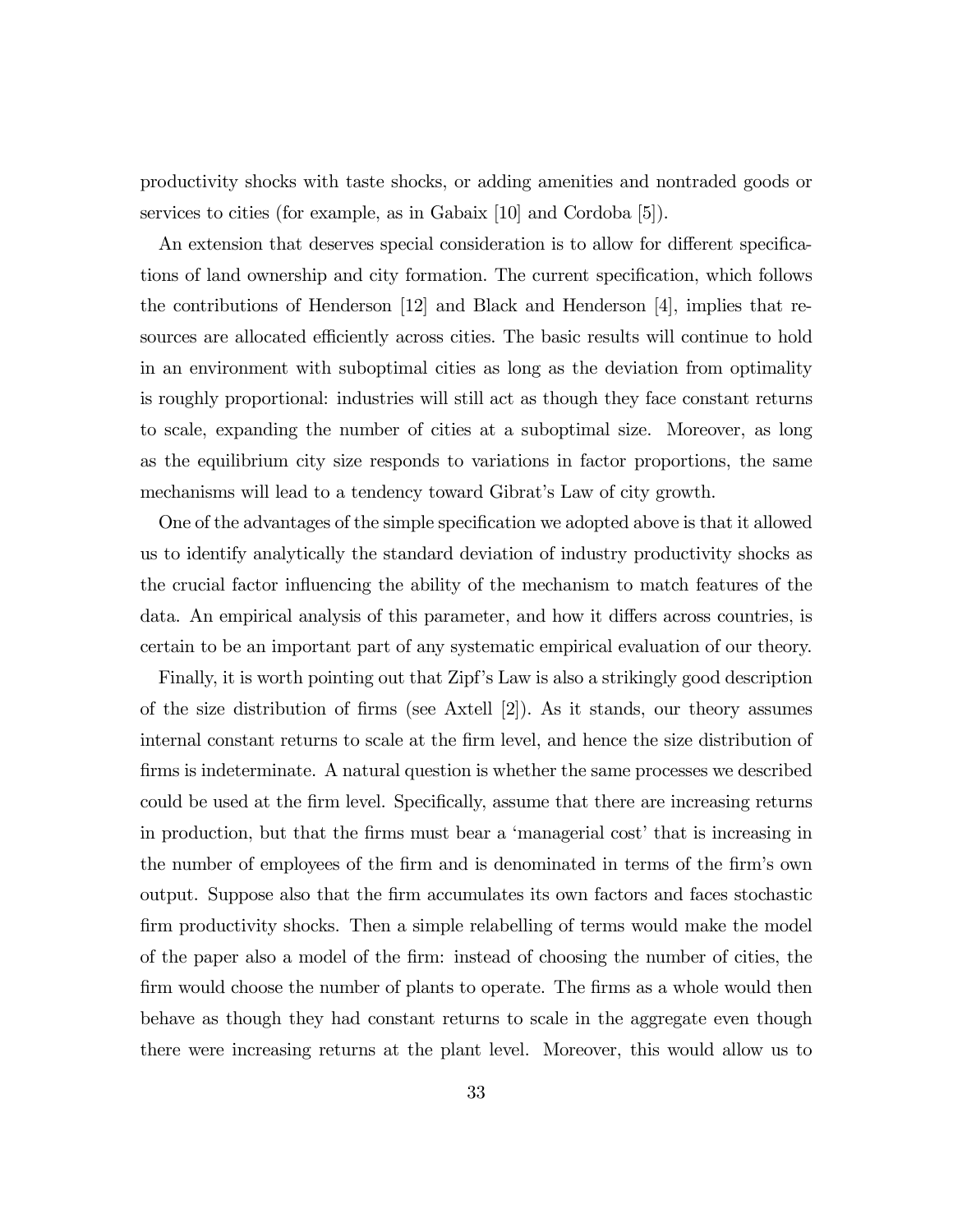productivity shocks with taste shocks, or adding amenities and nontraded goods or services to cities (for example, as in Gabaix [10] and Cordoba [5]).

An extension that deserves special consideration is to allow for different specifications of land ownership and city formation. The current specification, which follows the contributions of Henderson [12] and Black and Henderson [4], implies that resources are allocated efficiently across cities. The basic results will continue to hold in an environment with suboptimal cities as long as the deviation from optimality is roughly proportional: industries will still act as though they face constant returns to scale, expanding the number of cities at a suboptimal size. Moreover, as long as the equilibrium city size responds to variations in factor proportions, the same mechanisms will lead to a tendency toward Gibrat's Law of city growth.

One of the advantages of the simple specification we adopted above is that it allowed us to identify analytically the standard deviation of industry productivity shocks as the crucial factor influencing the ability of the mechanism to match features of the data. An empirical analysis of this parameter, and how it differs across countries, is certain to be an important part of any systematic empirical evaluation of our theory.

Finally, it is worth pointing out that Zipf's Law is also a strikingly good description of the size distribution of firms (see Axtell [2]). As it stands, our theory assumes internal constant returns to scale at the firm level, and hence the size distribution of firms is indeterminate. A natural question is whether the same processes we described could be used at the firm level. Specifically, assume that there are increasing returns in production, but that the firms must bear a 'managerial cost' that is increasing in the number of employees of the firm and is denominated in terms of the firm's own output. Suppose also that the firm accumulates its own factors and faces stochastic firm productivity shocks. Then a simple relabelling of terms would make the model of the paper also a model of the firm: instead of choosing the number of cities, the firm would choose the number of plants to operate. The firms as a whole would then behave as though they had constant returns to scale in the aggregate even though there were increasing returns at the plant level. Moreover, this would allow us to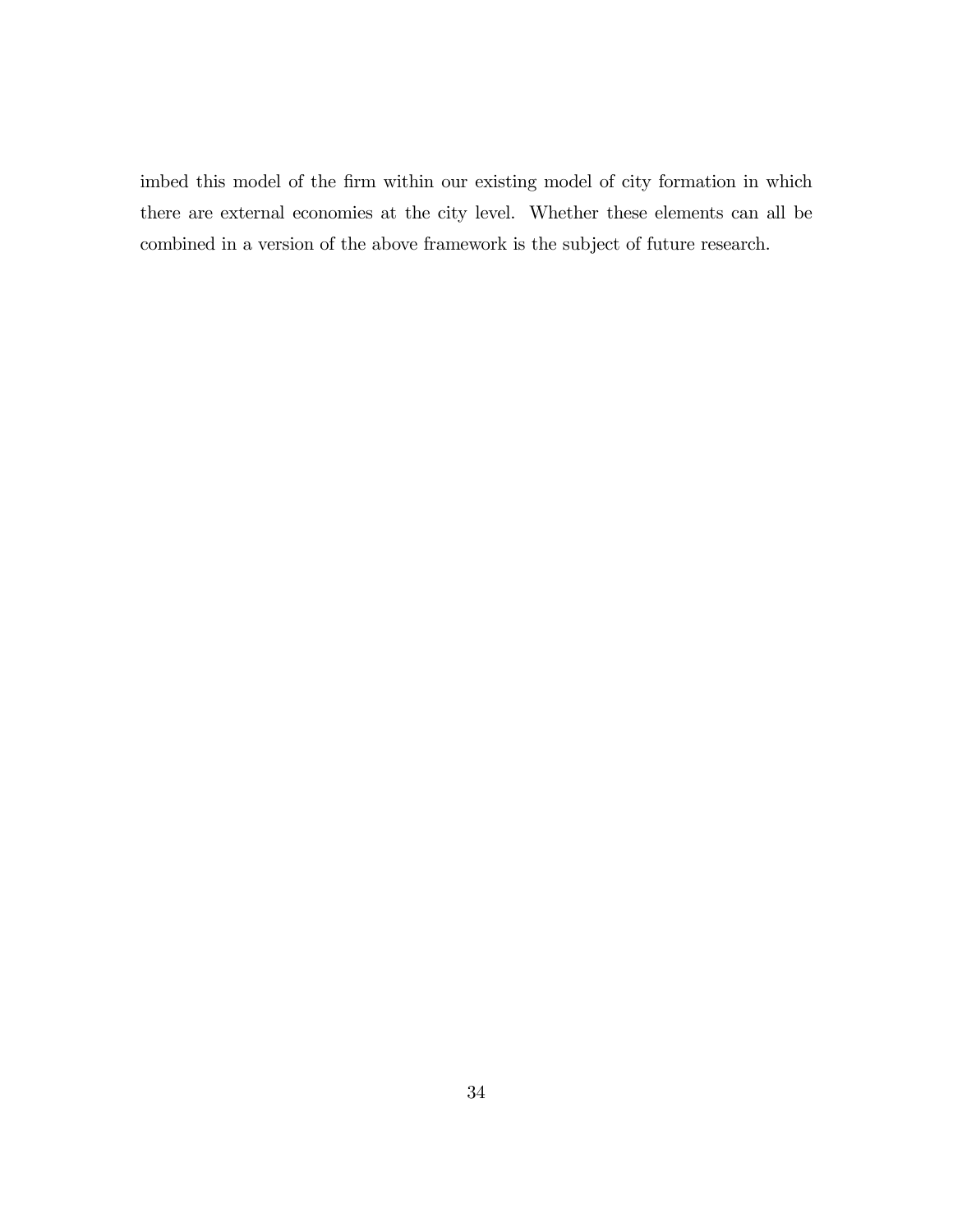imbed this model of the firm within our existing model of city formation in which there are external economies at the city level. Whether these elements can all be combined in a version of the above framework is the subject of future research.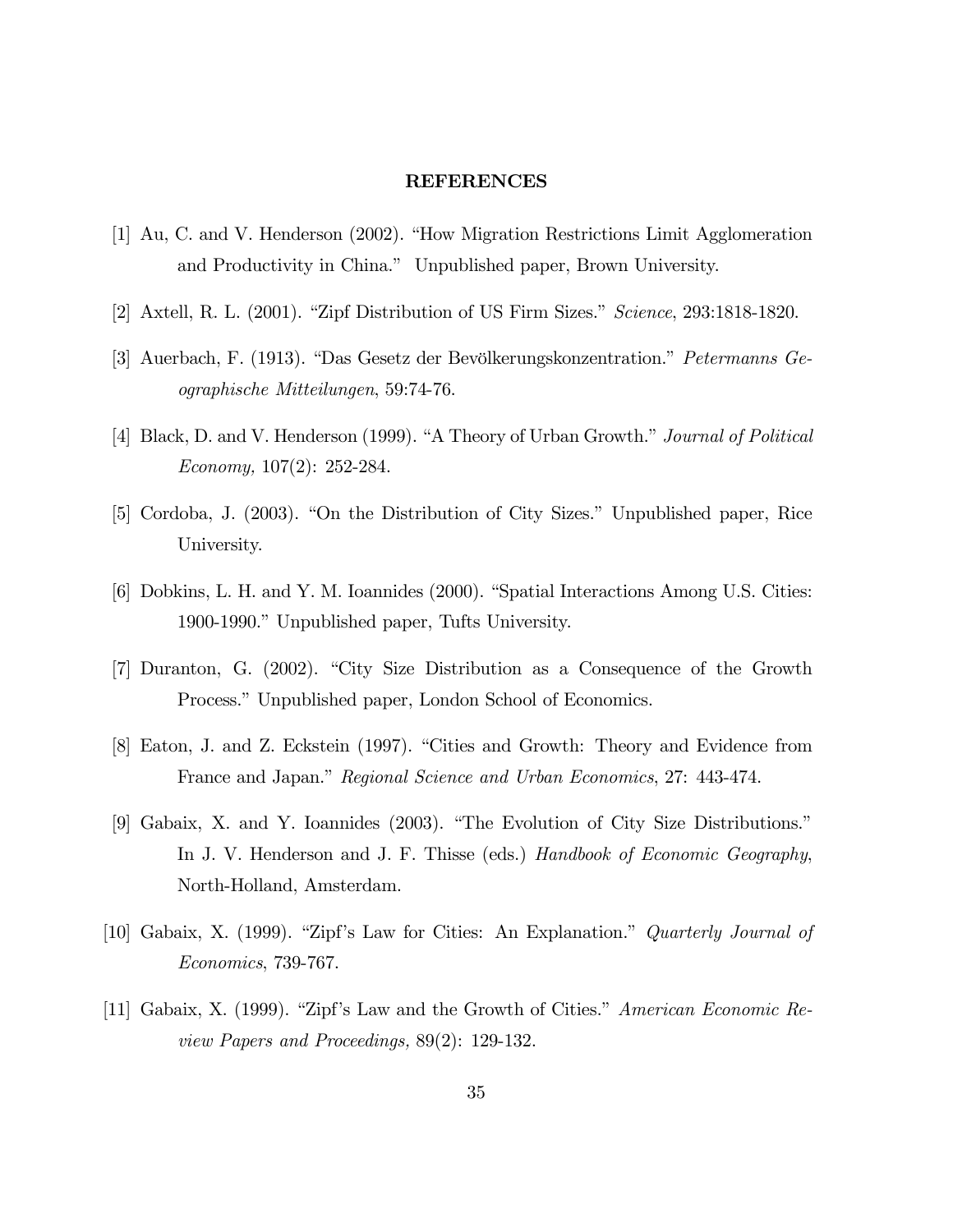#### REFERENCES

- [1] Au, C. and V. Henderson (2002). "How Migration Restrictions Limit Agglomeration and Productivity in China." Unpublished paper, Brown University.
- [2] Axtell, R. L. (2001). "Zipf Distribution of US Firm Sizes." Science, 293:1818-1820.
- [3] Auerbach, F. (1913). "Das Gesetz der Bevölkerungskonzentration." Petermanns Geographische Mitteilungen, 59:74-76.
- [4] Black, D. and V. Henderson (1999). "A Theory of Urban Growth." Journal of Political Economy, 107(2): 252-284.
- [5] Cordoba, J. (2003). "On the Distribution of City Sizes." Unpublished paper, Rice University.
- [6] Dobkins, L. H. and Y. M. Ioannides (2000). "Spatial Interactions Among U.S. Cities: 1900-1990." Unpublished paper, Tufts University.
- [7] Duranton, G. (2002). "City Size Distribution as a Consequence of the Growth Process." Unpublished paper, London School of Economics.
- [8] Eaton, J. and Z. Eckstein (1997). "Cities and Growth: Theory and Evidence from France and Japan." Regional Science and Urban Economics, 27: 443-474.
- [9] Gabaix, X. and Y. Ioannides (2003). "The Evolution of City Size Distributions." In J. V. Henderson and J. F. Thisse (eds.) Handbook of Economic Geography, North-Holland, Amsterdam.
- [10] Gabaix, X. (1999). "Zipf's Law for Cities: An Explanation." Quarterly Journal of Economics, 739-767.
- [11] Gabaix, X. (1999). "Zipf's Law and the Growth of Cities." American Economic Review Papers and Proceedings, 89(2): 129-132.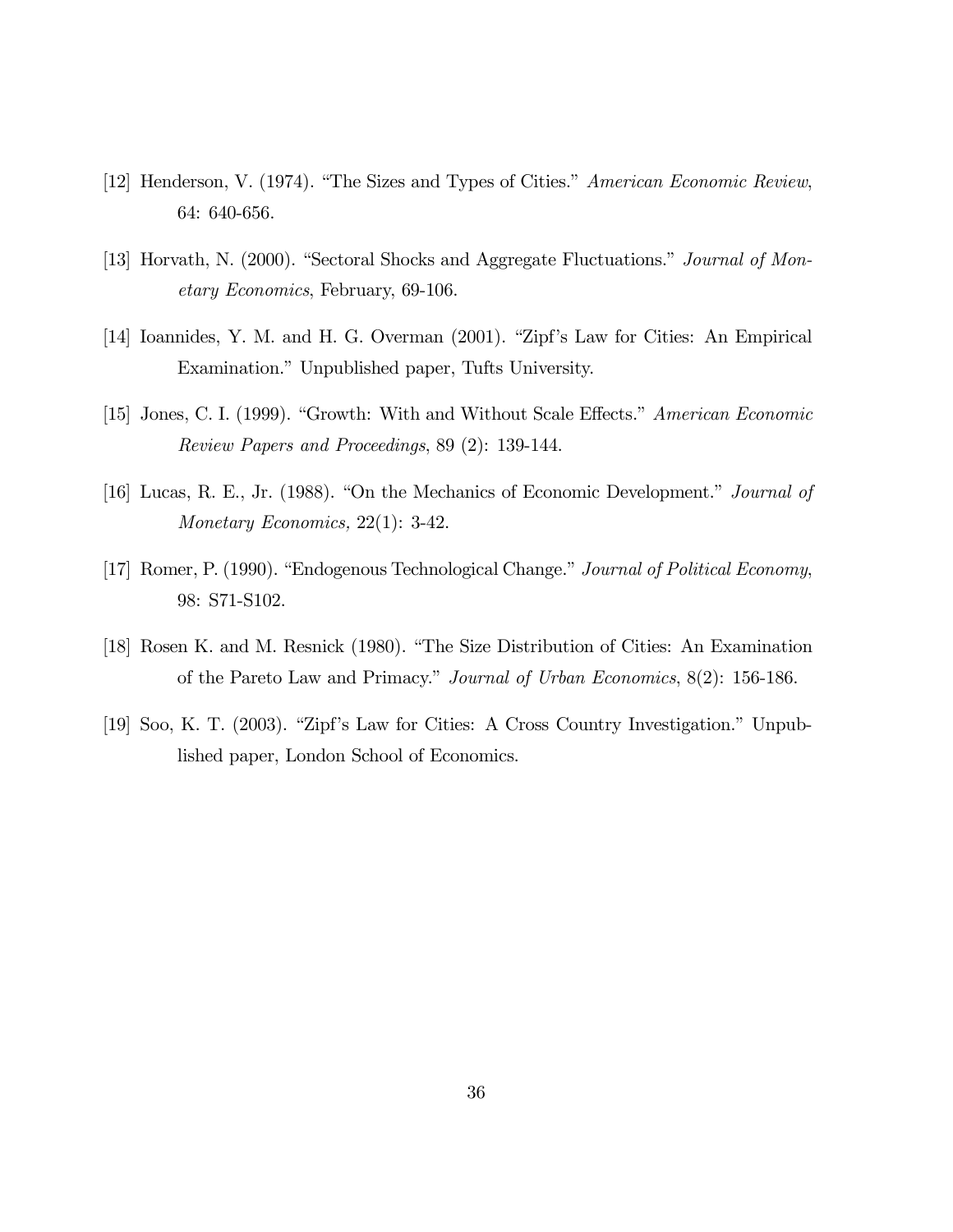- [12] Henderson, V. (1974). "The Sizes and Types of Cities." American Economic Review, 64: 640-656.
- [13] Horvath, N. (2000). "Sectoral Shocks and Aggregate Fluctuations." Journal of Monetary Economics, February, 69-106.
- [14] Ioannides, Y. M. and H. G. Overman (2001). "Zipf's Law for Cities: An Empirical Examination." Unpublished paper, Tufts University.
- [15] Jones, C. I. (1999). "Growth: With and Without Scale Effects." American Economic Review Papers and Proceedings, 89 (2): 139-144.
- [16] Lucas, R. E., Jr. (1988). "On the Mechanics of Economic Development." Journal of Monetary Economics, 22(1): 3-42.
- [17] Romer, P. (1990). "Endogenous Technological Change." Journal of Political Economy, 98: S71-S102.
- [18] Rosen K. and M. Resnick (1980). "The Size Distribution of Cities: An Examination of the Pareto Law and Primacy." Journal of Urban Economics, 8(2): 156-186.
- [19] Soo, K. T. (2003). "Zipf's Law for Cities: A Cross Country Investigation." Unpublished paper, London School of Economics.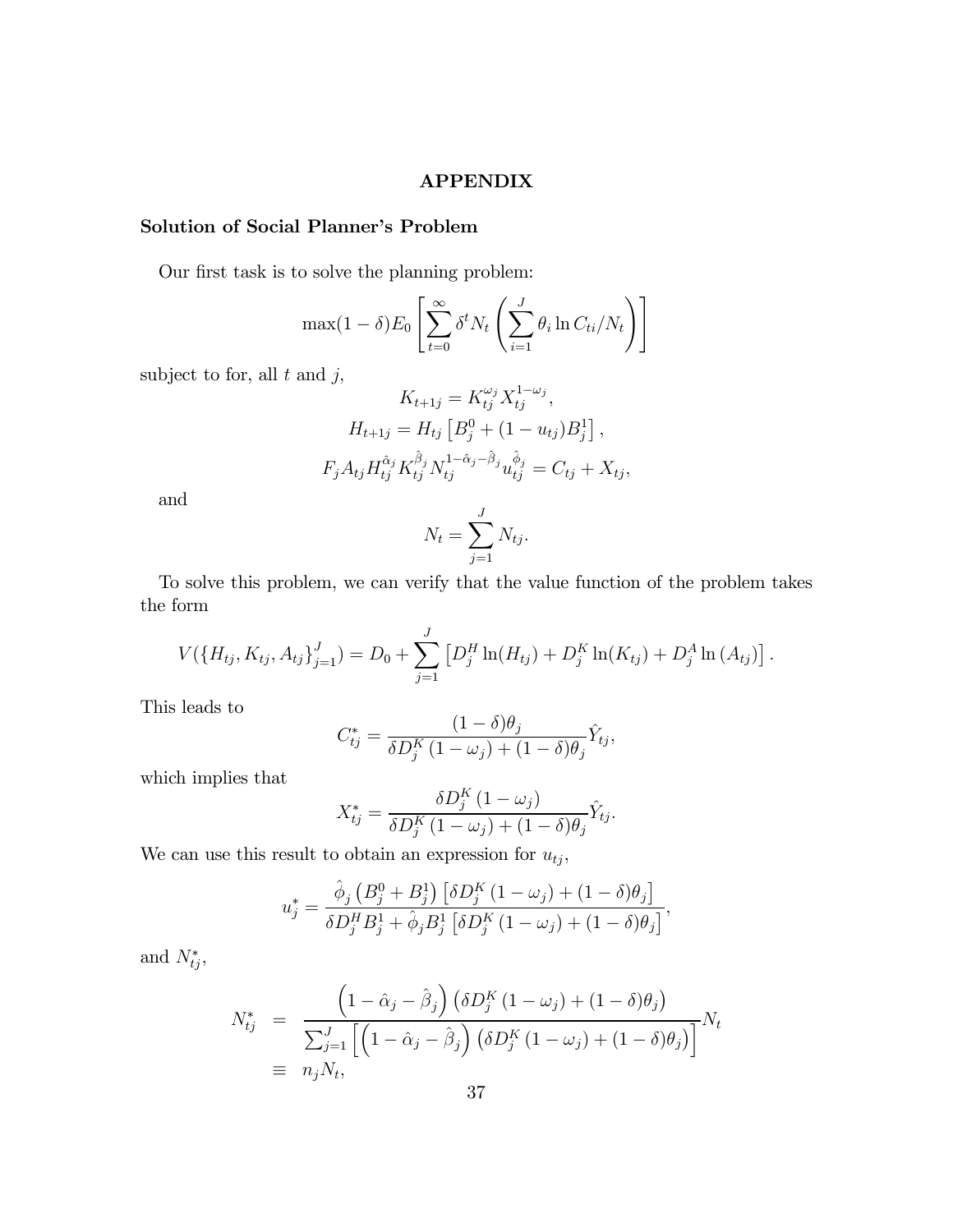#### APPENDIX

# Solution of Social Planner's Problem

Our first task is to solve the planning problem:

$$
\max(1-\delta)E_0\left[\sum_{t=0}^{\infty}\delta^t N_t\left(\sum_{i=1}^J \theta_i \ln C_{ti}/N_t\right)\right]
$$

subject to for, all  $t$  and  $j$ ,

$$
K_{t+1j} = K_{tj}^{\omega_j} X_{tj}^{1-\omega_j},
$$
  
\n
$$
H_{t+1j} = H_{tj} \left[ B_j^0 + (1 - u_{tj}) B_j^1 \right],
$$
  
\n
$$
F_j A_{tj} H_{tj}^{\hat{\alpha}_j} K_{tj}^{\hat{\beta}_j} N_{tj}^{1-\hat{\alpha}_j-\hat{\beta}_j} u_{tj}^{\hat{\phi}_j} = C_{tj} + X_{tj},
$$

and

$$
N_t = \sum_{j=1}^{J} N_{tj}.
$$

To solve this problem, we can verify that the value function of the problem takes the form

$$
V(\lbrace H_{tj}, K_{tj}, A_{tj} \rbrace_{j=1}^{J}) = D_0 + \sum_{j=1}^{J} [D_j^H \ln(H_{tj}) + D_j^K \ln(K_{tj}) + D_j^A \ln(A_{tj})].
$$

This leads to

$$
C_{tj}^* = \frac{(1-\delta)\theta_j}{\delta D_j^K (1-\omega_j) + (1-\delta)\theta_j} \hat{Y}_{tj},
$$

which implies that

$$
X_{tj}^* = \frac{\delta D_j^K (1 - \omega_j)}{\delta D_j^K (1 - \omega_j) + (1 - \delta) \theta_j} \hat{Y}_{tj}.
$$

We can use this result to obtain an expression for  $u_{tj}$ ,

$$
u_j^* = \frac{\hat{\phi}_j \left( B_j^0 + B_j^1 \right) \left[ \delta D_j^K (1 - \omega_j) + (1 - \delta) \theta_j \right]}{\delta D_j^H B_j^1 + \hat{\phi}_j B_j^1 \left[ \delta D_j^K (1 - \omega_j) + (1 - \delta) \theta_j \right]},
$$

and  $N_{tj}^*$ ,

$$
N_{tj}^{*} = \frac{\left(1 - \hat{\alpha}_{j} - \hat{\beta}_{j}\right) \left(\delta D_{j}^{K}\left(1 - \omega_{j}\right) + \left(1 - \delta\right)\theta_{j}\right)}{\sum_{j=1}^{J} \left[\left(1 - \hat{\alpha}_{j} - \hat{\beta}_{j}\right) \left(\delta D_{j}^{K}\left(1 - \omega_{j}\right) + \left(1 - \delta\right)\theta_{j}\right)\right]} N_{t}
$$
\n
$$
\equiv n_{j} N_{t},
$$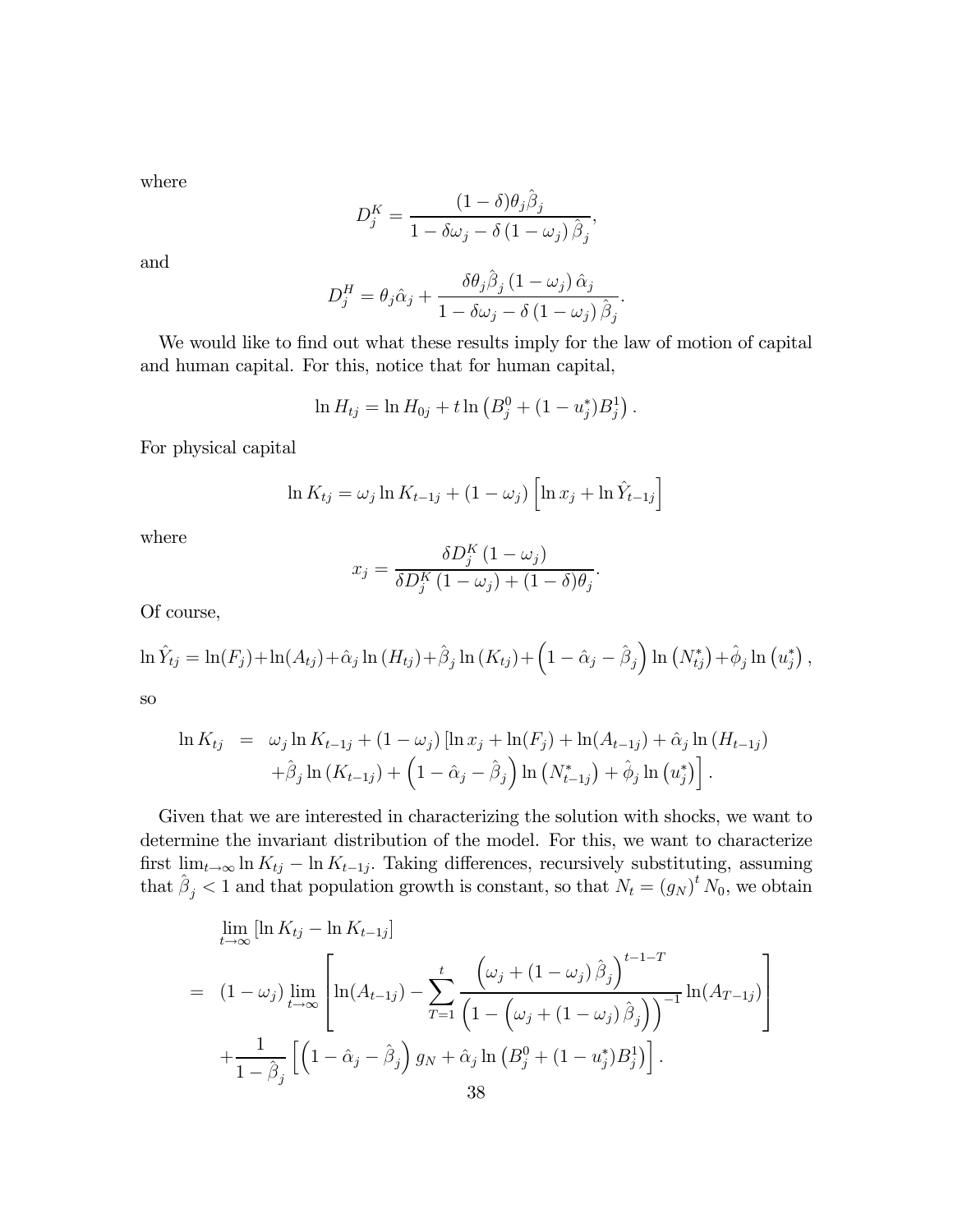where

$$
D_j^K = \frac{(1 - \delta)\theta_j \hat{\beta}_j}{1 - \delta \omega_j - \delta (1 - \omega_j) \hat{\beta}_j},
$$

and

$$
D_j^H = \theta_j \hat{\alpha}_j + \frac{\delta \theta_j \hat{\beta}_j (1 - \omega_j) \hat{\alpha}_j}{1 - \delta \omega_j - \delta (1 - \omega_j) \hat{\beta}_j}.
$$

We would like to find out what these results imply for the law of motion of capital and human capital. For this, notice that for human capital,

$$
\ln H_{tj} = \ln H_{0j} + t \ln \left( B_j^0 + (1 - u_j^*) B_j^1 \right).
$$

For physical capital

$$
\ln K_{tj} = \omega_j \ln K_{t-1j} + (1 - \omega_j) \left[ \ln x_j + \ln \hat{Y}_{t-1j} \right]
$$

where

$$
x_j = \frac{\delta D_j^K (1 - \omega_j)}{\delta D_j^K (1 - \omega_j) + (1 - \delta)\theta_j}.
$$

Of course,

$$
\ln \hat{Y}_{tj} = \ln(F_j) + \ln(A_{tj}) + \hat{\alpha}_j \ln(H_{tj}) + \hat{\beta}_j \ln(K_{tj}) + \left(1 - \hat{\alpha}_j - \hat{\beta}_j\right) \ln(N_{tj}^*) + \hat{\phi}_j \ln(u_j^*),
$$

so

$$
\ln K_{tj} = \omega_j \ln K_{t-1j} + (1 - \omega_j) [\ln x_j + \ln(F_j) + \ln(A_{t-1j}) + \hat{\alpha}_j \ln(H_{t-1j})
$$
  
+  $\hat{\beta}_j \ln(K_{t-1j}) + (1 - \hat{\alpha}_j - \hat{\beta}_j) \ln(N_{t-1j}^*) + \hat{\phi}_j \ln(u_j^*)].$ 

Given that we are interested in characterizing the solution with shocks, we want to determine the invariant distribution of the model. For this, we want to characterize first  $\lim_{t\to\infty} \ln K_{t,j} - \ln K_{t-1,j}$ . Taking differences, recursively substituting, assuming that  $\hat{\beta}_j < 1$  and that population growth is constant, so that  $N_t = (g_N)^t N_0$ , we obtain

$$
\lim_{t \to \infty} [\ln K_{tj} - \ln K_{t-1j}]
$$
\n
$$
= (1 - \omega_j) \lim_{t \to \infty} \left[ \ln(A_{t-1j}) - \sum_{T=1}^t \frac{(\omega_j + (1 - \omega_j) \hat{\beta}_j)^{t-1-T}}{\left(1 - (\omega_j + (1 - \omega_j) \hat{\beta}_j)\right)^{-1}} \ln(A_{T-1j}) \right]
$$
\n
$$
+ \frac{1}{1 - \hat{\beta}_j} \left[ \left(1 - \hat{\alpha}_j - \hat{\beta}_j\right) g_N + \hat{\alpha}_j \ln(B_j^0 + (1 - u_j^*) B_j^1) \right].
$$
\n38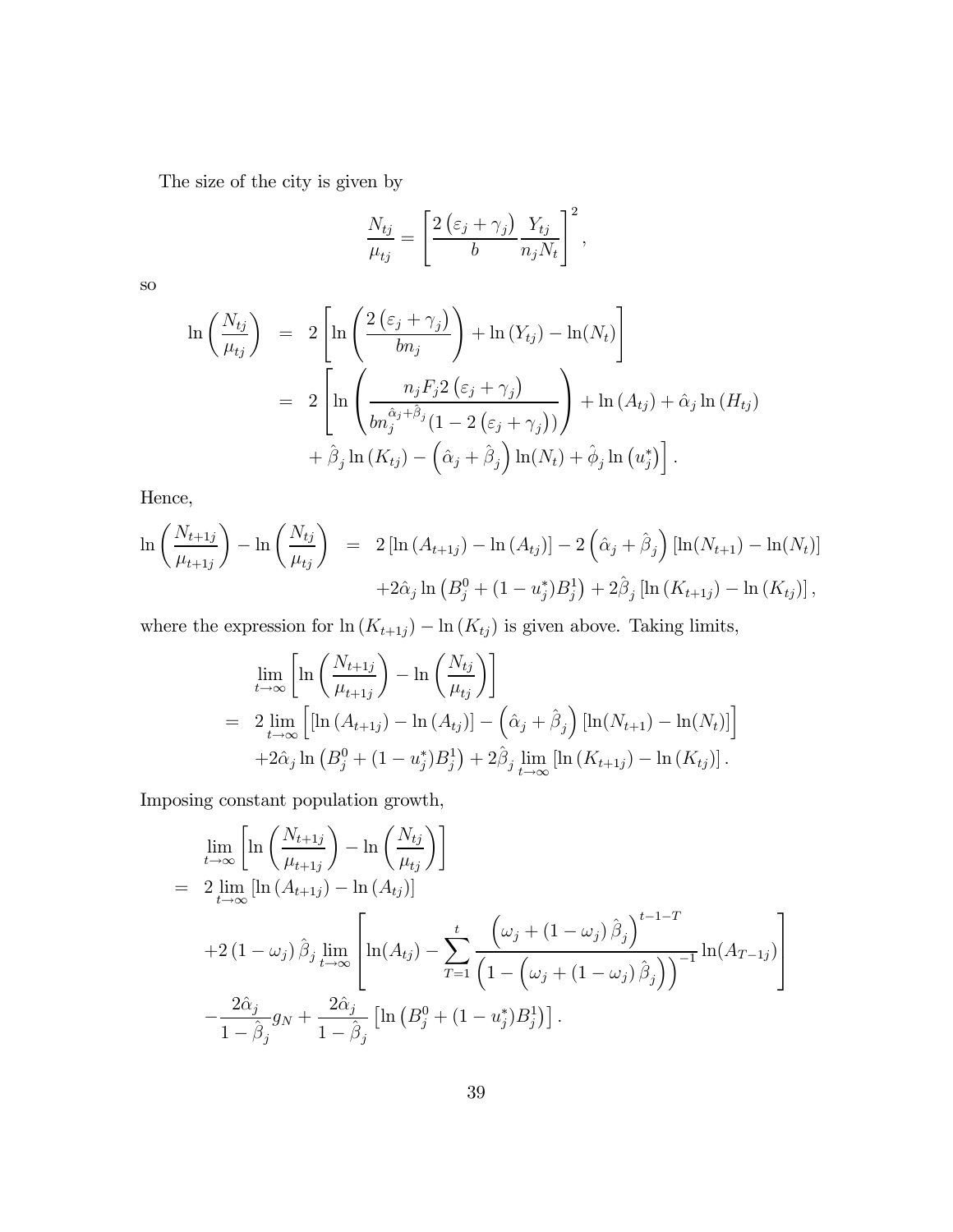The size of the city is given by

$$
\frac{N_{tj}}{\mu_{tj}} = \left[\frac{2\left(\varepsilon_j + \gamma_j\right)}{b} \frac{Y_{tj}}{n_j N_t}\right]^2,
$$

so

$$
\ln\left(\frac{N_{tj}}{\mu_{tj}}\right) = 2\left[\ln\left(\frac{2\left(\varepsilon_{j} + \gamma_{j}\right)}{bn_{j}}\right) + \ln\left(Y_{tj}\right) - \ln\left(N_{t}\right)\right]
$$

$$
= 2\left[\ln\left(\frac{n_{j}F_{j}2\left(\varepsilon_{j} + \gamma_{j}\right)}{bn_{j}^{\hat{\alpha}_{j} + \hat{\beta}_{j}}(1 - 2\left(\varepsilon_{j} + \gamma_{j}\right))}\right) + \ln\left(A_{tj}\right) + \hat{\alpha}_{j}\ln\left(H_{tj}\right) + \hat{\beta}_{j}\ln\left(K_{tj}\right) - \left(\hat{\alpha}_{j} + \hat{\beta}_{j}\right)\ln\left(N_{t}\right) + \hat{\phi}_{j}\ln\left(u_{j}^{*}\right)\right].
$$

Hence,

$$
\ln\left(\frac{N_{t+1j}}{\mu_{t+1j}}\right) - \ln\left(\frac{N_{tj}}{\mu_{tj}}\right) = 2\left[\ln\left(A_{t+1j}\right) - \ln\left(A_{tj}\right)\right] - 2\left(\hat{\alpha}_{j} + \hat{\beta}_{j}\right)\left[\ln(N_{t+1}) - \ln(N_{t})\right] + 2\hat{\alpha}_{j}\ln\left(B_{j}^{0} + (1 - u_{j}^{*})B_{j}^{1}\right) + 2\hat{\beta}_{j}\left[\ln\left(K_{t+1j}\right) - \ln\left(K_{tj}\right)\right],
$$

where the expression for ln  $(K_{t+1j})$  – ln  $(K_{tj})$  is given above. Taking limits,

$$
\lim_{t \to \infty} \left[ \ln \left( \frac{N_{t+1j}}{\mu_{t+1j}} \right) - \ln \left( \frac{N_{tj}}{\mu_{tj}} \right) \right]
$$
\n
$$
= 2 \lim_{t \to \infty} \left[ \left[ \ln \left( A_{t+1j} \right) - \ln \left( A_{tj} \right) \right] - \left( \hat{\alpha}_j + \hat{\beta}_j \right) \left[ \ln(N_{t+1}) - \ln(N_t) \right] \right]
$$
\n
$$
+ 2 \hat{\alpha}_j \ln \left( B_j^0 + (1 - u_j^*) B_j^1 \right) + 2 \hat{\beta}_j \lim_{t \to \infty} \left[ \ln \left( K_{t+1j} \right) - \ln \left( K_{tj} \right) \right].
$$

Imposing constant population growth,

$$
\lim_{t \to \infty} \left[ \ln \left( \frac{N_{t+1j}}{\mu_{t+1j}} \right) - \ln \left( \frac{N_{tj}}{\mu_{tj}} \right) \right]
$$
\n
$$
= 2 \lim_{t \to \infty} \left[ \ln \left( A_{t+1j} \right) - \ln \left( A_{tj} \right) \right]
$$
\n
$$
+ 2 \left( 1 - \omega_j \right) \hat{\beta}_j \lim_{t \to \infty} \left[ \ln \left( A_{tj} \right) - \sum_{T=1}^t \frac{\left( \omega_j + \left( 1 - \omega_j \right) \hat{\beta}_j \right)^{t-1-T}}{\left( 1 - \left( \omega_j + \left( 1 - \omega_j \right) \hat{\beta}_j \right) \right)^{-1}} \ln \left( A_{T-1j} \right) \right]
$$
\n
$$
- \frac{2 \hat{\alpha}_j}{1 - \hat{\beta}_j} g_N + \frac{2 \hat{\alpha}_j}{1 - \hat{\beta}_j} \left[ \ln \left( B_j^0 + \left( 1 - u_j^* \right) B_j^1 \right) \right].
$$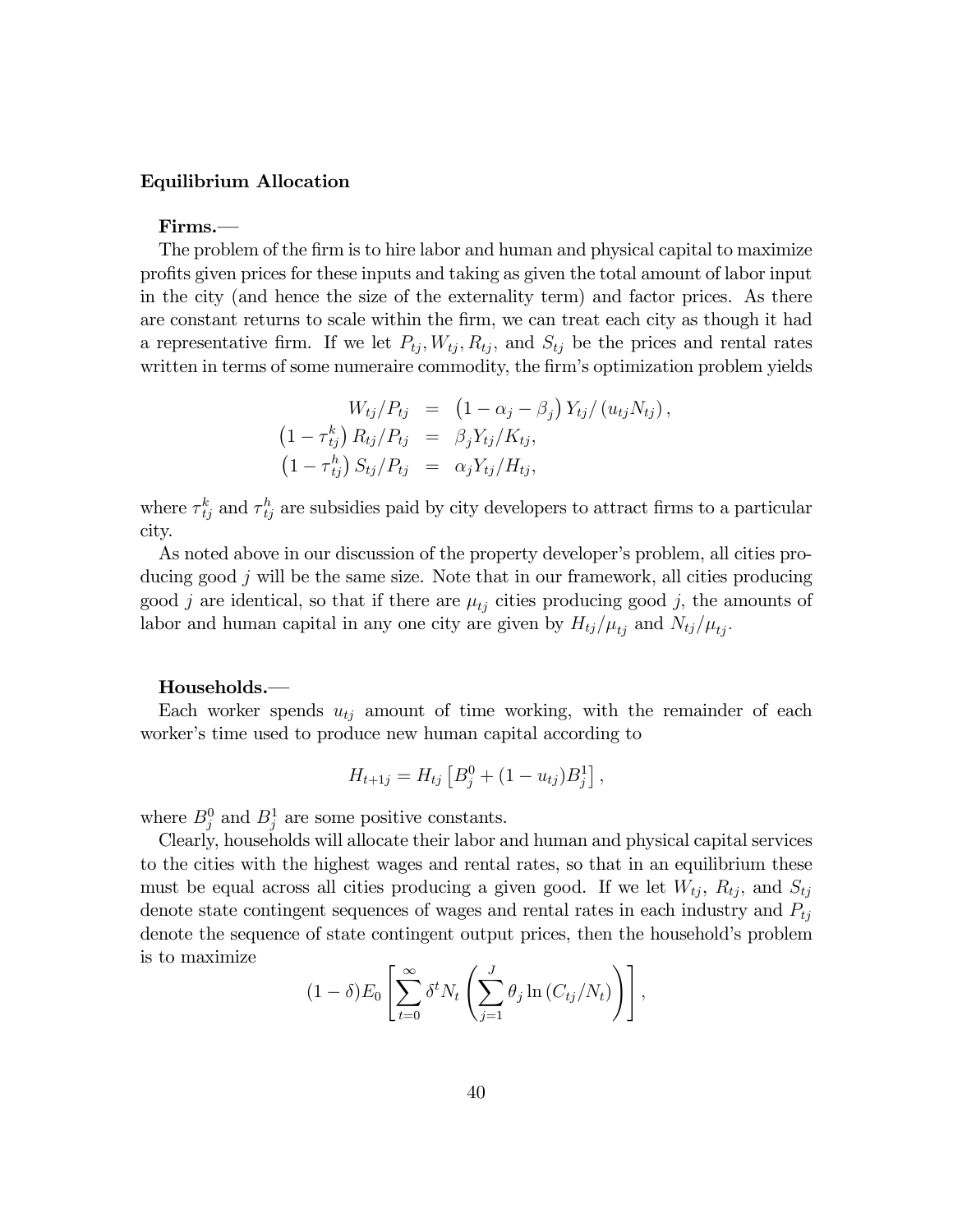#### Equilibrium Allocation

Firms.–

The problem of the firm is to hire labor and human and physical capital to maximize profits given prices for these inputs and taking as given the total amount of labor input in the city (and hence the size of the externality term) and factor prices. As there are constant returns to scale within the firm, we can treat each city as though it had a representative firm. If we let  $P_{tj}$ ,  $W_{tj}$ ,  $R_{tj}$ , and  $S_{tj}$  be the prices and rental rates written in terms of some numeraire commodity, the firm's optimization problem yields

$$
W_{tj}/P_{tj} = (1 - \alpha_j - \beta_j) Y_{tj}/(u_{tj}N_{tj}),
$$
  
\n
$$
(1 - \tau_{tj}^k) R_{tj}/P_{tj} = \beta_j Y_{tj}/K_{tj},
$$
  
\n
$$
(1 - \tau_{tj}^h) S_{tj}/P_{tj} = \alpha_j Y_{tj}/H_{tj},
$$

where  $\tau_{tj}^k$  and  $\tau_{tj}^h$  are subsidies paid by city developers to attract firms to a particular city.

As noted above in our discussion of the property developer's problem, all cities producing good  $j$  will be the same size. Note that in our framework, all cities producing good j are identical, so that if there are  $\mu_{tj}$  cities producing good j, the amounts of labor and human capital in any one city are given by  $H_{tj}/\mu_{tj}$  and  $N_{tj}/\mu_{tj}$ .

#### Households.–

Each worker spends  $u_{tj}$  amount of time working, with the remainder of each worker's time used to produce new human capital according to

$$
H_{t+1j} = H_{tj} \left[ B_j^0 + (1 - u_{tj}) B_j^1 \right],
$$

where  $B_j^0$  and  $B_j^1$  are some positive constants.

Clearly, households will allocate their labor and human and physical capital services to the cities with the highest wages and rental rates, so that in an equilibrium these must be equal across all cities producing a given good. If we let  $W_{tj}$ ,  $R_{tj}$ , and  $S_{tj}$ denote state contingent sequences of wages and rental rates in each industry and  $P_{tj}$ denote the sequence of state contingent output prices, then the household's problem is to maximize

$$
(1 - \delta) E_0 \left[ \sum_{t=0}^{\infty} \delta^t N_t \left( \sum_{j=1}^J \theta_j \ln \left( C_{tj}/N_t \right) \right) \right],
$$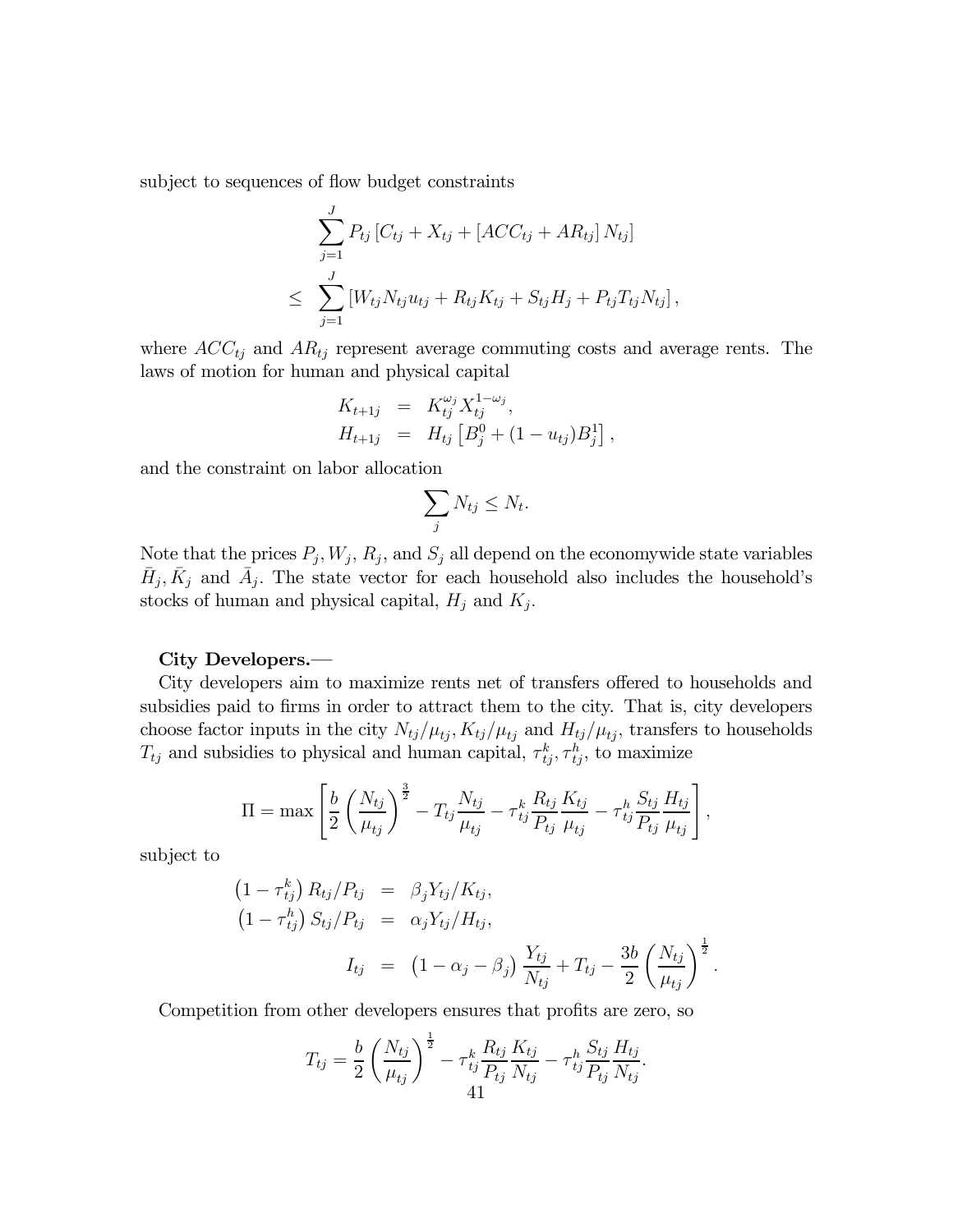subject to sequences of flow budget constraints

$$
\sum_{j=1}^{J} P_{tj} [C_{tj} + X_{tj} + [ACC_{tj} + AR_{tj}] N_{tj}]
$$
  
\n
$$
\leq \sum_{j=1}^{J} [W_{tj} N_{tj} u_{tj} + R_{tj} K_{tj} + S_{tj} H_j + P_{tj} T_{tj} N_{tj}],
$$

where  $ACC_{tj}$  and  $AR_{tj}$  represent average commuting costs and average rents. The laws of motion for human and physical capital

$$
K_{t+1j} = K_{tj}^{\omega_j} X_{tj}^{1-\omega_j},
$$
  
\n
$$
H_{t+1j} = H_{tj} [B_j^0 + (1 - u_{tj})B_j^1],
$$

and the constraint on labor allocation

$$
\sum_j N_{tj} \le N_t.
$$

Note that the prices  $P_j, W_j, R_j$ , and  $S_j$  all depend on the economywide state variables  $\bar{H}_j$ ,  $\bar{K}_j$  and  $\bar{A}_j$ . The state vector for each household also includes the household's stocks of human and physical capital,  $H_j$  and  $K_j$ .

#### City Developers.–

City developers aim to maximize rents net of transfers offered to households and subsidies paid to firms in order to attract them to the city. That is, city developers choose factor inputs in the city  $N_{tj}/\mu_{tj}$ ,  $K_{tj}/\mu_{tj}$  and  $H_{tj}/\mu_{tj}$ , transfers to households  $T_{tj}$  and subsidies to physical and human capital,  $\tau_{tj}^k$ ,  $\tau_{tj}^h$ , to maximize

$$
\Pi = \max \left[ \frac{b}{2} \left( \frac{N_{tj}}{\mu_{tj}} \right)^{\frac{3}{2}} - T_{tj} \frac{N_{tj}}{\mu_{tj}} - \tau_{tj}^{k} \frac{R_{tj}}{P_{tj}} \frac{K_{tj}}{\mu_{tj}} - \tau_{tj}^{h} \frac{S_{tj}}{P_{tj}} \frac{H_{tj}}{\mu_{tj}} \right],
$$

subject to

$$
(1 - \tau_{tj}^{k}) R_{tj} / P_{tj} = \beta_{j} Y_{tj} / K_{tj},
$$
  
\n
$$
(1 - \tau_{tj}^{h}) S_{tj} / P_{tj} = \alpha_{j} Y_{tj} / H_{tj},
$$
  
\n
$$
I_{tj} = (1 - \alpha_{j} - \beta_{j}) \frac{Y_{tj}}{N_{tj}} + T_{tj} - \frac{3b}{2} \left(\frac{N_{tj}}{\mu_{tj}}\right)^{\frac{1}{2}}
$$

.

Competition from other developers ensures that profits are zero, so

$$
T_{tj} = \frac{b}{2} \left( \frac{N_{tj}}{\mu_{tj}} \right)^{\frac{1}{2}} - \tau_{tj}^k \frac{R_{tj}}{P_{tj}} \frac{K_{tj}}{N_{tj}} - \tau_{tj}^k \frac{S_{tj}}{P_{tj}} \frac{H_{tj}}{N_{tj}}.
$$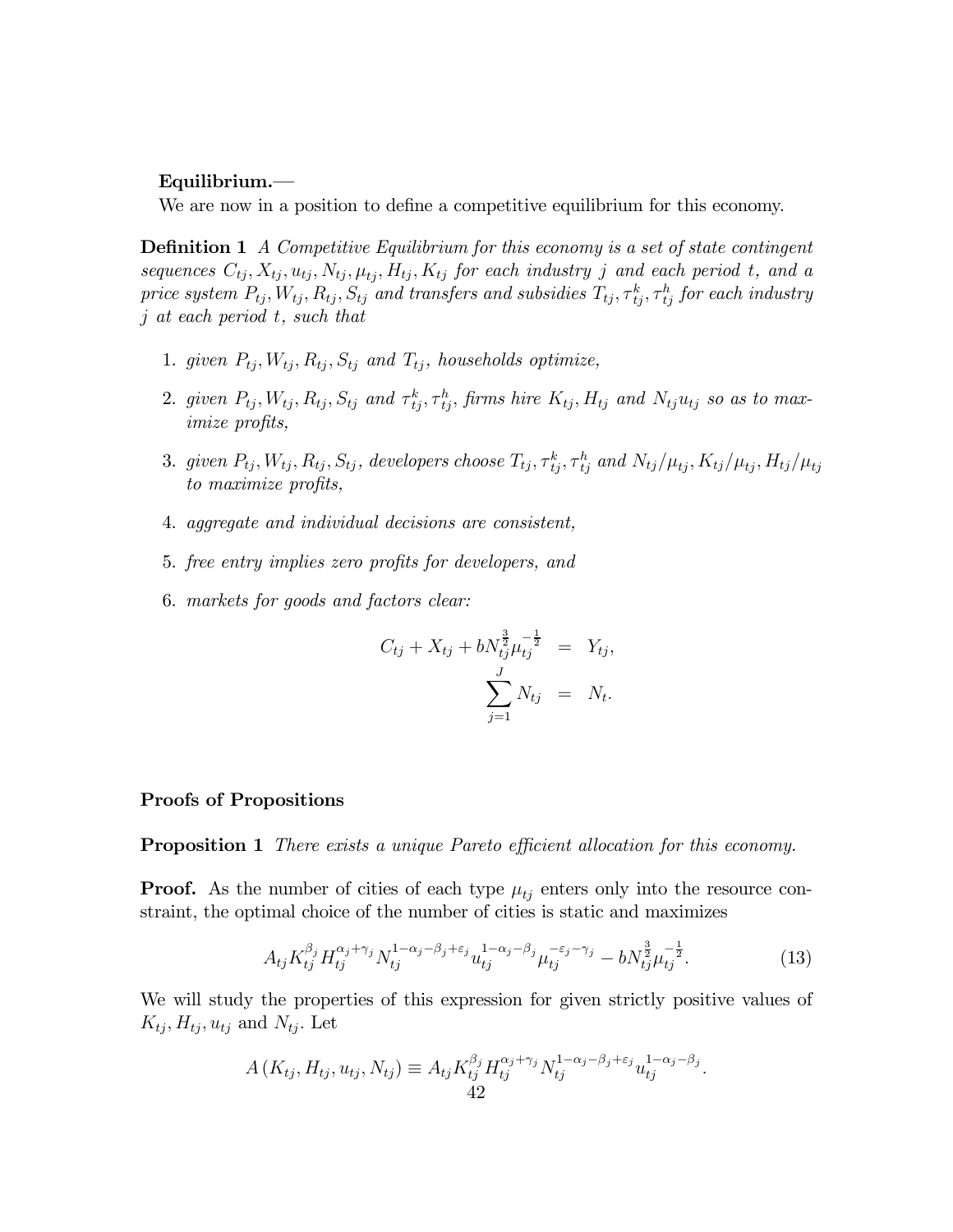#### Equilibrium.–

We are now in a position to define a competitive equilibrium for this economy.

**Definition 1** A Competitive Equilibrium for this economy is a set of state contingent sequences  $C_{tj}, X_{tj}, u_{tj}, N_{tj}, \mu_{tj}, H_{tj}, K_{tj}$  for each industry j and each period t, and a price system  $P_{tj}, W_{tj}, R_{tj}, S_{tj}$  and transfers and subsidies  $T_{tj}, \tau_{tj}^k, \tau_{tj}^h$  for each industry j at each period t, such that

- 1. given  $P_{tj}$ ,  $W_{tj}$ ,  $R_{tj}$ ,  $S_{tj}$  and  $T_{tj}$ , households optimize,
- 2. given  $P_{tj}$ ,  $W_{tj}$ ,  $R_{tj}$ ,  $S_{tj}$  and  $\tau_{tj}^k$ ,  $\tau_{tj}^h$ , firms hire  $K_{tj}$ ,  $H_{tj}$  and  $N_{tj}u_{tj}$  so as to maximize profits,
- 3. given  $P_{tj}$ ,  $W_{tj}$ ,  $R_{tj}$ ,  $S_{tj}$ , developers choose  $T_{tj}$ ,  $\tau_{tj}^k$ ,  $\tau_{tj}^h$  and  $N_{tj}/\mu_{tj}$ ,  $K_{tj}/\mu_{tj}$ ,  $H_{tj}/\mu_{tj}$ to maximize profits,
- 4. aggregate and individual decisions are consistent,
- 5. free entry implies zero profits for developers, and
- 6. markets for goods and factors clear:

$$
C_{tj} + X_{tj} + bN_{tj}^{\frac{3}{2}}\mu_{tj}^{-\frac{1}{2}} = Y_{tj},
$$
  

$$
\sum_{j=1}^{J} N_{tj} = N_{t}.
$$

#### Proofs of Propositions

**Proposition 1** There exists a unique Pareto efficient allocation for this economy.

**Proof.** As the number of cities of each type  $\mu_{t_i}$  enters only into the resource constraint, the optimal choice of the number of cities is static and maximizes

$$
A_{tj} K_{tj}^{\beta_j} H_{tj}^{\alpha_j + \gamma_j} N_{tj}^{1 - \alpha_j - \beta_j + \varepsilon_j} u_{tj}^{1 - \alpha_j - \beta_j} \mu_{tj}^{-\varepsilon_j - \gamma_j} - b N_{tj}^{\frac{3}{2}} \mu_{tj}^{-\frac{1}{2}}.
$$
 (13)

We will study the properties of this expression for given strictly positive values of  $K_{tj}, H_{tj}, u_{tj}$  and  $N_{tj}$ . Let

$$
A(K_{tj}, H_{tj}, u_{tj}, N_{tj}) \equiv A_{tj} K_{tj}^{\beta_j} H_{tj}^{\alpha_j + \gamma_j} N_{tj}^{1 - \alpha_j - \beta_j + \varepsilon_j} u_{tj}^{1 - \alpha_j - \beta_j}.
$$
  
42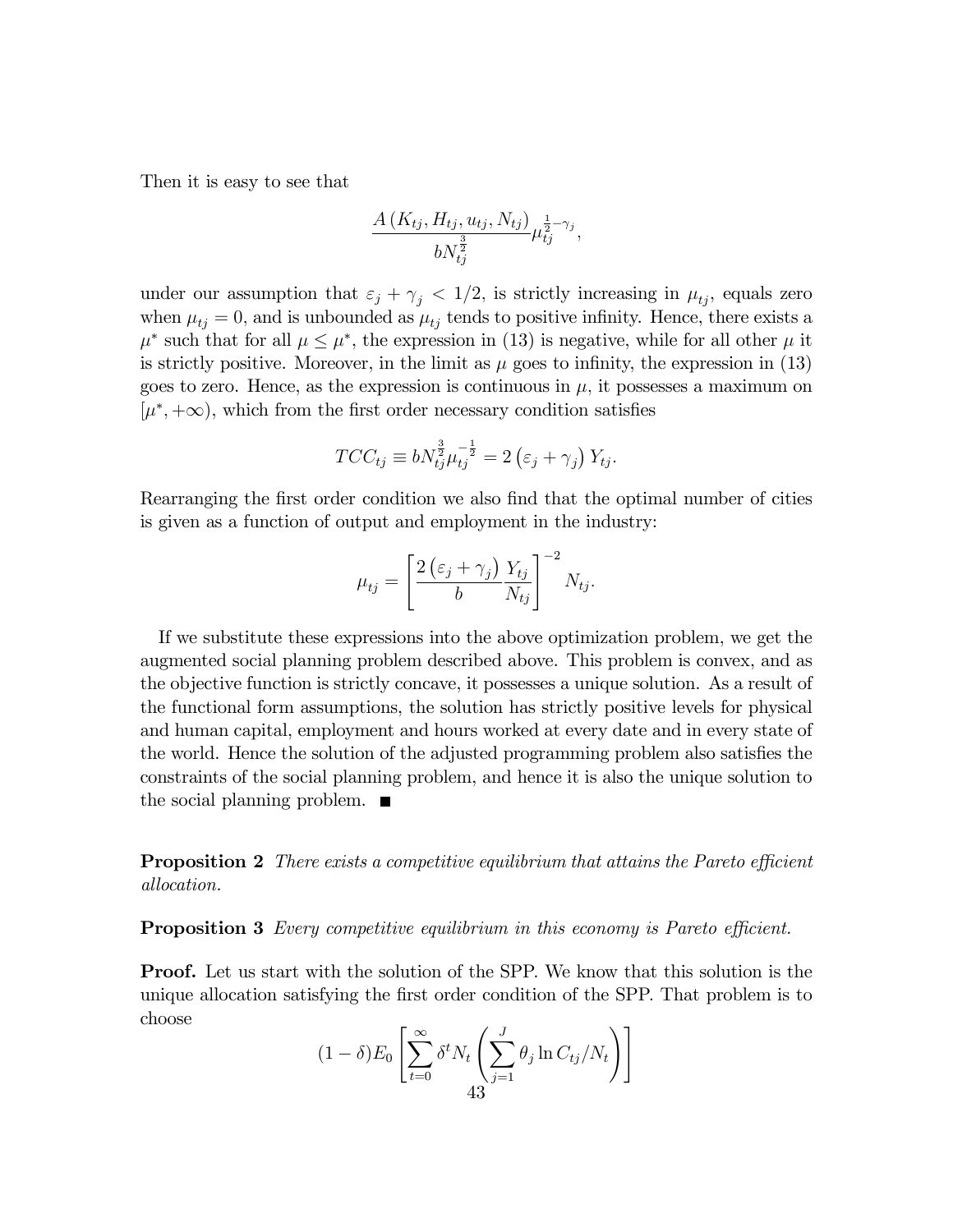Then it is easy to see that

$$
\frac{A(K_{tj}, H_{tj}, u_{tj}, N_{tj})}{bN_{tj}^{\frac{3}{2}}}\mu_{tj}^{\frac{1}{2}-\gamma_j},
$$

under our assumption that  $\varepsilon_j + \gamma_j < 1/2$ , is strictly increasing in  $\mu_{tj}$ , equals zero when  $\mu_{t_i} = 0$ , and is unbounded as  $\mu_{t_i}$  tends to positive infinity. Hence, there exists a  $\mu^*$  such that for all  $\mu \leq \mu^*$ , the expression in (13) is negative, while for all other  $\mu$  it is strictly positive. Moreover, in the limit as  $\mu$  goes to infinity, the expression in (13) goes to zero. Hence, as the expression is continuous in  $\mu$ , it possesses a maximum on  $[\mu^*, +\infty]$ , which from the first order necessary condition satisfies

$$
TCC_{tj} \equiv bN_{tj}^{\frac{3}{2}}\mu_{tj}^{-\frac{1}{2}} = 2\left(\varepsilon_j + \gamma_j\right)Y_{tj}.
$$

Rearranging the first order condition we also find that the optimal number of cities is given as a function of output and employment in the industry:

$$
\mu_{tj} = \left[\frac{2\left(\varepsilon_j + \gamma_j\right)}{b} \frac{Y_{tj}}{N_{tj}}\right]^{-2} N_{tj}.
$$

If we substitute these expressions into the above optimization problem, we get the augmented social planning problem described above. This problem is convex, and as the objective function is strictly concave, it possesses a unique solution. As a result of the functional form assumptions, the solution has strictly positive levels for physical and human capital, employment and hours worked at every date and in every state of the world. Hence the solution of the adjusted programming problem also satisfies the constraints of the social planning problem, and hence it is also the unique solution to the social planning problem.  $\blacksquare$ 

**Proposition 2** There exists a competitive equilibrium that attains the Pareto efficient allocation.

**Proposition 3** Every competitive equilibrium in this economy is Pareto efficient.

**Proof.** Let us start with the solution of the SPP. We know that this solution is the unique allocation satisfying the first order condition of the SPP. That problem is to choose

$$
(1 - \delta) E_0 \left[ \sum_{t=0}^{\infty} \delta^t N_t \left( \sum_{j=1}^J \theta_j \ln C_{tj}/N_t \right) \right]
$$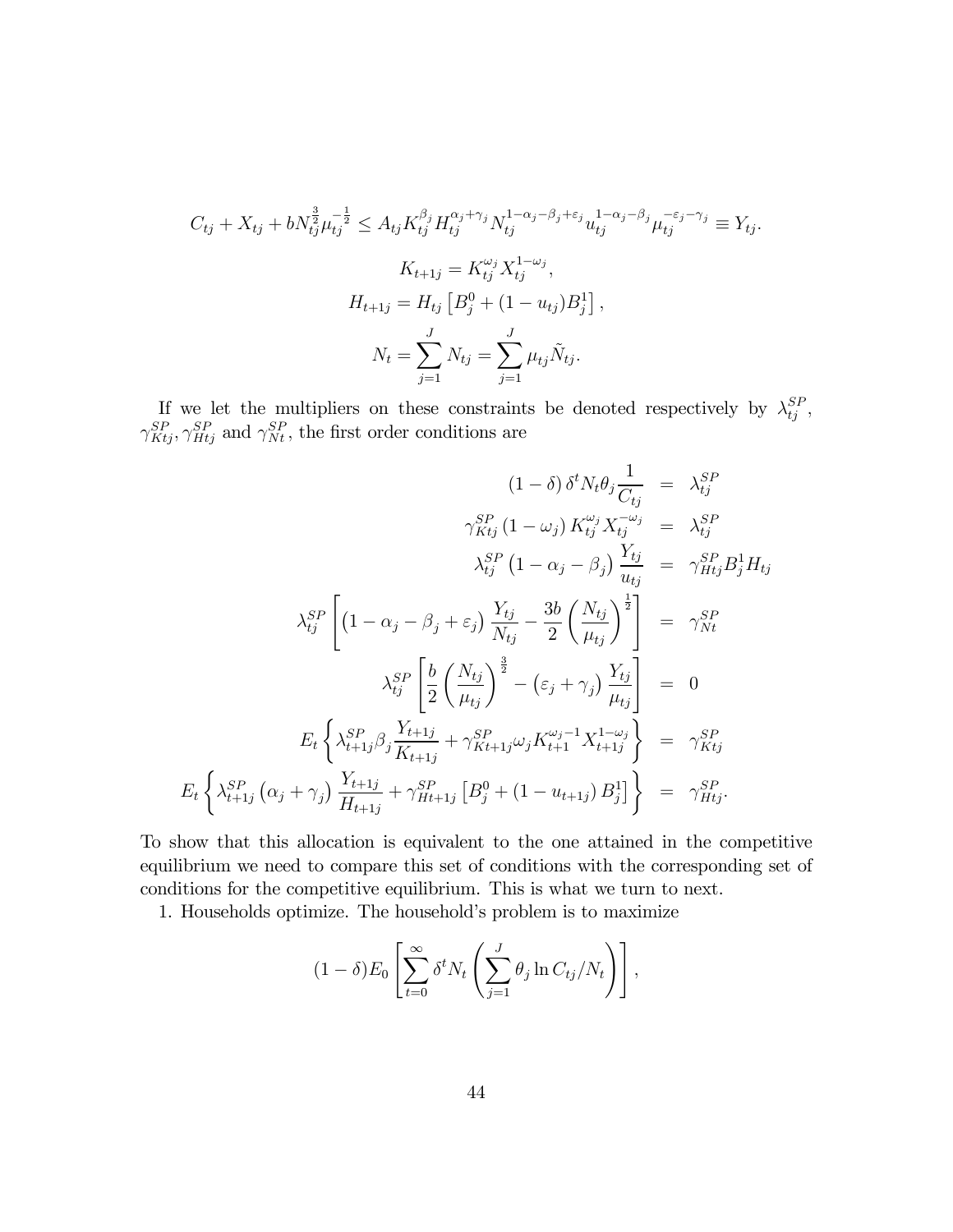$$
C_{tj} + X_{tj} + bN_{tj}^{\frac{3}{2}}\mu_{tj}^{-\frac{1}{2}} \leq A_{tj}K_{tj}^{\beta_{j}}H_{tj}^{\alpha_{j}+\gamma_{j}}N_{tj}^{1-\alpha_{j}-\beta_{j}+\varepsilon_{j}}u_{tj}^{1-\alpha_{j}-\beta_{j}}\mu_{tj}^{-\varepsilon_{j}-\gamma_{j}} \equiv Y_{tj}.
$$

$$
K_{t+1j} = K_{tj}^{\omega_{j}}X_{tj}^{1-\omega_{j}},
$$

$$
H_{t+1j} = H_{tj}\left[B_{j}^{0} + (1-u_{tj})B_{j}^{1}\right],
$$

$$
N_{t} = \sum_{j=1}^{J} N_{tj} = \sum_{j=1}^{J} \mu_{tj}\tilde{N}_{tj}.
$$

If we let the multipliers on these constraints be denoted respectively by  $\lambda_{tj}^{SP}$ ,  $\gamma_{Ktj}^{SP}, \gamma_{Htj}^{SP}$  and  $\gamma_{Nt}^{SP}$ , the first order conditions are

$$
(1 - \delta) \delta^{t} N_{t} \theta_{j} \frac{1}{C_{t_{j}}} = \lambda_{t_{j}}^{SP}
$$
\n
$$
\gamma_{Kt_{j}}^{SP} (1 - \omega_{j}) K_{t_{j}}^{\omega_{j}} X_{t_{j}}^{-\omega_{j}} = \lambda_{t_{j}}^{SP}
$$
\n
$$
\lambda_{t_{j}}^{SP} (1 - \alpha_{j} - \beta_{j}) \frac{Y_{t_{j}}}{u_{t_{j}}} = \gamma_{Ht_{j}}^{SP} B_{j}^{1} H_{t_{j}}
$$
\n
$$
\lambda_{t_{j}}^{SP} \left[ (1 - \alpha_{j} - \beta_{j} + \varepsilon_{j}) \frac{Y_{t_{j}}}{N_{t_{j}}} - \frac{3b}{2} \left( \frac{N_{t_{j}}}{\mu_{t_{j}}} \right)^{\frac{1}{2}} \right] = \gamma_{Nt}^{SP}
$$
\n
$$
\lambda_{t_{j}}^{SP} \left[ \frac{b}{2} \left( \frac{N_{t_{j}}}{\mu_{t_{j}}} \right)^{\frac{3}{2}} - (\varepsilon_{j} + \gamma_{j}) \frac{Y_{t_{j}}}{\mu_{t_{j}}} \right] = 0
$$
\n
$$
E_{t} \left\{ \lambda_{t+1_{j}}^{SP} \left( \alpha_{j} + \gamma_{j} \right) \frac{Y_{t+1j}}{K_{t+1j}} + \gamma_{Kt+1j}^{SP} \omega_{j} K_{t+1}^{\omega_{j}-1} X_{t+1j}^{1-\omega_{j}} \right\} = \gamma_{Kt_{j}}^{SP}
$$
\n
$$
E_{t} \left\{ \lambda_{t+1j}^{SP} \left( \alpha_{j} + \gamma_{j} \right) \frac{Y_{t+1j}}{H_{t+1j}} + \gamma_{Ht+1j}^{SP} \left[ B_{j}^{0} + (1 - u_{t+1j}) B_{j}^{1} \right] \right\} = \gamma_{Ht_{j}}^{SP}.
$$

To show that this allocation is equivalent to the one attained in the competitive equilibrium we need to compare this set of conditions with the corresponding set of conditions for the competitive equilibrium. This is what we turn to next.

1. Households optimize. The household's problem is to maximize

$$
(1 - \delta) E_0 \left[ \sum_{t=0}^{\infty} \delta^t N_t \left( \sum_{j=1}^J \theta_j \ln C_{tj} / N_t \right) \right],
$$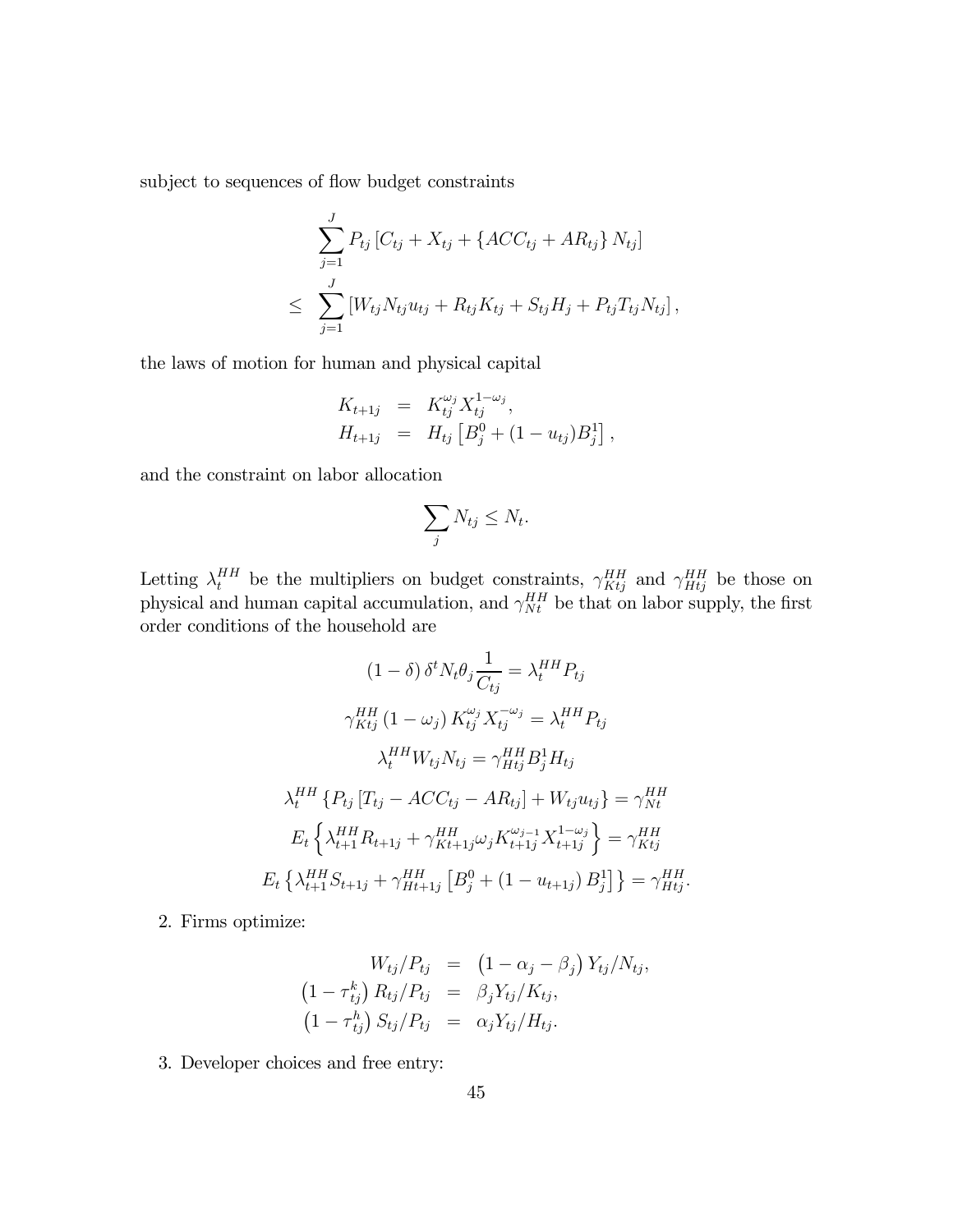subject to sequences of flow budget constraints

$$
\sum_{j=1}^{J} P_{tj} [C_{tj} + X_{tj} + \{ACC_{tj} + AR_{tj}\} N_{tj}]
$$
  
\n
$$
\leq \sum_{j=1}^{J} [W_{tj} N_{tj} u_{tj} + R_{tj} K_{tj} + S_{tj} H_j + P_{tj} T_{tj} N_{tj}],
$$

the laws of motion for human and physical capital

$$
K_{t+1j} = K_{tj}^{\omega_j} X_{tj}^{1-\omega_j},
$$
  
\n
$$
H_{t+1j} = H_{tj} [B_j^0 + (1 - u_{tj})B_j^1],
$$

and the constraint on labor allocation

$$
\sum_j N_{tj} \leq N_t.
$$

Letting  $\lambda_t^{HH}$  be the multipliers on budget constraints,  $\gamma_{Ktj}^{HH}$  and  $\gamma_{Htj}^{HH}$  be those on physical and human capital accumulation, and  $\gamma_{Nt}^{HH}$  be that on labor supply, the first order conditions of the household are

$$
(1 - \delta) \delta^{t} N_{t} \theta_{j} \frac{1}{C_{tj}} = \lambda_{t}^{HH} P_{tj}
$$
  
\n
$$
\gamma_{Ktj}^{HH} (1 - \omega_{j}) K_{tj}^{\omega_{j}} X_{tj}^{-\omega_{j}} = \lambda_{t}^{HH} P_{tj}
$$
  
\n
$$
\lambda_{t}^{HH} W_{tj} N_{tj} = \gamma_{Htj}^{HH} B_{j}^{1} H_{tj}
$$
  
\n
$$
\lambda_{t}^{HH} \{ P_{tj} [T_{tj} - ACC_{tj} - AR_{tj}] + W_{tj} u_{tj} \} = \gamma_{Nt}^{HH}
$$
  
\n
$$
E_{t} \{\lambda_{t+1}^{HH} R_{t+1j} + \gamma_{Kt+1j}^{HH} \omega_{j} K_{t+1j}^{\omega_{j-1}} X_{t+1j}^{1-\omega_{j}} \} = \gamma_{Ktj}^{HH}
$$
  
\n
$$
E_{t} \{\lambda_{t+1}^{HH} S_{t+1j} + \gamma_{Ht+1j}^{HH} [B_{j}^{0} + (1 - u_{t+1j}) B_{j}^{1}] \} = \gamma_{Htj}^{HH}.
$$

2. Firms optimize:

$$
W_{tj}/P_{tj} = (1 - \alpha_j - \beta_j) Y_{tj}/N_{tj},
$$
  
\n
$$
(1 - \tau_{tj}^k) R_{tj}/P_{tj} = \beta_j Y_{tj}/K_{tj},
$$
  
\n
$$
(1 - \tau_{tj}^h) S_{tj}/P_{tj} = \alpha_j Y_{tj}/H_{tj}.
$$

3. Developer choices and free entry: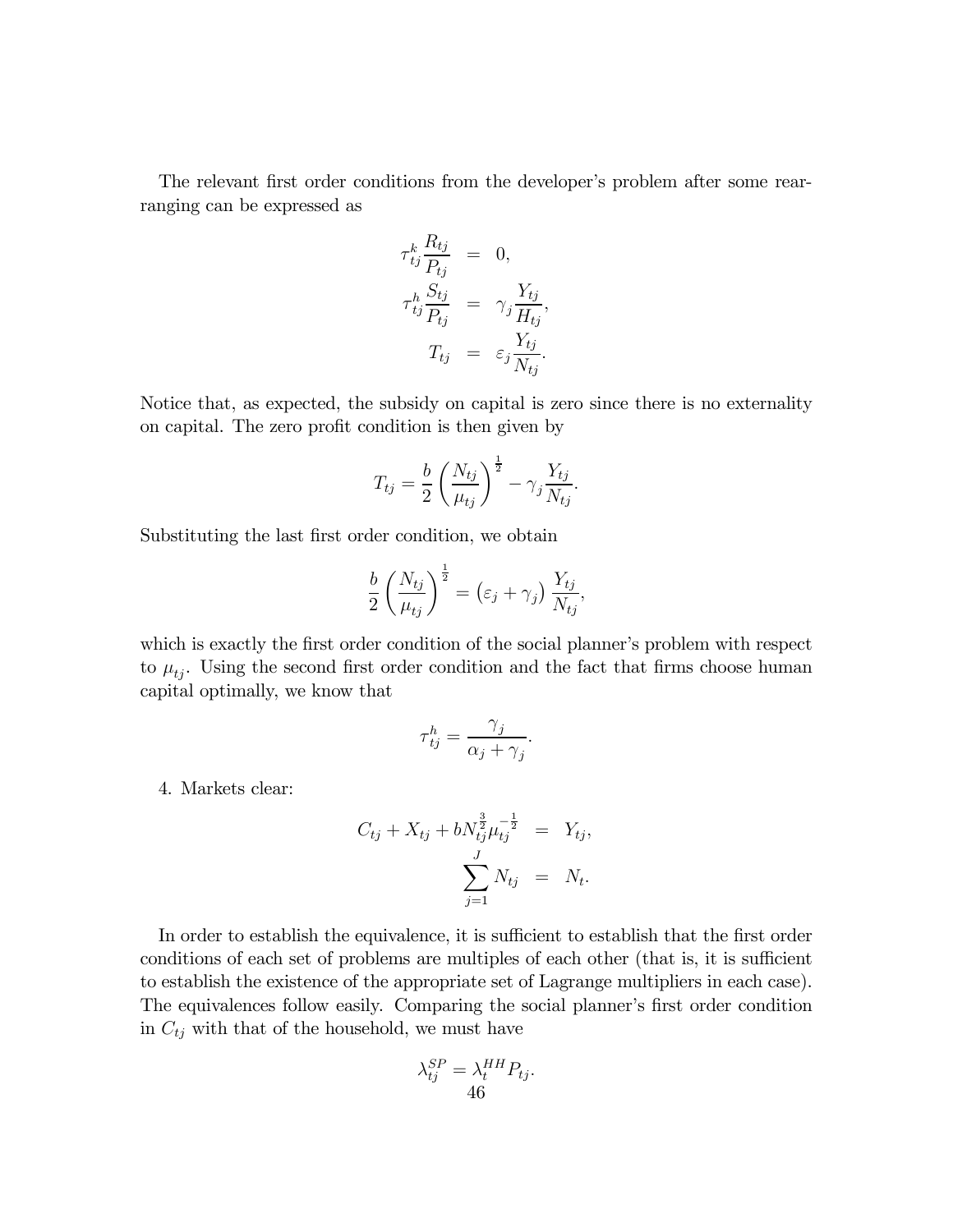The relevant first order conditions from the developer's problem after some rearranging can be expressed as

$$
\tau_{tj}^{k} \frac{R_{tj}}{P_{tj}} = 0,
$$
  

$$
\tau_{tj}^{h} \frac{S_{tj}}{P_{tj}} = \gamma_{j} \frac{Y_{tj}}{H_{tj}}
$$
  

$$
T_{tj} = \varepsilon_{j} \frac{Y_{tj}}{N_{tj}}
$$

,

.

Notice that, as expected, the subsidy on capital is zero since there is no externality on capital. The zero profit condition is then given by

$$
T_{tj} = \frac{b}{2} \left( \frac{N_{tj}}{\mu_{tj}} \right)^{\frac{1}{2}} - \gamma_j \frac{Y_{tj}}{N_{tj}}.
$$

Substituting the last first order condition, we obtain

$$
\frac{b}{2} \left( \frac{N_{tj}}{\mu_{tj}} \right)^{\frac{1}{2}} = \left( \varepsilon_j + \gamma_j \right) \frac{Y_{tj}}{N_{tj}},
$$

which is exactly the first order condition of the social planner's problem with respect to  $\mu_{ti}$ . Using the second first order condition and the fact that firms choose human capital optimally, we know that

$$
\tau_{tj}^h = \frac{\gamma_j}{\alpha_j + \gamma_j}.
$$

4. Markets clear:

$$
C_{tj} + X_{tj} + bN_{tj}^{\frac{3}{2}}\mu_{tj}^{-\frac{1}{2}} = Y_{tj},
$$
  

$$
\sum_{j=1}^{J} N_{tj} = N_{t}.
$$

In order to establish the equivalence, it is sufficient to establish that the first order conditions of each set of problems are multiples of each other (that is, it is sufficient to establish the existence of the appropriate set of Lagrange multipliers in each case). The equivalences follow easily. Comparing the social planner's first order condition in  $C_{tj}$  with that of the household, we must have

$$
\lambda_{tj}^{SP} = \lambda_t^{HH} P_{tj}.
$$
  
46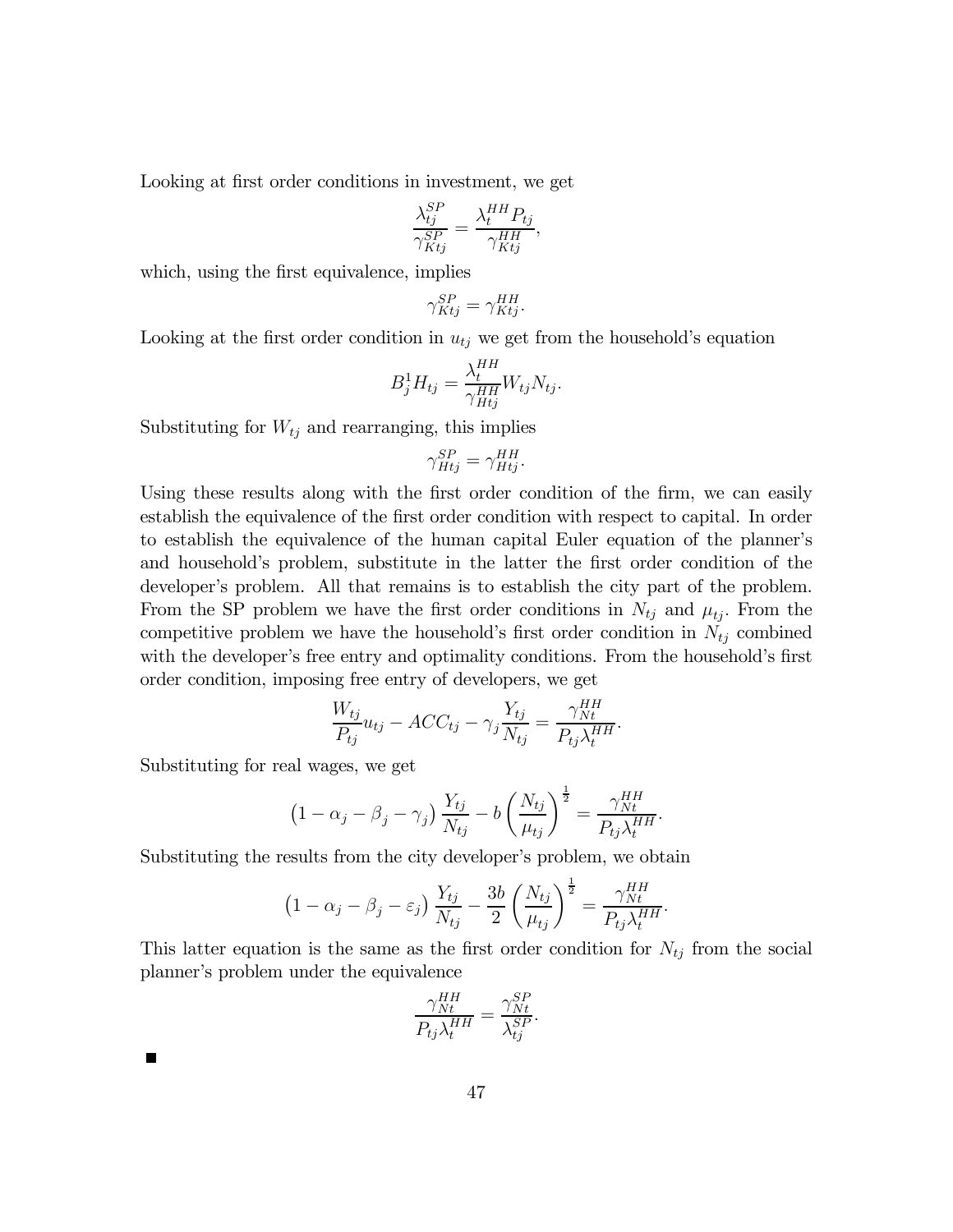Looking at first order conditions in investment, we get

$$
\frac{\lambda_{tj}^{SP}}{\gamma_{Ktj}^{SP}} = \frac{\lambda_t^{HH} P_{tj}}{\gamma_{Ktj}^{HH}},
$$

which, using the first equivalence, implies

$$
\gamma_{Ktj}^{SP} = \gamma_{Ktj}^{HH}.
$$

Looking at the first order condition in  $u_{tj}$  we get from the household's equation

$$
B_j^1 H_{tj} = \frac{\lambda_t^{HH}}{\gamma_{Htj}^{HH}} W_{tj} N_{tj}.
$$

Substituting for  $W_{tj}$  and rearranging, this implies

$$
\gamma_{Hij}^{SP} = \gamma_{Hij}^{HH}.
$$

Using these results along with the first order condition of the firm, we can easily establish the equivalence of the first order condition with respect to capital. In order to establish the equivalence of the human capital Euler equation of the planner's and household's problem, substitute in the latter the first order condition of the developer's problem. All that remains is to establish the city part of the problem. From the SP problem we have the first order conditions in  $N_{tj}$  and  $\mu_{tj}$ . From the competitive problem we have the household's first order condition in  $N_{tj}$  combined with the developer's free entry and optimality conditions. From the household's first order condition, imposing free entry of developers, we get

$$
\frac{W_{tj}}{P_{tj}}u_{tj} - ACC_{tj} - \gamma_j \frac{Y_{tj}}{N_{tj}} = \frac{\gamma_{Nt}^{HH}}{P_{tj}\lambda_t^{HH}}.
$$

Substituting for real wages, we get

$$
\left(1 - \alpha_j - \beta_j - \gamma_j\right) \frac{Y_{tj}}{N_{tj}} - b \left(\frac{N_{tj}}{\mu_{tj}}\right)^{\frac{1}{2}} = \frac{\gamma_{Nt}^{HH}}{P_{tj} \lambda_t^{HH}}.
$$

Substituting the results from the city developer's problem, we obtain

$$
\left(1 - \alpha_j - \beta_j - \varepsilon_j\right) \frac{Y_{tj}}{N_{tj}} - \frac{3b}{2} \left(\frac{N_{tj}}{\mu_{tj}}\right)^{\frac{1}{2}} = \frac{\gamma_{Nt}^{HH}}{P_{tj} \lambda_t^{HH}}.
$$

This latter equation is the same as the first order condition for  $N_{tj}$  from the social planner's problem under the equivalence

$$
\frac{\gamma_{Nt}^{HH}}{P_{tj}\lambda_t^{HH}} = \frac{\gamma_{Nt}^{SP}}{\lambda_{tj}^{SP}}
$$

.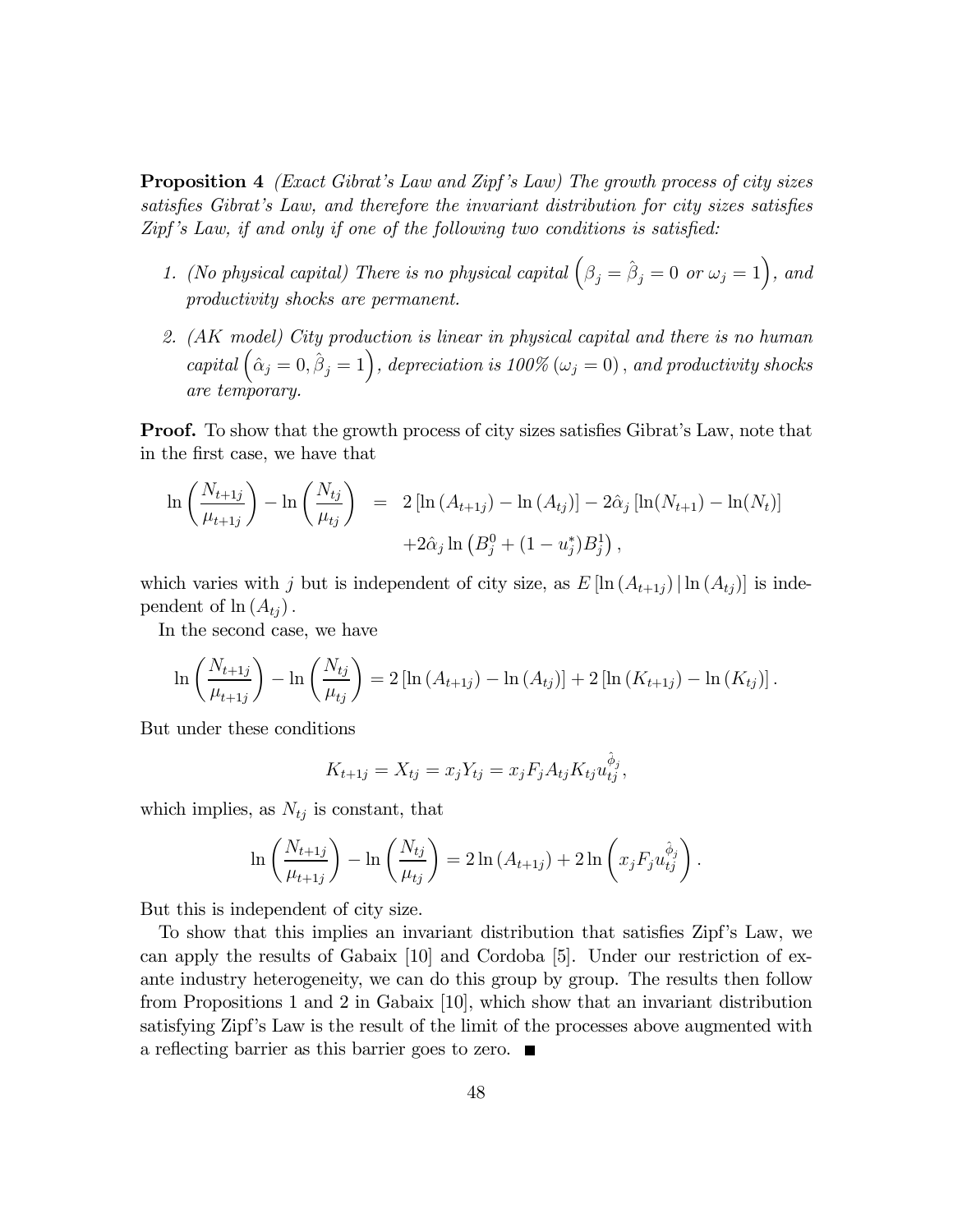Proposition 4 (Exact Gibrat's Law and Zipf 's Law) The growth process of city sizes satisfies Gibrat's Law, and therefore the invariant distribution for city sizes satisfies Zipf 's Law, if and only if one of the following two conditions is satisfied:

- 1. (No physical capital) There is no physical capital  $(\beta_j = \hat{\beta}_j = 0 \text{ or } \omega_j = 1)$ , and productivity shocks are permanent.
- 2. (AK model) City production is linear in physical capital and there is no human capital  $(\hat{\alpha}_j = 0, \hat{\beta}_j = 1)$ , depreciation is 100% ( $\omega_j = 0$ ), and productivity shocks are temporary.

**Proof.** To show that the growth process of city sizes satisfies Gibrat's Law, note that in the first case, we have that

$$
\ln\left(\frac{N_{t+1j}}{\mu_{t+1j}}\right) - \ln\left(\frac{N_{tj}}{\mu_{tj}}\right) = 2\left[\ln\left(A_{t+1j}\right) - \ln\left(A_{tj}\right)\right] - 2\hat{\alpha}_{j}\left[\ln(N_{t+1}) - \ln(N_{t})\right] + 2\hat{\alpha}_{j}\ln\left(B_{j}^{0} + (1 - u_{j}^{*})B_{j}^{1}\right),
$$

which varies with j but is independent of city size, as  $E[\ln(A_{t+1j}) | \ln(A_{tj})]$  is independent of  $\ln(A_{t_i})$ .

In the second case, we have

$$
\ln\left(\frac{N_{t+1j}}{\mu_{t+1j}}\right) - \ln\left(\frac{N_{tj}}{\mu_{tj}}\right) = 2\left[\ln\left(A_{t+1j}\right) - \ln\left(A_{tj}\right)\right] + 2\left[\ln\left(K_{t+1j}\right) - \ln\left(K_{tj}\right)\right].
$$

But under these conditions

$$
K_{t+1j} = X_{tj} = x_j Y_{tj} = x_j F_j A_{tj} K_{tj} u_{tj}^{\hat{\phi}_j},
$$

which implies, as  $N_{tj}$  is constant, that

$$
\ln\left(\frac{N_{t+1j}}{\mu_{t+1j}}\right) - \ln\left(\frac{N_{tj}}{\mu_{tj}}\right) = 2\ln\left(A_{t+1j}\right) + 2\ln\left(x_j F_j u_{tj}^{\hat{\phi}_j}\right).
$$

But this is independent of city size.

To show that this implies an invariant distribution that satisfies Zipf's Law, we can apply the results of Gabaix [10] and Cordoba [5]. Under our restriction of exante industry heterogeneity, we can do this group by group. The results then follow from Propositions 1 and 2 in Gabaix [10], which show that an invariant distribution satisfying Zipf's Law is the result of the limit of the processes above augmented with a reflecting barrier as this barrier goes to zero.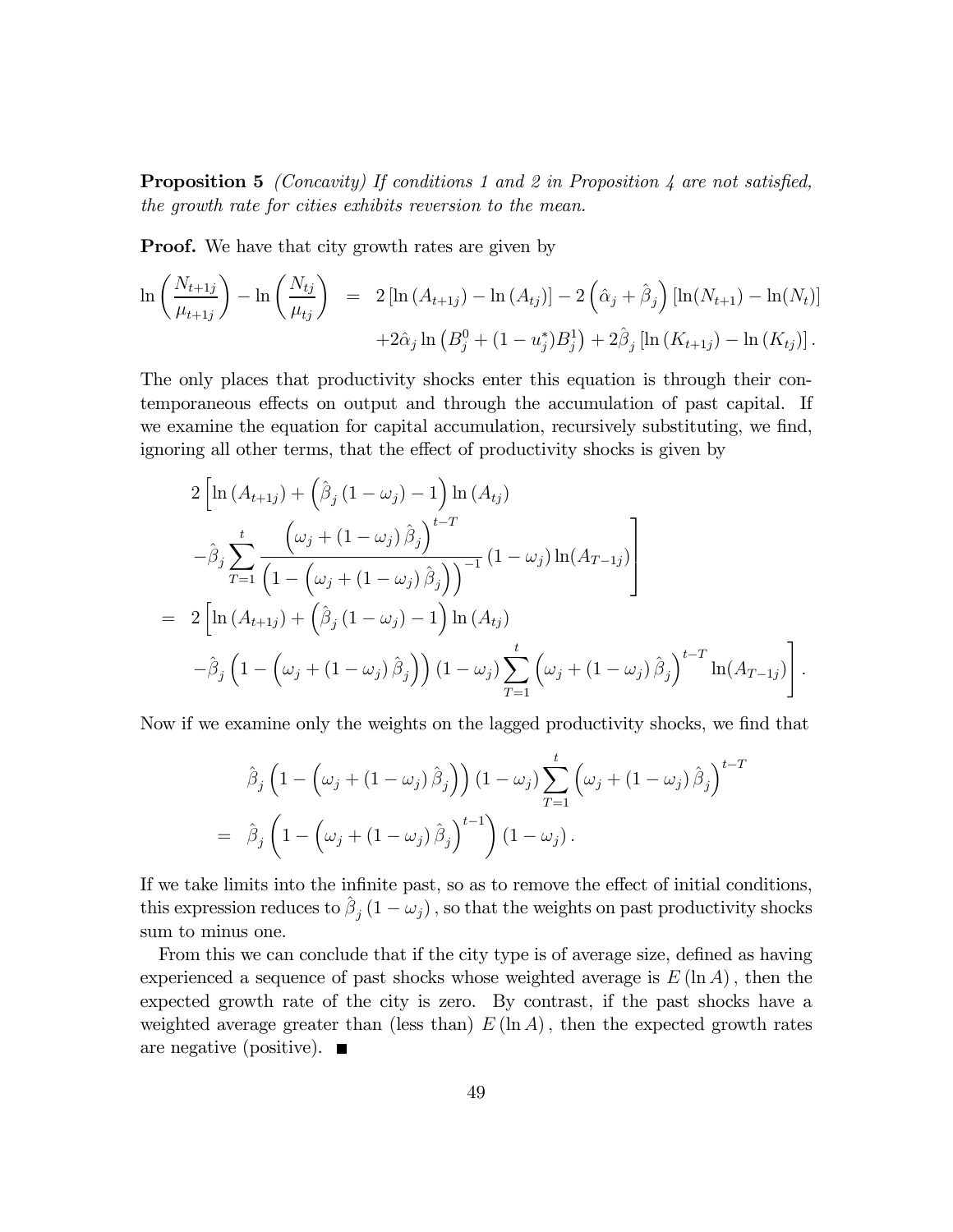**Proposition 5** (Concavity) If conditions 1 and 2 in Proposition 4 are not satisfied, the growth rate for cities exhibits reversion to the mean.

Proof. We have that city growth rates are given by

$$
\ln\left(\frac{N_{t+1j}}{\mu_{t+1j}}\right) - \ln\left(\frac{N_{tj}}{\mu_{tj}}\right) = 2\left[\ln\left(A_{t+1j}\right) - \ln\left(A_{tj}\right)\right] - 2\left(\hat{\alpha}_{j} + \hat{\beta}_{j}\right)\left[\ln(N_{t+1}) - \ln(N_{t})\right] + 2\hat{\alpha}_{j}\ln\left(B_{j}^{0} + (1 - u_{j}^{*})B_{j}^{1}\right) + 2\hat{\beta}_{j}\left[\ln\left(K_{t+1j}\right) - \ln\left(K_{tj}\right)\right].
$$

The only places that productivity shocks enter this equation is through their contemporaneous effects on output and through the accumulation of past capital. If we examine the equation for capital accumulation, recursively substituting, we find, ignoring all other terms, that the effect of productivity shocks is given by

$$
2\left[\ln\left(A_{t+1j}\right) + \left(\hat{\beta}_{j}\left(1-\omega_{j}\right)-1\right)\ln\left(A_{tj}\right) \right] - \hat{\beta}_{j}\sum_{T=1}^{t} \frac{\left(\omega_{j} + \left(1-\omega_{j}\right)\hat{\beta}_{j}\right)^{t-T}}{\left(1-\left(\omega_{j} + \left(1-\omega_{j}\right)\hat{\beta}_{j}\right)\right)^{-1}}\left(1-\omega_{j}\right)\ln\left(A_{T-1j}\right) \right] - 2\left[\ln\left(A_{t+1j}\right) + \left(\hat{\beta}_{j}\left(1-\omega_{j}\right)-1\right)\ln\left(A_{tj}\right) \right] - \hat{\beta}_{j}\left(1-\left(\omega_{j} + \left(1-\omega_{j}\right)\hat{\beta}_{j}\right)\right)\left(1-\omega_{j}\right)\sum_{T=1}^{t} \left(\omega_{j} + \left(1-\omega_{j}\right)\hat{\beta}_{j}\right)^{t-T}\ln\left(A_{T-1j}\right)\right].
$$

Now if we examine only the weights on the lagged productivity shocks, we find that

$$
\hat{\beta}_j \left( 1 - \left( \omega_j + (1 - \omega_j) \hat{\beta}_j \right) \right) (1 - \omega_j) \sum_{T=1}^t \left( \omega_j + (1 - \omega_j) \hat{\beta}_j \right)^{t-T}
$$
\n
$$
= \hat{\beta}_j \left( 1 - \left( \omega_j + (1 - \omega_j) \hat{\beta}_j \right)^{t-1} \right) (1 - \omega_j).
$$

If we take limits into the infinite past, so as to remove the effect of initial conditions, this expression reduces to  $\hat{\beta}_j (1 - \omega_j)$ , so that the weights on past productivity shocks sum to minus one.

From this we can conclude that if the city type is of average size, defined as having experienced a sequence of past shocks whose weighted average is  $E(\ln A)$ , then the expected growth rate of the city is zero. By contrast, if the past shocks have a weighted average greater than (less than)  $E(\ln A)$ , then the expected growth rates are negative (positive).  $\blacksquare$